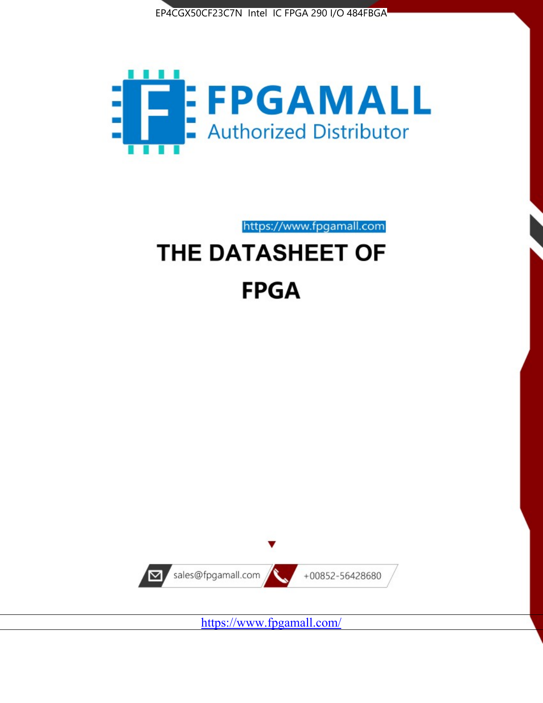



https://www.fpgamall.com THE DATASHEET OF

# **FPGA**



<https://www.fpgamall.com/>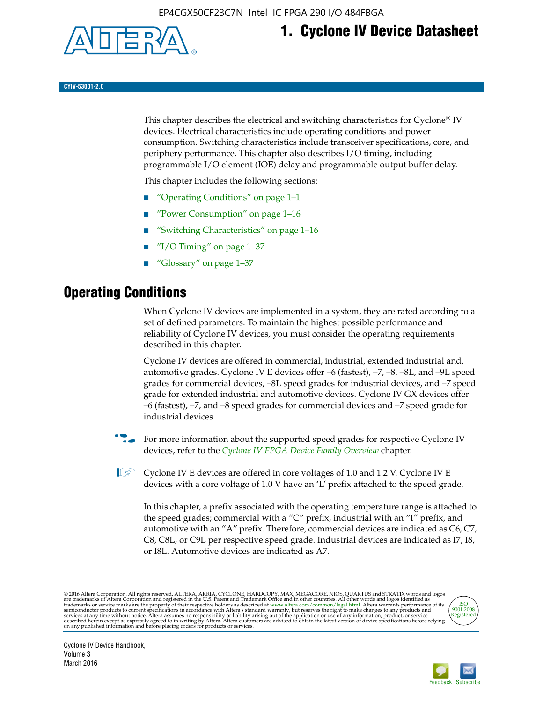

## **1. Cyclone IV Device Datasheet**

**CYIV-53001-2.0**

This chapter describes the electrical and switching characteristics for Cyclone<sup>®</sup> IV devices. Electrical characteristics include operating conditions and power consumption. Switching characteristics include transceiver specifications, core, and periphery performance. This chapter also describes I/O timing, including programmable I/O element (IOE) delay and programmable output buffer delay.

This chapter includes the following sections:

- "Operating Conditions" on page 1–1
- "Power Consumption" on page 1–16
- "Switching Characteristics" on page 1–16
- " $I/O$  Timing" on page  $1-37$
- "Glossary" on page 1–37

## **Operating Conditions**

When Cyclone IV devices are implemented in a system, they are rated according to a set of defined parameters. To maintain the highest possible performance and reliability of Cyclone IV devices, you must consider the operating requirements described in this chapter.

Cyclone IV devices are offered in commercial, industrial, extended industrial and, automotive grades. Cyclone IV E devices offer –6 (fastest), –7, –8, –8L, and –9L speed grades for commercial devices, –8L speed grades for industrial devices, and –7 speed grade for extended industrial and automotive devices. Cyclone IV GX devices offer –6 (fastest), –7, and –8 speed grades for commercial devices and –7 speed grade for industrial devices.

**For more information about the supported speed grades for respective Cyclone IV** devices, refer to the *[Cyclone IV FPGA Device Family Overview](http://www.altera.com/literature/hb/cyclone-iv/cyiv-51001.pdf)* chapter.

**1** Cyclone IV E devices are offered in core voltages of 1.0 and 1.2 V. Cyclone IV E devices with a core voltage of 1.0 V have an 'L' prefix attached to the speed grade.

In this chapter, a prefix associated with the operating temperature range is attached to the speed grades; commercial with a "C" prefix, industrial with an "I" prefix, and automotive with an "A" prefix. Therefore, commercial devices are indicated as C6, C7, C8, C8L, or C9L per respective speed grade. Industrial devices are indicated as I7, I8, or I8L. Automotive devices are indicated as A7.

@2016 Altera Corporation. All rights reserved. ALTERA, ARRIA, CYCLONE, HARDCOPY, MAX, MEGACORE, NIOS, QUARTUS and STRATIX words and logos are trademarks of Altera Corporation and registered in the U.S. Patent and Trademark



Cyclone IV Device Handbook, Volume 3 March 2016

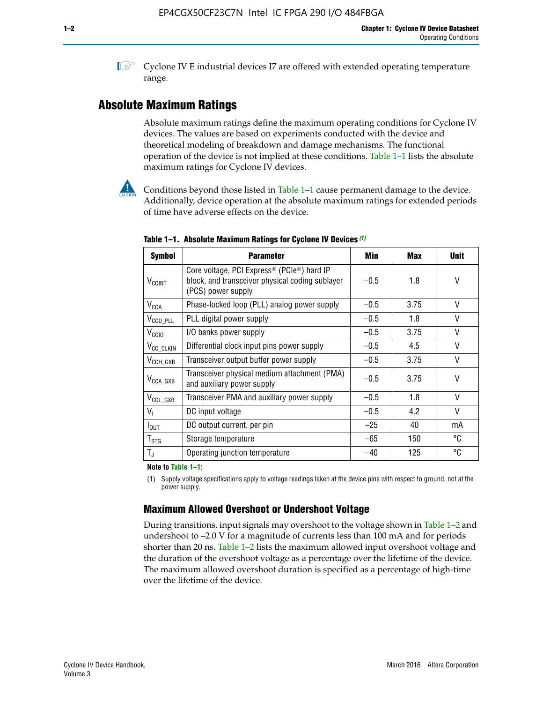**1 Cyclone IV E industrial devices I7 are offered with extended operating temperature** range.

## **Absolute Maximum Ratings**

Absolute maximum ratings define the maximum operating conditions for Cyclone IV devices. The values are based on experiments conducted with the device and theoretical modeling of breakdown and damage mechanisms. The functional operation of the device is not implied at these conditions. Table  $1-1$  lists the absolute maximum ratings for Cyclone IV devices.



Conditions beyond those listed in Table  $1-1$  cause permanent damage to the device. Additionally, device operation at the absolute maximum ratings for extended periods of time have adverse effects on the device.

| <b>Symbol</b>              | <b>Parameter</b>                                                                                                                             | Min    | <b>Max</b> | <b>Unit</b>  |
|----------------------------|----------------------------------------------------------------------------------------------------------------------------------------------|--------|------------|--------------|
| <b>V<sub>CCINT</sub></b>   | Core voltage, PCI Express <sup>®</sup> (PCIe <sup>®</sup> ) hard IP<br>block, and transceiver physical coding sublayer<br>(PCS) power supply | $-0.5$ | 1.8        | V            |
| <b>V<sub>CCA</sub></b>     | Phase-locked loop (PLL) analog power supply                                                                                                  | $-0.5$ | 3.75       | V            |
| $V_{\text{CCD\_PLL}}$      | PLL digital power supply                                                                                                                     | $-0.5$ | 1.8        | V            |
| V <sub>CCIO</sub>          | I/O banks power supply                                                                                                                       | $-0.5$ | 3.75       | V            |
| V <sub>CC_CLKIN</sub>      | Differential clock input pins power supply                                                                                                   | $-0.5$ | 4.5        | V            |
| $V_{\text{CCH_GXB}}$       | Transceiver output buffer power supply                                                                                                       | $-0.5$ | 3.75       | V            |
| $V_{\text{CCA\_GXB}}$      | Transceiver physical medium attachment (PMA)<br>and auxiliary power supply                                                                   | $-0.5$ | 3.75       | V            |
| $V_{CCL_GXB}$              | Transceiver PMA and auxiliary power supply                                                                                                   | $-0.5$ | 1.8        | $\mathsf{V}$ |
| $V_{1}$                    | DC input voltage                                                                                                                             | $-0.5$ | 4.2        | V            |
| $I_{\text{OUT}}$           | DC output current, per pin                                                                                                                   | $-25$  | 40         | mA           |
| ${\mathsf T}_{\text{STG}}$ | Storage temperature                                                                                                                          | $-65$  | 150        | °C           |
| $T_{\rm J}$                | Operating junction temperature                                                                                                               | $-40$  | 125        | °C           |

**Table 1–1. Absolute Maximum Ratings for Cyclone IV Devices** *(1)*

**Note to Table 1–1:**

(1) Supply voltage specifications apply to voltage readings taken at the device pins with respect to ground, not at the power supply.

## **Maximum Allowed Overshoot or Undershoot Voltage**

During transitions, input signals may overshoot to the voltage shown in Table 1–2 and undershoot to –2.0 V for a magnitude of currents less than 100 mA and for periods shorter than 20 ns. Table 1–2 lists the maximum allowed input overshoot voltage and the duration of the overshoot voltage as a percentage over the lifetime of the device. The maximum allowed overshoot duration is specified as a percentage of high-time over the lifetime of the device.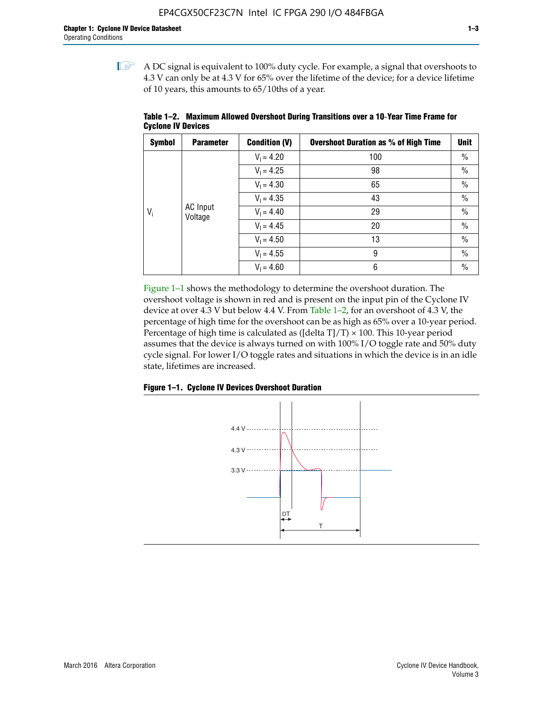$\mathbb{I}$  A DC signal is equivalent to 100% duty cycle. For example, a signal that overshoots to 4.3 V can only be at 4.3 V for 65% over the lifetime of the device; for a device lifetime of 10 years, this amounts to 65/10ths of a year.

| <b>Symbol</b> | <b>Parameter</b>           | <b>Condition (V)</b> | <b>Overshoot Duration as % of High Time</b> | <b>Unit</b>   |
|---------------|----------------------------|----------------------|---------------------------------------------|---------------|
|               |                            | $V_1 = 4.20$         | 100                                         | $\%$          |
|               |                            | $V_1 = 4.25$         | 98                                          | $\%$          |
|               |                            | $V_1 = 4.30$         | 65                                          | $\%$          |
|               |                            | $V_1 = 4.35$         | 43                                          | $\frac{0}{0}$ |
| $V_i$         | <b>AC</b> Input<br>Voltage | $V_1 = 4.40$         | 29                                          | $\frac{0}{0}$ |
|               |                            | $V_1 = 4.45$         | 20                                          | $\%$          |
|               |                            | $V_1 = 4.50$         | 13                                          | $\%$          |
|               |                            | $V_1 = 4.55$         | 9                                           | $\%$          |
|               |                            | $V_1 = 4.60$         | 6                                           | $\%$          |

**Table 1–2. Maximum Allowed Overshoot During Transitions over a 10**-**Year Time Frame for Cyclone IV Devices**

Figure 1–1 shows the methodology to determine the overshoot duration. The overshoot voltage is shown in red and is present on the input pin of the Cyclone IV device at over 4.3 V but below 4.4 V. From Table 1–2, for an overshoot of 4.3 V, the percentage of high time for the overshoot can be as high as 65% over a 10-year period. Percentage of high time is calculated as ([delta  $T$ ]/T)  $\times$  100. This 10-year period assumes that the device is always turned on with 100% I/O toggle rate and 50% duty cycle signal. For lower I/O toggle rates and situations in which the device is in an idle state, lifetimes are increased.



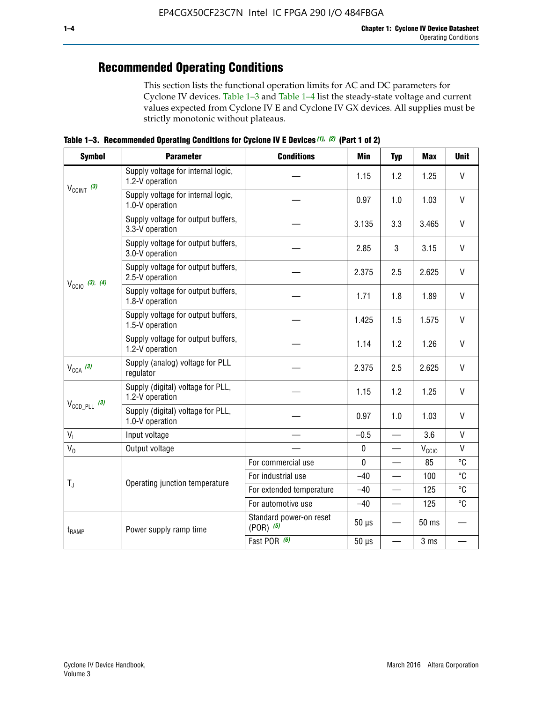## **Recommended Operating Conditions**

This section lists the functional operation limits for AC and DC parameters for Cyclone IV devices. Table 1–3 and Table 1–4 list the steady-state voltage and current values expected from Cyclone IV E and Cyclone IV GX devices. All supplies must be strictly monotonic without plateaus.

**Table 1–3. Recommended Operating Conditions for Cyclone IV E Devices** *(1)***,** *(2)* **(Part 1 of 2)**

| <b>Symbol</b>                                                            | <b>Parameter</b>                                      | <b>Conditions</b>                        | Min          | <b>Typ</b>               | <b>Max</b>       | <b>Unit</b>    |
|--------------------------------------------------------------------------|-------------------------------------------------------|------------------------------------------|--------------|--------------------------|------------------|----------------|
|                                                                          | Supply voltage for internal logic,<br>1.2-V operation |                                          | 1.15         | 1.2                      | 1.25             | $\vee$         |
| $V_{CClNT}$ (3)                                                          | Supply voltage for internal logic,<br>1.0-V operation |                                          | 0.97         | 1.0                      | 1.03             | $\mathsf{V}$   |
|                                                                          | Supply voltage for output buffers,<br>3.3-V operation |                                          | 3.135        | 3.3                      | 3.465            | $\vee$         |
| $V_{\text{CCIO}}$ (3), (4)<br>$V_{CCA}$ (3)<br>$V_{\text{CCD\_PLL}}$ (3) | Supply voltage for output buffers,<br>3.0-V operation |                                          | 2.85         | 3                        | 3.15             | V              |
|                                                                          | Supply voltage for output buffers,<br>2.5-V operation |                                          | 2.375        | 2.5                      | 2.625            | $\vee$         |
|                                                                          | Supply voltage for output buffers,<br>1.8-V operation |                                          | 1.71         | 1.8                      | 1.89             | $\mathsf{V}$   |
|                                                                          | Supply voltage for output buffers,<br>1.5-V operation |                                          | 1.425        | 1.5                      | 1.575            | $\mathsf{V}$   |
|                                                                          | Supply voltage for output buffers,<br>1.2-V operation |                                          | 1.14         | 1.2                      | 1.26             | V              |
|                                                                          | Supply (analog) voltage for PLL<br>regulator          |                                          | 2.375        | 2.5                      | 2.625            | $\vee$         |
|                                                                          | Supply (digital) voltage for PLL,<br>1.2-V operation  |                                          | 1.15         | 1.2                      | 1.25             | $\mathsf{V}$   |
|                                                                          | Supply (digital) voltage for PLL,<br>1.0-V operation  |                                          | 0.97         | 1.0                      | 1.03             | $\vee$         |
| V <sub>1</sub>                                                           | Input voltage                                         |                                          | $-0.5$       | $\equiv$                 | 3.6              | $\mathsf{V}$   |
| $V_0$                                                                    | Output voltage                                        |                                          | $\pmb{0}$    |                          | $V_{CCIO}$       | $\mathsf{V}$   |
|                                                                          |                                                       | For commercial use                       | $\mathbf{0}$ |                          | 85               | $\overline{c}$ |
|                                                                          | Operating junction temperature                        | For industrial use                       | $-40$        |                          | 100              | °C             |
| $T_{\rm J}$                                                              |                                                       | For extended temperature                 | $-40$        |                          | 125              | °C             |
|                                                                          |                                                       | For automotive use                       | $-40$        | —                        | 125              | °C             |
| t <sub>RAMP</sub>                                                        | Power supply ramp time                                | Standard power-on reset<br>$(POR)$ $(5)$ | $50 \mu s$   |                          | 50 <sub>ms</sub> |                |
|                                                                          |                                                       | Fast POR (6)                             | $50 \ \mu s$ | $\overline{\phantom{0}}$ | 3 ms             |                |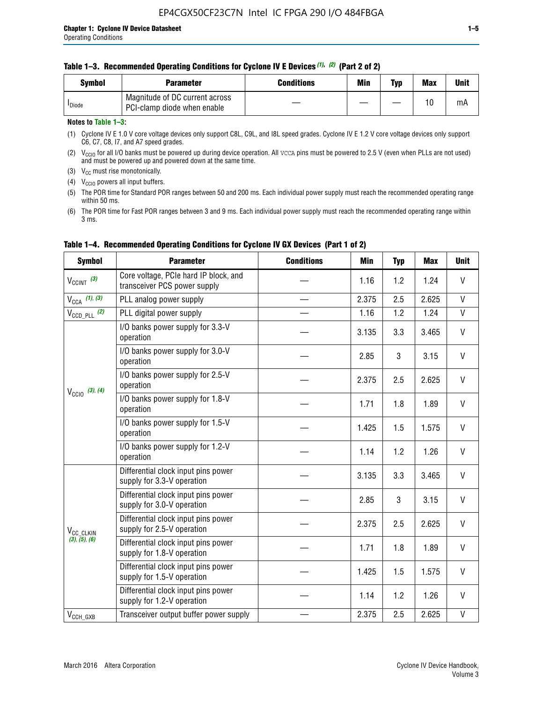#### **Table 1–3. Recommended Operating Conditions for Cyclone IV E Devices** *(1)***,** *(2)* **(Part 2 of 2)**

| Svmbol             | <b>Parameter</b>                                              | <b>Conditions</b> | Min | Typ | <b>Max</b> | Unit |
|--------------------|---------------------------------------------------------------|-------------------|-----|-----|------------|------|
| <sup>I</sup> Diode | Magnitude of DC current across<br>PCI-clamp diode when enable |                   |     |     | 10         | mA   |

#### **Notes to Table 1–3:**

(1) Cyclone IV E 1.0 V core voltage devices only support C8L, C9L, and I8L speed grades. Cyclone IV E 1.2 V core voltage devices only support C6, C7, C8, I7, and A7 speed grades.

(2)  $V_{CCIO}$  for all I/O banks must be powered up during device operation. All vcca pins must be powered to 2.5 V (even when PLLs are not used) and must be powered up and powered down at the same time.

(3)  $V_{CC}$  must rise monotonically.

(4)  $V_{\text{CCIO}}$  powers all input buffers.

(5) The POR time for Standard POR ranges between 50 and 200 ms. Each individual power supply must reach the recommended operating range within 50 ms.

(6) The POR time for Fast POR ranges between 3 and 9 ms. Each individual power supply must reach the recommended operating range within 3 ms.

| <b>Symbol</b>                                                          | <b>Parameter</b>                                                      | <b>Conditions</b> | <b>Min</b> | <b>Typ</b> | <b>Max</b> | <b>Unit</b>  |
|------------------------------------------------------------------------|-----------------------------------------------------------------------|-------------------|------------|------------|------------|--------------|
| $V_{\text{CCINT}}$ (3)                                                 | Core voltage, PCIe hard IP block, and<br>transceiver PCS power supply |                   | 1.16       | 1.2        | 1.24       | V            |
| $V_{CCA}$ (1), (3)                                                     | PLL analog power supply                                               |                   | 2.375      | 2.5        | 2.625      | V            |
| $V_{CCD\ PLL}$ (2)                                                     | PLL digital power supply                                              |                   | 1.16       | 1.2        | 1.24       | V            |
|                                                                        | I/O banks power supply for 3.3-V<br>operation                         |                   | 3.135      | 3.3        | 3.465      | V            |
| $V_{\text{CC10}}$ (3), (4)                                             | I/O banks power supply for 3.0-V<br>operation                         |                   | 2.85       | 3          | 3.15       | V            |
|                                                                        | I/O banks power supply for 2.5-V<br>operation                         |                   | 2.375      | 2.5        | 2.625      | V            |
|                                                                        | I/O banks power supply for 1.8-V<br>operation                         |                   | 1.71       | 1.8        | 1.89       | V            |
|                                                                        | I/O banks power supply for 1.5-V<br>operation                         |                   | 1.425      | 1.5        | 1.575      | V            |
|                                                                        | I/O banks power supply for 1.2-V<br>operation                         |                   | 1.14       | 1.2        | 1.26       | V            |
| V <sub>CC_CLKIN</sub><br>(3), (5), (6)<br>$V_{\text{CCH}\_\text{GXB}}$ | Differential clock input pins power<br>supply for 3.3-V operation     |                   | 3.135      | 3.3        | 3.465      | V            |
|                                                                        | Differential clock input pins power<br>supply for 3.0-V operation     |                   | 2.85       | 3          | 3.15       | $\mathsf{V}$ |
|                                                                        | Differential clock input pins power<br>supply for 2.5-V operation     |                   | 2.375      | 2.5        | 2.625      | V            |
|                                                                        | Differential clock input pins power<br>supply for 1.8-V operation     |                   | 1.71       | 1.8        | 1.89       | V            |
|                                                                        | Differential clock input pins power<br>supply for 1.5-V operation     |                   | 1.425      | 1.5        | 1.575      | V            |
|                                                                        | Differential clock input pins power<br>supply for 1.2-V operation     |                   | 1.14       | 1.2        | 1.26       | V            |
|                                                                        | Transceiver output buffer power supply                                |                   | 2.375      | 2.5        | 2.625      | $\mathsf{V}$ |

#### **Table 1–4. Recommended Operating Conditions for Cyclone IV GX Devices (Part 1 of 2)**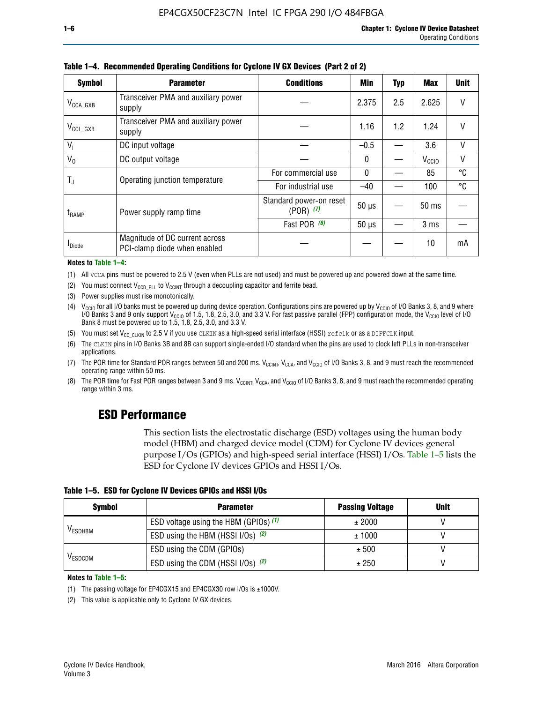| <b>Symbol</b>         | <b>Parameter</b>                                               | <b>Conditions</b>                        | <b>Min</b>   | <b>Typ</b> | <b>Max</b>        | <b>Unit</b> |
|-----------------------|----------------------------------------------------------------|------------------------------------------|--------------|------------|-------------------|-------------|
| $V_{\text{CCA\_GXB}}$ | Transceiver PMA and auxiliary power<br>supply                  |                                          | 2.375        | 2.5        | 2.625             |             |
| $V_{CCL_GXB}$         | Transceiver PMA and auxiliary power<br>supply                  |                                          | 1.16         | 1.2        | 1.24              | V           |
| $V_{1}$               | DC input voltage                                               |                                          | $-0.5$       |            | 3.6               | $\vee$      |
| $V_0$                 | DC output voltage                                              |                                          | 0            |            | V <sub>CCIO</sub> | V           |
|                       | Operating junction temperature                                 | For commercial use                       | $\mathbf{0}$ |            | 85                | °C          |
| T,                    |                                                                | For industrial use                       | $-40$        |            | 100               | °C          |
| $t_{\rm{RAMP}}$       | Power supply ramp time                                         | Standard power-on reset<br>$(POR)$ $(7)$ | $50 \mu s$   |            | $50$ ms           |             |
|                       |                                                                | Fast POR $(8)$                           | $50 \mu s$   |            | 3 <sub>ms</sub>   |             |
| <b>I</b> Diode        | Magnitude of DC current across<br>PCI-clamp diode when enabled |                                          |              |            | 10                | mA          |

**Table 1–4. Recommended Operating Conditions for Cyclone IV GX Devices (Part 2 of 2)**

**Notes to Table 1–4:**

- (1) All VCCA pins must be powered to 2.5 V (even when PLLs are not used) and must be powered up and powered down at the same time.
- (2) You must connect  $V_{CCD-PLL}$  to  $V_{CCINT}$  through a decoupling capacitor and ferrite bead.
- (3) Power supplies must rise monotonically.
- (4)  $V_{\text{CCIO}}$  for all I/O banks must be powered up during device operation. Configurations pins are powered up by V<sub>CCIO</sub> of I/O Banks 3, 8, and 9 where I/O Banks 3 and 9 only support V<sub>CCIO</sub> of 1.5, 1.8, 2.5, 3.0, and 3.3 V. For fast passive parallel (FPP) configuration mode, the V<sub>CCIO</sub> level of I/O<br>Bank 8 must be powered up to 1.5, 1.8, 2.5, 3.0, and 3.3 V.
- (5) You must set  $V_{CC_CCLKIN}$  to 2.5 V if you use CLKIN as a high-speed serial interface (HSSI) refclk or as a DIFFCLK input.
- (6) The CLKIN pins in I/O Banks 3B and 8B can support single-ended I/O standard when the pins are used to clock left PLLs in non-transceiver applications.
- (7) The POR time for Standard POR ranges between 50 and 200 ms.  $V_{\text{CCIA}}$ ,  $V_{\text{CCIA}}$ , and  $V_{\text{CCIO}}$  of I/O Banks 3, 8, and 9 must reach the recommended operating range within 50 ms.
- (8) The POR time for Fast POR ranges between 3 and 9 ms.  $V_{\text{CCH},T}$ ,  $V_{\text{CCA}}$ , and  $V_{\text{CCI}}$  of I/O Banks 3, 8, and 9 must reach the recommended operating range within 3 ms.

## **ESD Performance**

This section lists the electrostatic discharge (ESD) voltages using the human body model (HBM) and charged device model (CDM) for Cyclone IV devices general purpose I/Os (GPIOs) and high-speed serial interface (HSSI) I/Os. Table 1–5 lists the ESD for Cyclone IV devices GPIOs and HSSI I/Os.

|  |  |  | Table 1–5. ESD for Cyclone IV Devices GPIOs and HSSI I/Os |  |  |
|--|--|--|-----------------------------------------------------------|--|--|
|  |  |  |                                                           |  |  |

| <b>Symbol</b>  | <b>Parameter</b>                      | <b>Passing Voltage</b> | <b>Unit</b> |
|----------------|---------------------------------------|------------------------|-------------|
|                | ESD voltage using the HBM (GPIOs) (1) | ± 2000                 |             |
| <b>VESDHBM</b> | ESD using the HBM (HSSI I/Os) (2)     | ± 1000                 |             |
|                | ESD using the CDM (GPIOs)             | ± 500                  |             |
| <b>VESDCDM</b> | ESD using the CDM (HSSI I/Os) (2)     | ± 250                  |             |

#### **Notes to Table 1–5:**

(1) The passing voltage for EP4CGX15 and EP4CGX30 row I/Os is ±1000V.

(2) This value is applicable only to Cyclone IV GX devices.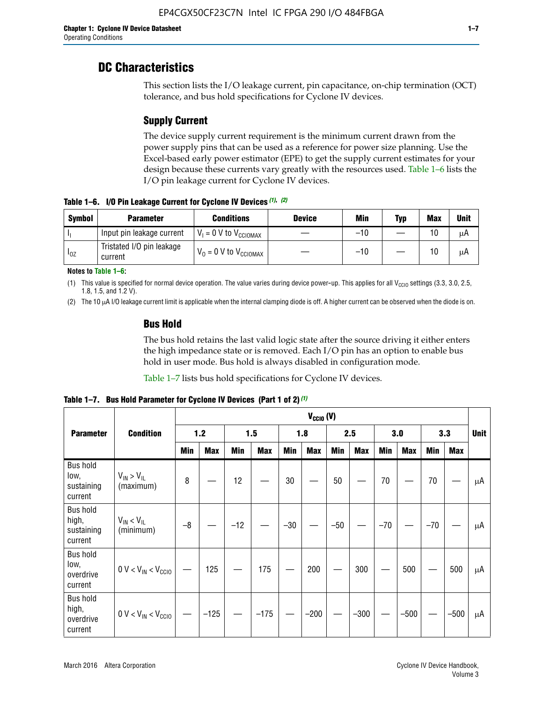## **DC Characteristics**

This section lists the I/O leakage current, pin capacitance, on-chip termination (OCT) tolerance, and bus hold specifications for Cyclone IV devices.

## **Supply Current**

The device supply current requirement is the minimum current drawn from the power supply pins that can be used as a reference for power size planning. Use the Excel-based early power estimator (EPE) to get the supply current estimates for your design because these currents vary greatly with the resources used. Table 1–6 lists the I/O pin leakage current for Cyclone IV devices.

**Table 1–6. I/O Pin Leakage Current for Cyclone IV Devices** *(1)***,** *(2)*

| <b>Symbol</b> | <b>Parameter</b>                     | <b>Conditions</b>                     | <b>Device</b> | Min   | Typ | <b>Max</b> | <b>Unit</b> |
|---------------|--------------------------------------|---------------------------------------|---------------|-------|-----|------------|-------------|
| -lı           | Input pin leakage current            | $V_1 = 0$ V to $V_{\text{CCIOMAX}}$   |               | $-10$ |     | 10         | μA          |
| $I_{0Z}$      | Tristated I/O pin leakage<br>current | $V_0 = 0 V$ to $V_{\text{CCIOMAX}}$ I |               | $-10$ |     | 10         | μA          |

**Notes to Table 1–6:**

(1) This value is specified for normal device operation. The value varies during device power-up. This applies for all V<sub>CCIO</sub> settings (3.3, 3.0, 2.5, 1.8, 1.5, and 1.2 V).

(2) The 10 µA I/O leakage current limit is applicable when the internal clamping diode is off. A higher current can be observed when the diode is on.

### **Bus Hold**

The bus hold retains the last valid logic state after the source driving it either enters the high impedance state or is removed. Each I/O pin has an option to enable bus hold in user mode. Bus hold is always disabled in configuration mode.

Table 1–7 lists bus hold specifications for Cyclone IV devices.

|                                                   |                                  | $V_{CClO}$ (V) |            |       |            |            |            |            |            |       |            |       |            |    |
|---------------------------------------------------|----------------------------------|----------------|------------|-------|------------|------------|------------|------------|------------|-------|------------|-------|------------|----|
| <b>Parameter</b>                                  | <b>Condition</b>                 | 1.2            |            |       | 1.5        |            | 1.8        |            | 2.5        |       | 3.0        |       | 3.3        |    |
|                                                   |                                  | <b>Min</b>     | <b>Max</b> | Min   | <b>Max</b> | <b>Min</b> | <b>Max</b> | <b>Min</b> | <b>Max</b> | Min   | <b>Max</b> | Min   | <b>Max</b> |    |
| <b>Bus hold</b><br>low,<br>sustaining<br>current  | $V_{IN}$ > $V_{IL}$<br>(maximum) | 8              |            | 12    |            | $30\,$     |            | 50         |            | 70    |            | 70    |            | μA |
| <b>Bus hold</b><br>high,<br>sustaining<br>current | $V_{IN}$ < $V_{IL}$<br>(minimum) | $-8$           |            | $-12$ |            | $-30$      |            | $-50$      |            | $-70$ |            | $-70$ |            | μA |
| <b>Bus hold</b><br>low,<br>overdrive<br>current   | $0 V < V_{IN} < V_{CG10}$        |                | 125        |       | 175        |            | 200        |            | 300        |       | 500        |       | 500        | μA |
| <b>Bus hold</b><br>high,<br>overdrive<br>current  | $0 V < V_{IN} < V_{CG10}$        |                | $-125$     |       | $-175$     |            | $-200$     |            | $-300$     |       | $-500$     |       | $-500$     | μA |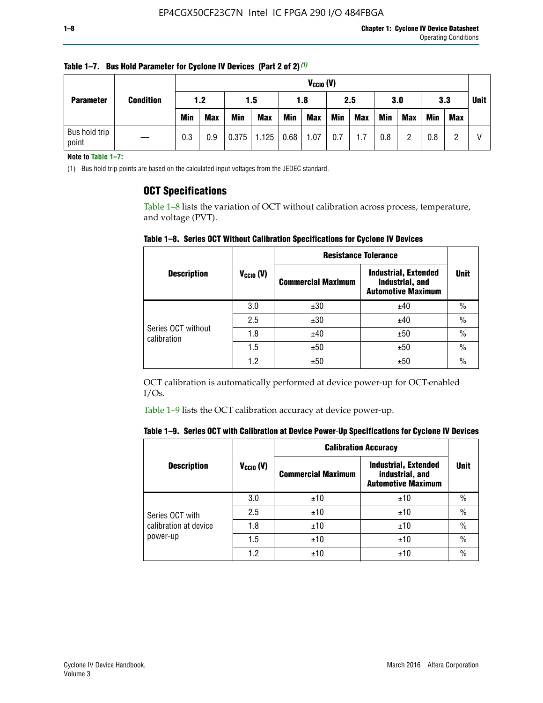| <b>Parameter</b>       | <b>Condition</b> |            | $V_{CClO}$ (V) |            |            |      |            |     |     |     |            |            |     |             |
|------------------------|------------------|------------|----------------|------------|------------|------|------------|-----|-----|-----|------------|------------|-----|-------------|
|                        |                  | 1.2        |                | 1.5        |            | 1.8  |            | 2.5 |     | 3.0 |            | 3.3        |     | <b>Unit</b> |
|                        |                  | <b>Min</b> | <b>Max</b>     | <b>Min</b> | <b>Max</b> | Min  | <b>Max</b> | Min | Max | Min | <b>Max</b> | <b>Min</b> | Max |             |
| Bus hold trip<br>point |                  | 0.3        | 0.9            | 0.375      | 1.125      | 0.68 | 1.07       | 0.7 | 1.7 | 0.8 | റ          | 0.8        |     |             |

**Table 1–7. Bus Hold Parameter for Cyclone IV Devices (Part 2 of 2)** *(1)*

**Note to Table 1–7:**

(1) Bus hold trip points are based on the calculated input voltages from the JEDEC standard.

### **OCT Specifications**

Table 1–8 lists the variation of OCT without calibration across process, temperature, and voltage (PVT).

**Table 1–8. Series OCT Without Calibration Specifications for Cyclone IV Devices**

|                                                 |                | <b>Resistance Tolerance</b> |                                                                             |               |
|-------------------------------------------------|----------------|-----------------------------|-----------------------------------------------------------------------------|---------------|
| <b>Description</b>                              | $V_{CCIO} (V)$ | <b>Commercial Maximum</b>   | <b>Industrial, Extended</b><br>industrial, and<br><b>Automotive Maximum</b> | <b>Unit</b>   |
|                                                 | 3.0            | ±30                         | ±40                                                                         | $\frac{0}{0}$ |
|                                                 | 2.5            | ±30                         | ±40                                                                         | $\frac{0}{0}$ |
|                                                 | 1.8            | ±40                         | ±50                                                                         | $\frac{0}{0}$ |
|                                                 | 1.5            | ±50                         | ±50                                                                         | $\frac{0}{0}$ |
| Series OCT without<br>calibration<br>1.2<br>±50 |                | ±50                         | $\frac{0}{0}$                                                               |               |

OCT calibration is automatically performed at device power-up for OCT-enabled I/Os.

Table 1–9 lists the OCT calibration accuracy at device power-up.

|  | Table 1–9. Series OCT with Calibration at Device Power-Up Specifications for Cyclone IV Devices |  |
|--|-------------------------------------------------------------------------------------------------|--|
|--|-------------------------------------------------------------------------------------------------|--|

|                       |                | <b>Calibration Accuracy</b> |                                                                             |               |
|-----------------------|----------------|-----------------------------|-----------------------------------------------------------------------------|---------------|
| <b>Description</b>    | $V_{CGI0} (V)$ | <b>Commercial Maximum</b>   | <b>Industrial, Extended</b><br>industrial, and<br><b>Automotive Maximum</b> | <b>Unit</b>   |
|                       | 3.0            | ±10                         | ±10                                                                         | $\frac{0}{0}$ |
| Series OCT with       | 2.5            | ±10                         | ±10                                                                         | $\%$          |
| calibration at device | 1.8            | ±10                         | ±10                                                                         | $\%$          |
| power-up              | 1.5            | ±10                         | ±10                                                                         | $\frac{0}{0}$ |
|                       | 1.2            | ±10                         | ±10                                                                         | $\frac{0}{0}$ |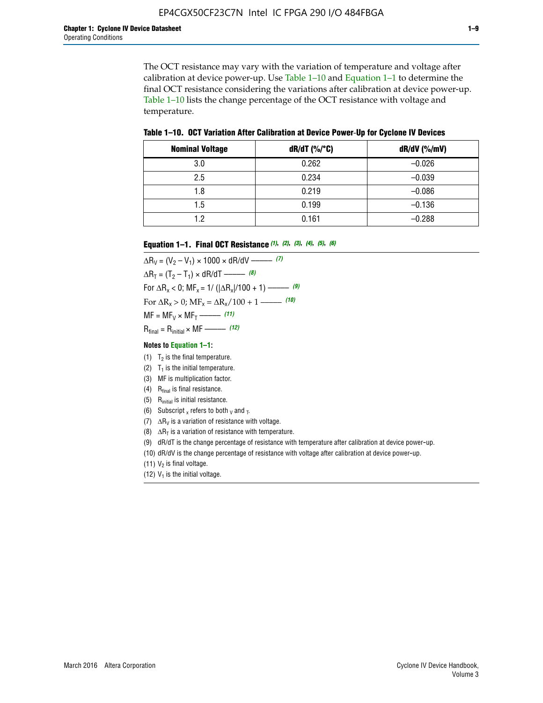The OCT resistance may vary with the variation of temperature and voltage after calibration at device power-up. Use Table 1–10 and Equation 1–1 to determine the final OCT resistance considering the variations after calibration at device power-up. Table 1–10 lists the change percentage of the OCT resistance with voltage and temperature.

**Table 1–10. OCT Variation After Calibration at Device Power**-**Up for Cyclone IV Devices**

| <b>Nominal Voltage</b> | dR/dT (%/°C) | $dR/dV$ (%/mV) |
|------------------------|--------------|----------------|
| 3.0                    | 0.262        | $-0.026$       |
| 2.5                    | 0.234        | $-0.039$       |
| 1.8                    | 0.219        | $-0.086$       |
| 1.5                    | 0.199        | $-0.136$       |
| 1.2                    | 0.161        | $-0.288$       |

#### **Equation 1–1. Final OCT Resistance** *(1)***,** *(2)***,** *(3)***,** *(4)***,** *(5)***,** *(6)*

 $\Delta R_V = (V_2 - V_1) \times 1000 \times dR/dV$  ––––––––––––(7)  $\Delta R_T = (T_2 - T_1) \times dR/dT$  –––––––– *(8)* For  $\Delta R_x < 0$ ; MF<sub>x</sub> = 1/ ( $|\Delta R_x|/100 + 1$ ) –––––– (9) For  $\Delta R_x > 0$ ;  $\text{MF}_x = \Delta R_x / 100 + 1$  ——– (10)  $MF = MF_V \times MF_T$  –––––––––––(11) Rfinal = Rinitial × MF ––––– *(12)*

#### **Notes to Equation 1–1:**

- (1)  $T_2$  is the final temperature.
- (2)  $T_1$  is the initial temperature.
- (3) MF is multiplication factor.
- (4)  $R<sub>final</sub>$  is final resistance.
- (5) Rinitial is initial resistance.
- (6) Subscript x refers to both  $\sqrt{v}$  and  $\sqrt{v}$ .
- (7)  $\Delta R_V$  is a variation of resistance with voltage.
- (8)  $\Delta R_T$  is a variation of resistance with temperature.
- (9) dR/dT is the change percentage of resistance with temperature after calibration at device power-up.
- (10) dR/dV is the change percentage of resistance with voltage after calibration at device power-up.
- (11)  $V_2$  is final voltage.
- (12)  $V_1$  is the initial voltage.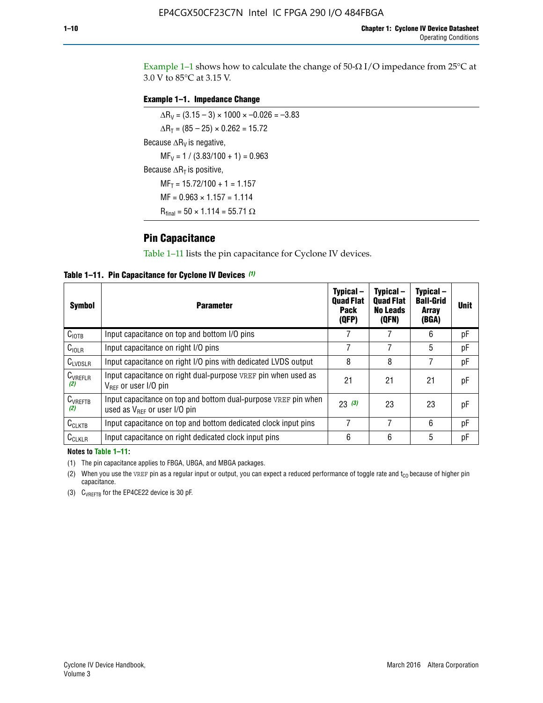Example 1-1 shows how to calculate the change of  $50$ - $\Omega$  I/O impedance from 25°C at 3.0 V to 85°C at 3.15 V.

#### **Example 1–1. Impedance Change**

 $\Delta R_V = (3.15 - 3) \times 1000 \times -0.026 = -3.83$  $\Delta R_T = (85 - 25) \times 0.262 = 15.72$ Because  $\Delta R_V$  is negative,  $MF_V = 1 / (3.83/100 + 1) = 0.963$ Because  $\Delta R_T$  is positive,  $MF_T = 15.72/100 + 1 = 1.157$  $MF = 0.963 \times 1.157 = 1.114$  $R_{final} = 50 \times 1.114 = 55.71 \Omega$ 

### **Pin Capacitance**

Table 1–11 lists the pin capacitance for Cyclone IV devices.

**Table 1–11. Pin Capacitance for Cyclone IV Devices** *(1)*

| <b>Symbol</b>       | <b>Parameter</b>                                                                                    | Typical-<br><b>Quad Flat</b><br><b>Pack</b><br>(QFP) | Typical-<br><b>Quad Flat</b><br><b>No Leads</b><br>(QFN) | Typical-<br><b>Ball-Grid</b><br><b>Array</b><br>(BGA) | <b>Unit</b> |
|---------------------|-----------------------------------------------------------------------------------------------------|------------------------------------------------------|----------------------------------------------------------|-------------------------------------------------------|-------------|
| C <sub>IOTB</sub>   | Input capacitance on top and bottom I/O pins                                                        |                                                      |                                                          | 6                                                     | рF          |
| $C_{IOLR}$          | Input capacitance on right I/O pins                                                                 |                                                      |                                                          | 5                                                     | рF          |
| $C_{LVDSLR}$        | Input capacitance on right I/O pins with dedicated LVDS output                                      | 8                                                    | 8                                                        | 7                                                     | рF          |
| $C_{VREFLR}$<br>(2) | Input capacitance on right dual-purpose VREF pin when used as<br>$V_{BFF}$ or user I/O pin          | 21                                                   | 21                                                       | 21                                                    | рF          |
| $C_{VREFTB}$<br>(2) | Input capacitance on top and bottom dual-purpose VREF pin when<br>used as $V_{BFF}$ or user I/O pin | 23(3)                                                | 23                                                       | 23                                                    | рF          |
| $C_{CLKTB}$         | Input capacitance on top and bottom dedicated clock input pins                                      | 7                                                    | 7                                                        | 6                                                     | pF          |
| $C_{CLKLR}$         | Input capacitance on right dedicated clock input pins                                               | 6                                                    | 6                                                        | 5                                                     | рF          |

#### **Notes to Table 1–11:**

(1) The pin capacitance applies to FBGA, UBGA, and MBGA packages.

(2) When you use the VREF pin as a regular input or output, you can expect a reduced performance of toggle rate and  $t_{\rm CO}$  because of higher pin capacitance.

(3) CVREFTB for the EP4CE22 device is 30 pF.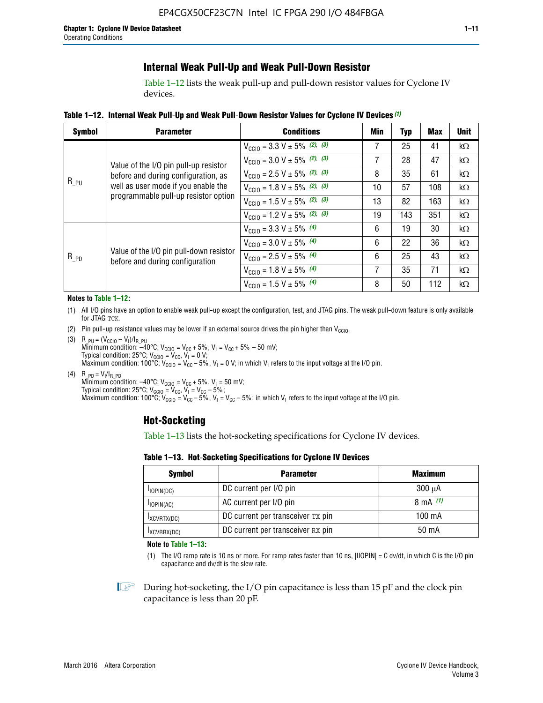## **Internal Weak Pull-Up and Weak Pull-Down Resistor**

Table 1–12 lists the weak pull-up and pull-down resistor values for Cyclone IV devices.

**Table 1–12. Internal Weak Pull**-**Up and Weak Pull**-**Down Resistor Values for Cyclone IV Devices** *(1)*

| <b>Symbol</b> | <b>Parameter</b>                                                                                                    | <b>Conditions</b>                                  | Min | Typ                                                                     | <b>Max</b> | <b>Unit</b> |
|---------------|---------------------------------------------------------------------------------------------------------------------|----------------------------------------------------|-----|-------------------------------------------------------------------------|------------|-------------|
|               |                                                                                                                     | $V_{\text{CC10}} = 3.3 \text{ V} \pm 5\%$ (2), (3) |     | 25                                                                      | 41         | kΩ          |
|               |                                                                                                                     | $V_{\text{CC10}} = 3.0 \text{ V} \pm 5\%$ (2), (3) | 7   | 28                                                                      | 47         | $k\Omega$   |
|               | before and during configuration, as                                                                                 | $V_{\text{CC10}} = 2.5 V \pm 5\%$ (2), (3)         | 8   | 35                                                                      | 61         | kΩ          |
| $R_{PU}$      | well as user mode if you enable the<br>programmable pull-up resistor option                                         | $V_{\text{CC10}} = 1.8 V \pm 5\%$ (2), (3)         | 10  | 57                                                                      | 108        | kΩ          |
|               |                                                                                                                     | $V_{\text{CC10}} = 1.5 V \pm 5\%$ (2), (3)         | 13  | 82                                                                      | 163        | kΩ          |
|               |                                                                                                                     | $V_{\text{CC10}} = 1.2 \text{ V} \pm 5\%$ (2), (3) | 19  | 143<br>351<br>19<br>30<br>22<br>36<br>25<br>43<br>35<br>71<br>50<br>112 | kΩ         |             |
|               |                                                                                                                     | $V_{\text{CC10}} = 3.3 V \pm 5\%$ (4)              | 6   |                                                                         |            | kΩ          |
|               |                                                                                                                     | $V_{\text{CC10}} = 3.0 V \pm 5\%$ (4)              | 6   |                                                                         |            | kΩ          |
| $R_{PD}$      |                                                                                                                     | $V_{\text{CC10}} = 2.5 V \pm 5\%$ (4)              | 6   |                                                                         |            | kΩ          |
|               |                                                                                                                     | $V_{\text{CC10}} = 1.8 \text{ V} \pm 5\%$ (4)      | 7   |                                                                         |            | kΩ          |
|               | Value of the I/O pin pull-up resistor<br>Value of the I/O pin pull-down resistor<br>before and during configuration | $V_{\text{CC10}} = 1.5 V \pm 5\%$ (4)              | 8   |                                                                         |            | kΩ          |

#### **Notes to Table 1–12:**

- (1) All I/O pins have an option to enable weak pull-up except the configuration, test, and JTAG pins. The weak pull-down feature is only available for JTAG TCK.
- (2) Pin pull-up resistance values may be lower if an external source drives the pin higher than  $V_{\text{CCIO}}$ .
- (3)  $R_{PU} = (V_{CC10} V_1)/I_{R_PU}$ Minimum condition: –40°C; V<sub>CCIO</sub> = V<sub>CC</sub> + 5%, V<sub>I</sub> = V<sub>CC</sub> + 5% – 50 mV; Typical condition: 25°C; V<sub>CCIO</sub> = V<sub>CC</sub>, V<sub>I</sub> = 0 V; Maximum condition: 100°C;  $V_{\text{CCIO}} = V_{\text{CC}} - 5\%$ ,  $V_1 = 0$  V; in which V<sub>I</sub> refers to the input voltage at the I/O pin.
- (4)  $R_{PD} = V_I/I_{R_PD}$ Minimum condition:  $-40^{\circ}$ C; V<sub>CCIO</sub> = V<sub>CC</sub> + 5%, V<sub>I</sub> = 50 mV; Typical condition: 25°C;  $V_{\text{CCIO}} = V_{\text{CC}}$ ,  $V_{\text{I}} = V_{\text{CC}} - 5\%$ ; Maximum condition: 100°C; V<sub>CClO</sub> = V<sub>CC</sub> – 5%, V<sub>I</sub> = V<sub>CC</sub> – 5%; in which V<sub>I</sub> refers to the input voltage at the I/O pin.

#### **Hot-Socketing**

Table 1–13 lists the hot-socketing specifications for Cyclone IV devices.

**Table 1–13. Hot**-**Socketing Specifications for Cyclone IV Devices**

| <b>Symbol</b> | <b>Parameter</b>                  | <b>Maximum</b> |
|---------------|-----------------------------------|----------------|
| $I$ IOPIN(DC) | DC current per I/O pin            | $300 \mu A$    |
| $I$ IOPIN(AC) | AC current per I/O pin            | 8 mA $(1)$     |
| IXCVRTX(DC)   | DC current per transceiver TX pin | 100 mA         |
| IXCVRRX(DC)   | DC current per transceiver RX pin | 50 mA          |

**Note to Table 1–13:**

(1) The I/O ramp rate is 10 ns or more. For ramp rates faster than 10 ns, |IIOPIN| = C dv/dt, in which C is the I/O pin capacitance and dv/dt is the slew rate.

 $\mathbb{I} \rightarrow \mathbb{I}$  During hot-socketing, the I/O pin capacitance is less than 15 pF and the clock pin capacitance is less than 20 pF.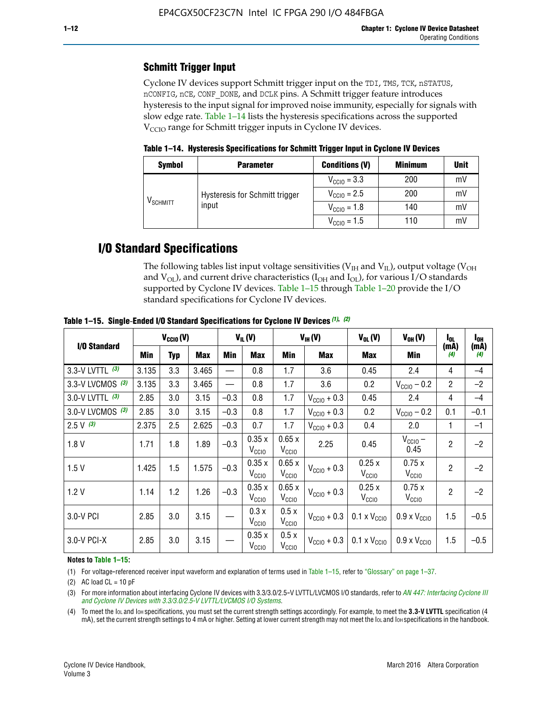## **Schmitt Trigger Input**

Cyclone IV devices support Schmitt trigger input on the TDI, TMS, TCK, nSTATUS, nCONFIG, nCE, CONF\_DONE, and DCLK pins. A Schmitt trigger feature introduces hysteresis to the input signal for improved noise immunity, especially for signals with slow edge rate. Table 1–14 lists the hysteresis specifications across the supported  $V<sub>CCIO</sub>$  range for Schmitt trigger inputs in Cyclone IV devices.

**Table 1–14. Hysteresis Specifications for Schmitt Trigger Input in Cyclone IV Devices**

| <b>Symbol</b>                  | <b>Parameter</b>               | <b>Conditions (V)</b>   | <b>Minimum</b> | <b>Unit</b> |
|--------------------------------|--------------------------------|-------------------------|----------------|-------------|
|                                |                                | $V_{\text{CGI0}} = 3.3$ | 200            | mV          |
|                                | Hysteresis for Schmitt trigger | $V_{\text{CCIO}} = 2.5$ | 200            | mV          |
| $\mathsf{V}_{\mathsf{SCHMIT}}$ | input                          | $V_{\text{CCIO}} = 1.8$ | 140            | mV          |
|                                |                                | $V_{\text{CCIO}} = 1.5$ | 110            | mV          |

## **I/O Standard Specifications**

The following tables list input voltage sensitivities ( $V<sub>IH</sub>$  and  $V<sub>II</sub>$ ), output voltage ( $V<sub>OH</sub>$ and  $V_{OL}$ ), and current drive characteristics ( $I_{OH}$  and  $I_{OL}$ ), for various I/O standards supported by Cyclone IV devices. Table 1–15 through Table 1–20 provide the I/O standard specifications for Cyclone IV devices.

|                    | $V_{CClO}(V)$ |     | $V_{IL}(V)$ |        | $V_{IH} (V)$               |                            | $V_{OL}(V)$             | $V_{OH} (V)$                                    | l <sub>ol</sub>              | $I_{0H}$       |             |
|--------------------|---------------|-----|-------------|--------|----------------------------|----------------------------|-------------------------|-------------------------------------------------|------------------------------|----------------|-------------|
| I/O Standard       | <b>Min</b>    | Typ | Max         | Min    | Max                        | Min                        | <b>Max</b>              | Max                                             | Min                          | (mA)<br>(4)    | (mA)<br>(4) |
| 3.3-V LVTTL (3)    | 3.135         | 3.3 | 3.465       |        | 0.8                        | 1.7                        | 3.6                     | 0.45                                            | 2.4                          | 4              | $-4$        |
| 3.3-V LVCMOS $(3)$ | 3.135         | 3.3 | 3.465       |        | 0.8                        | 1.7                        | 3.6                     | 0.2                                             | $V_{\text{CC10}} - 0.2$      | $\overline{2}$ | $-2$        |
| 3.0-V LVTTL (3)    | 2.85          | 3.0 | 3.15        | $-0.3$ | 0.8                        | 1.7                        | $V_{\text{CC10}} + 0.3$ | 0.45                                            | 2.4                          | 4              | $-4$        |
| 3.0-V LVCMOS (3)   | 2.85          | 3.0 | 3.15        | $-0.3$ | 0.8                        | 1.7                        | $V_{\text{CC10}} + 0.3$ | 0.2                                             | $V_{\text{CC10}} - 0.2$      | 0.1            | $-0.1$      |
| $2.5 V$ (3)        | 2.375         | 2.5 | 2.625       | $-0.3$ | 0.7                        | 1.7                        | $V_{\text{CGI0}} + 0.3$ | 0.4                                             | 2.0                          | 1              | $-1$        |
| 1.8V               | 1.71          | 1.8 | 1.89        | $-0.3$ | 0.35x<br>V <sub>CCIO</sub> | 0.65x<br>V <sub>CCIO</sub> | 2.25                    | 0.45                                            | $V_{CGIO}$ –<br>0.45         | $\overline{2}$ | $-2$        |
| 1.5V               | 1.425         | 1.5 | 1.575       | $-0.3$ | 0.35x<br>V <sub>CCIO</sub> | 0.65x<br>V <sub>CCIO</sub> | $V_{\text{CC10}} + 0.3$ | 0.25x<br>V <sub>CClO</sub>                      | 0.75x<br>V <sub>CCIO</sub>   | $\overline{2}$ | $-2$        |
| 1.2V               | 1.14          | 1.2 | 1.26        | $-0.3$ | 0.35x<br>V <sub>CCIO</sub> | 0.65x<br>V <sub>CCIO</sub> | $V_{\text{CC10}} + 0.3$ | 0.25x<br>V <sub>CClO</sub>                      | 0.75x<br>V <sub>CCIO</sub>   | $\overline{2}$ | $-2$        |
| 3.0-V PCI          | 2.85          | 3.0 | 3.15        |        | 0.3x<br>V <sub>CCIO</sub>  | 0.5x<br>V <sub>CCIO</sub>  | $V_{\text{CCI0}} + 0.3$ | $0.1 \times V_{\text{CC10}}$                    | $0.9 \times V_{\text{CC10}}$ | 1.5            | $-0.5$      |
| $3.0 - V$ PCI-X    | 2.85          | 3.0 | 3.15        |        | 0.35x<br>V <sub>CCIO</sub> | 0.5x<br>V <sub>CCIO</sub>  |                         | $V_{\text{CC10}} + 0.3$ 0.1 x $V_{\text{CC10}}$ | $0.9 \times V_{\text{CC10}}$ | 1.5            | $-0.5$      |

**Table 1–15. Single**-**Ended I/O Standard Specifications for Cyclone IV Devices** *(1)***,** *(2)*

#### **Notes to Table 1–15:**

(1) For voltage-referenced receiver input waveform and explanation of terms used in Table 1–15, refer to "Glossary" on page 1–37.

(2) AC load  $CL = 10$  pF

(3) For more information about interfacing Cyclone IV devices with 3.3/3.0/2.5-V LVTTL/LVCMOS I/O standards, refer to *[AN 447: Interfacing Cyclone III](http://www.altera.com/literature/an/an447.pdf)  [and Cyclone IV Devices with 3.3/3.0/2.5-V LVTTL/LVCMOS I/O Systems](http://www.altera.com/literature/an/an447.pdf)*.

(4) To meet the IOL and IOH specifications, you must set the current strength settings accordingly. For example, to meet the **3.3-V LVTTL** specification (4 mA), set the current strength settings to 4 mA or higher. Setting at lower current strength may not meet the lou and lon specifications in the handbook.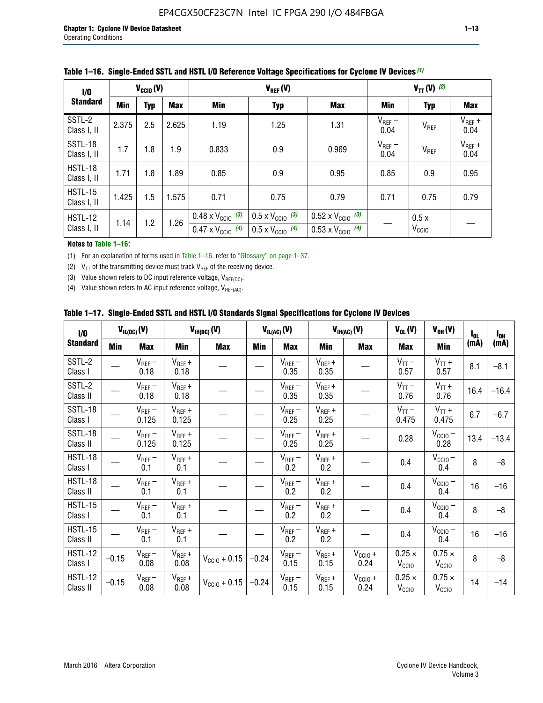| 1/0                    | $V_{CGI0}(V)$ |            |       |                                                                        | $V_{TT} (V)$ (2)                                                     |                                                                        |                     |                           |                     |
|------------------------|---------------|------------|-------|------------------------------------------------------------------------|----------------------------------------------------------------------|------------------------------------------------------------------------|---------------------|---------------------------|---------------------|
| <b>Standard</b>        | <b>Min</b>    | <b>Typ</b> | Max   | Min                                                                    | <b>Typ</b>                                                           | <b>Max</b>                                                             | Min                 | <b>Typ</b>                | Max                 |
| SSTL-2<br>Class I, II  | 2.375         | 2.5        | 2.625 | 1.19                                                                   | 1.25                                                                 | 1.31                                                                   | $V_{REF}$ –<br>0.04 | V <sub>REF</sub>          | $V_{REF}$ +<br>0.04 |
| SSTL-18<br>Class I, II | 1.7           | 1.8        | 1.9   | 0.833                                                                  | 0.9                                                                  | 0.969                                                                  | $V_{REF}$ –<br>0.04 | V <sub>REF</sub>          | $V_{REF}$ +<br>0.04 |
| HSTL-18<br>Class I, II | 1.71          | 1.8        | .89   | 0.85                                                                   | 0.9                                                                  | 0.95                                                                   | 0.85                | 0.9                       | 0.95                |
| HSTL-15<br>Class I, II | 1.425         | 1.5        | 1.575 | 0.71                                                                   | 0.75                                                                 | 0.79                                                                   | 0.71                | 0.75                      | 0.79                |
| HSTL-12<br>Class I, II | 1.14          | 1.2        | 1.26  | $0.48 \times V_{\text{CC10}}$ (3)<br>$0.47 \times V_{\text{CC10}}$ (4) | $0.5 \times V_{\text{CC10}}$ (3)<br>$0.5 \times V_{\text{CC10}}$ (4) | $0.52 \times V_{\text{CC10}}$ (3)<br>$0.53 \times V_{\text{CC10}}$ (4) |                     | 0.5x<br>V <sub>CCIO</sub> |                     |

|  |  |  |  | Table 1–16. Single-Ended SSTL and HSTL I/O Reference Voltage Specifications for Cyclone IV Devices (1) |
|--|--|--|--|--------------------------------------------------------------------------------------------------------|
|--|--|--|--|--------------------------------------------------------------------------------------------------------|

#### **Notes to Table 1–16:**

(1) For an explanation of terms used in Table 1–16, refer to "Glossary" on page 1–37.

(2)  $V_{TT}$  of the transmitting device must track  $V_{REF}$  of the receiving device.

(3) Value shown refers to DC input reference voltage,  $V_{REF(DC)}$ .

(4) Value shown refers to AC input reference voltage,  $V_{REF(AC)}$ .

|  | Table 1–17.  Single-Ended SSTL and HSTL I/O Standards Signal Specifications for Cyclone IV Devices |  |  |  |  |  |
|--|----------------------------------------------------------------------------------------------------|--|--|--|--|--|
|--|----------------------------------------------------------------------------------------------------|--|--|--|--|--|

| I/O                        |            | $V_{IL(DC)}(V)$      |                                      | $V_{IH(DC)}(V)$   |         | $V_{IL(AC)}(V)$     |                     | $V_{IH(AC)}(V)$      | $V_{OL}(V)$                        | $V_{OH} (V)$                       | $I_{0L}$ | $I_{0H}$ |
|----------------------------|------------|----------------------|--------------------------------------|-------------------|---------|---------------------|---------------------|----------------------|------------------------------------|------------------------------------|----------|----------|
| <b>Standard</b>            | <b>Min</b> | Max                  | <b>Min</b>                           | <b>Max</b>        | Min     | Max                 | Min                 | <b>Max</b>           | Max                                | Min                                | (mA)     | (mA)     |
| SSTL-2<br>Class I          |            | $V_{REF}$ –<br>0.18  | $V_{REF} +$<br>0.18                  |                   |         | $V_{REF}$ –<br>0.35 | $V_{REF} +$<br>0.35 |                      | $V_{TT}$ –<br>0.57                 | $V_{TT}$ +<br>0.57                 | 8.1      | $-8.1$   |
| SSTL-2<br>Class II         |            | $V_{REF}$ –<br>0.18  | $V_{REF} +$<br>0.18                  |                   |         | $V_{REF}$ –<br>0.35 | $V_{REF} +$<br>0.35 |                      | $V_{TT}$ –<br>0.76                 | $V_{TT}$ +<br>0.76                 | 16.4     | $-16.4$  |
| <b>SSTL-18</b><br>Class I  |            | $V_{REF}$ –<br>0.125 | $V_{REF}$ +<br>0.125                 |                   |         | $V_{REF}$ –<br>0.25 | $V_{REF} +$<br>0.25 |                      | $V_{TT}$ –<br>0.475                | $V_{TT}$ +<br>0.475                | 6.7      | $-6.7$   |
| SSTL-18<br>Class II        |            | $V_{REF}$ –<br>0.125 | $V_{REF}$ +<br>0.125                 |                   |         | $V_{REF}$ –<br>0.25 | $V_{REF}$ +<br>0.25 |                      | 0.28                               | $V_{CCIO}$ –<br>0.28               | 13.4     | $-13.4$  |
| HSTL-18<br>Class I         |            | $V_{REF}$ –<br>0.1   | $\mathsf{V}_{\mathsf{REF}}$ +<br>0.1 |                   |         | $V_{REF}$ –<br>0.2  | $V_{REF}$ +<br>0.2  |                      | 0.4                                | $V_{\text{CCIO}}-$<br>0.4          | 8        | $-8$     |
| HSTL-18<br>Class II        |            | $V_{REF}$ –<br>0.1   | $V_{REF}$ +<br>0.1                   |                   |         | $V_{REF}$ –<br>0.2  | $V_{REF} +$<br>0.2  |                      | 0.4                                | $V_{CC10}$ –<br>0.4                | 16       | $-16$    |
| HSTL-15<br>Class I         |            | $V_{REF}$ –<br>0.1   | $V_{REF}$ +<br>0.1                   |                   |         | $V_{REF}$ –<br>0.2  | $V_{REF}$ +<br>0.2  |                      | 0.4                                | $V_{CC10}$ –<br>0.4                | 8        | $-8$     |
| HSTL-15<br>Class II        |            | $V_{REF}$ –<br>0.1   | $V_{REF} +$<br>0.1                   |                   |         | $V_{REF}$ –<br>0.2  | $V_{REF} +$<br>0.2  |                      | 0.4                                | $V_{CC10}$ –<br>0.4                | 16       | $-16$    |
| <b>HSTL-12</b><br>Class I  | $-0.15$    | $V_{REF}-$<br>0.08   | $V_{REF} +$<br>0.08                  | $V_{CGI0} + 0.15$ | $-0.24$ | $V_{REF}$ –<br>0.15 | $V_{REF} +$<br>0.15 | $V_{CClO}$ +<br>0.24 | $0.25 \times$<br>$V_{\rm CClO}$    | $0.75 \times$<br>V <sub>CCIO</sub> | 8        | $-8$     |
| <b>HSTL-12</b><br>Class II | $-0.15$    | $V_{REF}$ –<br>0.08  | $V_{REF} +$<br>0.08                  | $V_{CGI0} + 0.15$ | $-0.24$ | $V_{REF}$ –<br>0.15 | $V_{REF} +$<br>0.15 | $V_{CCIO}$ +<br>0.24 | $0.25 \times$<br>V <sub>CCIO</sub> | $0.75 \times$<br>V <sub>CCIO</sub> | 14       | $-14$    |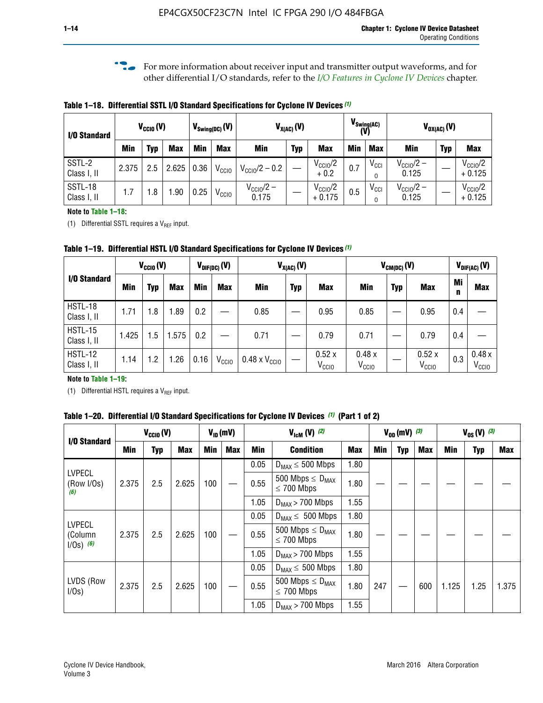**f For more information about receiver input and transmitter output waveforms, and for** other differential I/O standards, refer to the *[I/O Features in Cyclone IV Devices](http://www.altera.com/literature/hb/cyclone-iv/cyiv-51006.pdf)* chapter*.*

**Table 1–18. Differential SSTL I/O Standard Specifications for Cyclone IV Devices** *(1)*

| I/O Standard           |       | $V_{CCl0}(V)$ |            |      | $V_{\text{Swing(DC)}}(V)$ |                                | $V_{X(AC)}(V)$ |                                 | $V_{\text{Swing(AC)}}$<br>(V) |               |                                | $V_{OX(AC)}(V)$ |                                 |  |
|------------------------|-------|---------------|------------|------|---------------------------|--------------------------------|----------------|---------------------------------|-------------------------------|---------------|--------------------------------|-----------------|---------------------------------|--|
|                        | Min   | Typ           | <b>Max</b> | Min  | <b>Max</b>                | <b>Min</b>                     | <b>Typ</b>     | <b>Max</b>                      | <b>Min</b>                    | <b>Max</b>    | Min                            | <b>Typ</b>      | <b>Max</b>                      |  |
| SSTL-2<br>Class I, II  | 2.375 | 2.5           | 2.625      | 0.36 | V <sub>CCIO</sub>         | $V_{\text{CC10}}/2 - 0.2$      |                | $V_{\text{CC10}}/2$<br>$+0.2$   | 0.7                           | $V_{\rm CCI}$ | $V_{\text{CC10}}/2 -$<br>0.125 |                 | $V_{\text{CC10}}/2$<br>$+0.125$ |  |
| SSTL-18<br>Class I, II | 1.7   | .8            | .90        | 0.25 | V <sub>CCIO</sub>         | $V_{\text{CC10}}/2 -$<br>0.175 |                | $V_{\text{CC10}}/2$<br>$+0.175$ | 0.5                           | $V_{\rm CCI}$ | $V_{\text{CC10}}/2 -$<br>0.125 |                 | $V_{\text{CC10}}/2$<br>$+0.125$ |  |

#### **Note to Table 1–18:**

(1) Differential SSTL requires a  $V_{REF}$  input.

**Table 1–19. Differential HSTL I/O Standard Specifications for Cyclone IV Devices** *(1)*

|                               | $V_{CClO}(V)$ |     |            | $V_{\text{DIF(DC)}}(V)$ |                   | $V_{X(AC)}(V)$                |            |                            | $V_{CM(DC)}(V)$            |            |                            |         | $V_{\text{DIF(AC)}}(V)$    |  |
|-------------------------------|---------------|-----|------------|-------------------------|-------------------|-------------------------------|------------|----------------------------|----------------------------|------------|----------------------------|---------|----------------------------|--|
| I/O Standard                  | Min           | Typ | <b>Max</b> | Min                     | <b>Max</b>        | Min                           | <b>Typ</b> | <b>Max</b>                 | Min                        | <b>Typ</b> | <b>Max</b>                 | Mi<br>n | <b>Max</b>                 |  |
| HSTL-18<br>Class I, II        | 1.71          | 1.8 | .89        | 0.2                     |                   | 0.85                          |            | 0.95                       | 0.85                       |            | 0.95                       | 0.4     |                            |  |
| <b>HSTL-15</b><br>Class I, II | 1.425         | 1.5 | .575       | $0.2\,$                 |                   | 0.71                          |            | 0.79                       | 0.71                       |            | 0.79                       | 0.4     |                            |  |
| <b>HSTL-12</b><br>Class I, II | 1.14          | 1.2 | 1.26       | 0.16                    | V <sub>CCIO</sub> | $0.48 \times V_{\text{CC10}}$ |            | 0.52x<br>V <sub>CCIO</sub> | 0.48x<br>V <sub>CCIO</sub> |            | 0.52x<br>V <sub>CCIO</sub> | 0.3     | 0.48x<br>V <sub>CCIO</sub> |  |

#### **Note to Table 1–19:**

(1) Differential HSTL requires a  $V_{REF}$  input.

**Table 1–20. Differential I/O Standard Specifications for Cyclone IV Devices** *(1)* **(Part 1 of 2)**

| I/O Standard                            |       | $V_{CCl0} (V)$ |            |            | $V_{ID}$ (mV) | $V_{\text{lcm}}(V)^{(2)}$ |                                                     | $V_{0D}$ (mV) $(3)$ |     |     | $V_{0S} (V)^{(3)}$ |       |            |       |
|-----------------------------------------|-------|----------------|------------|------------|---------------|---------------------------|-----------------------------------------------------|---------------------|-----|-----|--------------------|-------|------------|-------|
|                                         | Min   | Typ            | <b>Max</b> | <b>Min</b> | <b>Max</b>    | Min                       | <b>Condition</b>                                    | <b>Max</b>          | Min | Typ | Max                | Min   | <b>Typ</b> | Max   |
|                                         |       |                |            |            |               | 0.05                      | $D_{MAX} \leq 500$ Mbps                             | 1.80                |     |     |                    |       |            |       |
| <b>LVPECL</b><br>(Row I/Os)<br>(6)      | 2.375 | 2.5            | 2.625      | 100        |               | 0.55                      | 500 Mbps $\leq$ D <sub>MAX</sub><br>$\leq$ 700 Mbps | 1.80                |     |     |                    |       |            |       |
|                                         |       |                |            |            |               | 1.05                      | $D_{MAX}$ > 700 Mbps                                | 1.55                |     |     |                    |       |            |       |
|                                         |       |                |            |            |               | 0.05                      | $D_{MAX} \leq 500$ Mbps                             | 1.80                |     |     |                    |       |            |       |
| <b>LVPECL</b><br>(Column<br>$1/Os)$ (6) | 2.375 | 2.5            | 2.625      | 100        |               | 0.55                      | 500 Mbps $\leq D_{MAX}$<br>$\leq$ 700 Mbps          | 1.80                |     |     |                    |       |            |       |
|                                         |       |                |            |            |               | 1.05                      | $D_{MAX}$ > 700 Mbps                                | 1.55                |     |     |                    |       |            |       |
|                                         |       |                |            |            |               | 0.05                      | $D_{MAX} \leq 500$ Mbps                             | 1.80                |     |     |                    |       |            |       |
| LVDS (Row<br>I/Os)                      | 2.375 | 2.5            | 2.625      | 100        |               | 0.55                      | 500 Mbps $\leq D_{MAX}$<br>$\leq 700$ Mbps          | 1.80                | 247 |     | 600                | 1.125 | 1.25       | 1.375 |
|                                         |       |                |            |            |               | 1.05                      | $D_{MAX}$ > 700 Mbps                                | 1.55                |     |     |                    |       |            |       |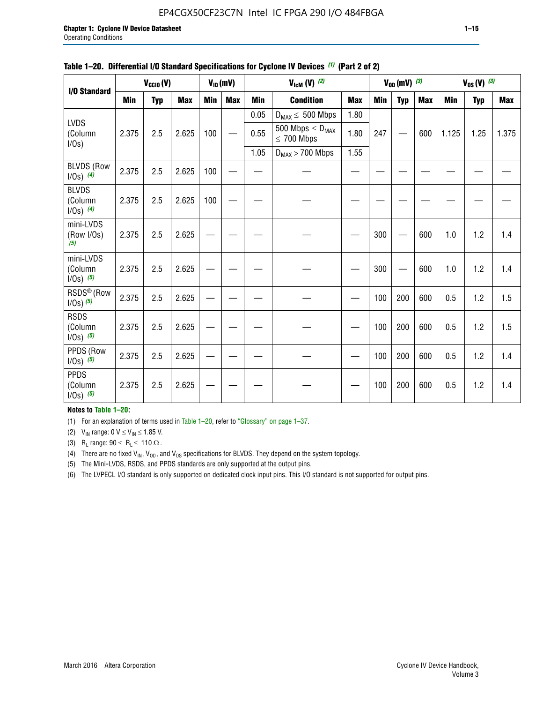#### EP4CGX50CF23C7N Intel IC FPGA 290 I/O 484FBGA

|                                         |            | $V_{\text{CCIO}}(V)$ | $V_{ID}(mV)$<br>$V_{\text{lcm}}(V)^{(2)}$ |     |            |            |                                            |            |     | $V_{OD}$ (mV) $(3)$ |            | $V_{0S} (V)$ (3) |            |       |  |
|-----------------------------------------|------------|----------------------|-------------------------------------------|-----|------------|------------|--------------------------------------------|------------|-----|---------------------|------------|------------------|------------|-------|--|
| I/O Standard                            |            |                      |                                           |     |            |            |                                            |            |     |                     |            |                  |            |       |  |
|                                         | <b>Min</b> | <b>Typ</b>           | <b>Max</b>                                | Min | <b>Max</b> | <b>Min</b> | <b>Condition</b>                           | <b>Max</b> | Min | <b>Typ</b>          | <b>Max</b> | <b>Min</b>       | <b>Typ</b> | Max   |  |
|                                         |            |                      |                                           |     |            | 0.05       | $D_{MAX} \leq 500$ Mbps                    | 1.80       |     |                     |            |                  |            |       |  |
| LVDS<br>(Column<br>$I/Os$ )             | 2.375      | 2.5                  | 2.625                                     | 100 |            | 0.55       | 500 Mbps $\leq D_{MAX}$<br>$\leq 700$ Mbps | 1.80       | 247 |                     | 600        | 1.125            | 1.25       | 1.375 |  |
|                                         |            |                      |                                           |     |            | 1.05       | $D_{MAX}$ > 700 Mbps                       | 1.55       |     |                     |            |                  |            |       |  |
| <b>BLVDS (Row</b><br>$1/0s)$ (4)        | 2.375      | 2.5                  | 2.625                                     | 100 |            |            |                                            |            |     |                     |            |                  |            |       |  |
| <b>BLVDS</b><br>(Column<br>$1/0s)$ (4)  | 2.375      | 2.5                  | 2.625                                     | 100 |            |            |                                            |            |     |                     |            |                  |            |       |  |
| mini-LVDS<br>(Row I/Os)<br>(5)          | 2.375      | 2.5                  | 2.625                                     |     |            |            |                                            |            | 300 |                     | 600        | 1.0              | 1.2        | 1.4   |  |
| mini-LVDS<br>(Column<br>$1/0s)$ (5)     | 2.375      | 2.5                  | 2.625                                     |     |            |            |                                            |            | 300 |                     | 600        | 1.0              | 1.2        | 1.4   |  |
| RSDS <sup>®</sup> (Row<br>$1/0s)$ $(5)$ | 2.375      | 2.5                  | 2.625                                     |     |            |            |                                            |            | 100 | 200                 | 600        | 0.5              | 1.2        | 1.5   |  |
| <b>RSDS</b><br>(Column<br>$1/0s)$ (5)   | 2.375      | 2.5                  | 2.625                                     |     |            |            |                                            |            | 100 | 200                 | 600        | 0.5              | 1.2        | 1.5   |  |
| PPDS (Row<br>$1/0s)$ (5)                | 2.375      | 2.5                  | 2.625                                     |     |            |            |                                            |            | 100 | 200                 | 600        | 0.5              | 1.2        | 1.4   |  |
| <b>PPDS</b><br>(Column<br>$1/Os)$ (5)   | 2.375      | 2.5                  | 2.625                                     |     |            |            |                                            |            | 100 | 200                 | 600        | 0.5              | 1.2        | 1.4   |  |

#### **Table 1–20. Differential I/O Standard Specifications for Cyclone IV Devices** *(1)* **(Part 2 of 2)**

#### **Notes to Table 1–20:**

(1) For an explanation of terms used in Table 1–20, refer to "Glossary" on page 1–37.

(2)  $V_{IN}$  range: 0  $V \le V_{IN} \le 1.85$  V.

(3) R<sub>L</sub> range:  $90 \le R_L \le 110 \Omega$ .

(4) There are no fixed  $V_{IN}$ ,  $V_{OD}$ , and  $V_{OS}$  specifications for BLVDS. They depend on the system topology.

(5) The Mini-LVDS, RSDS, and PPDS standards are only supported at the output pins.

(6) The LVPECL I/O standard is only supported on dedicated clock input pins. This I/O standard is not supported for output pins.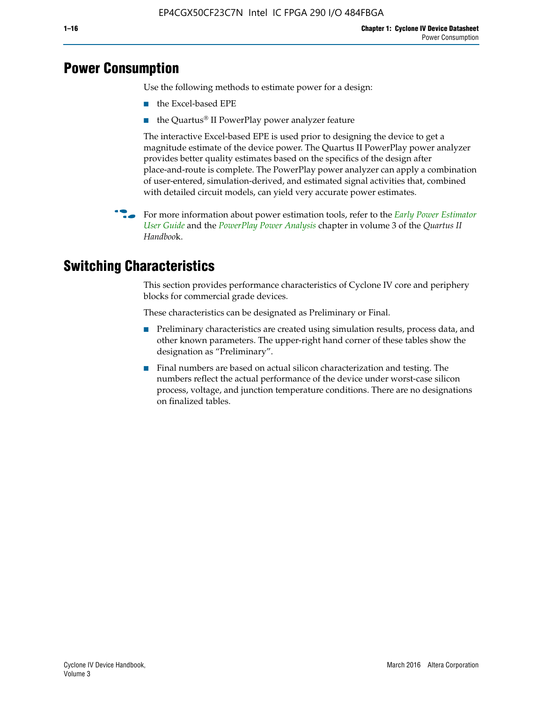## **Power Consumption**

Use the following methods to estimate power for a design:

- the Excel-based EPE
- the Quartus® II PowerPlay power analyzer feature

The interactive Excel-based EPE is used prior to designing the device to get a magnitude estimate of the device power. The Quartus II PowerPlay power analyzer provides better quality estimates based on the specifics of the design after place-and-route is complete. The PowerPlay power analyzer can apply a combination of user-entered, simulation-derived, and estimated signal activities that, combined with detailed circuit models, can yield very accurate power estimates.

f For more information about power estimation tools, refer to the *[Early Power Estimator](http://www.altera.com/literature/ug/ug_epe.pdf
)  [User Guide](http://www.altera.com/literature/ug/ug_epe.pdf
)* and the *[PowerPlay Power Analysis](http://www.altera.com/literature/hb/qts/qts_qii53013.pdf)* chapter in volume 3 of the *Quartus II Handboo*k.

## **Switching Characteristics**

This section provides performance characteristics of Cyclone IV core and periphery blocks for commercial grade devices.

These characteristics can be designated as Preliminary or Final.

- Preliminary characteristics are created using simulation results, process data, and other known parameters. The upper-right hand corner of these tables show the designation as "Preliminary".
- Final numbers are based on actual silicon characterization and testing. The numbers reflect the actual performance of the device under worst-case silicon process, voltage, and junction temperature conditions. There are no designations on finalized tables.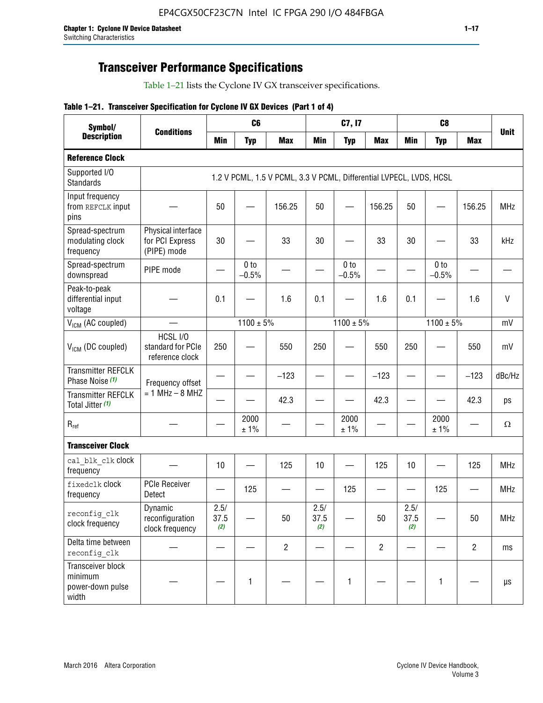## **Transceiver Performance Specifications**

Table 1–21 lists the Cyclone IV GX transceiver specifications.

|  |  |  |  | Table 1-21. Transceiver Specification for Cyclone IV GX Devices (Part 1 of 4) |  |
|--|--|--|--|-------------------------------------------------------------------------------|--|
|--|--|--|--|-------------------------------------------------------------------------------|--|

| Symbol/                                                   |                                                      |                          | C6                         |                                                                     |                          | C7, I7                     |                                |                     | C <sub>8</sub>             |                |             |
|-----------------------------------------------------------|------------------------------------------------------|--------------------------|----------------------------|---------------------------------------------------------------------|--------------------------|----------------------------|--------------------------------|---------------------|----------------------------|----------------|-------------|
| <b>Description</b>                                        | <b>Conditions</b>                                    | <b>Min</b>               | <b>Typ</b>                 | <b>Max</b>                                                          | <b>Min</b>               | <b>Typ</b>                 | <b>Max</b>                     | <b>Min</b>          | <b>Typ</b>                 | <b>Max</b>     | <b>Unit</b> |
| <b>Reference Clock</b>                                    |                                                      |                          |                            |                                                                     |                          |                            |                                |                     |                            |                |             |
| Supported I/O<br><b>Standards</b>                         |                                                      |                          |                            | 1.2 V PCML, 1.5 V PCML, 3.3 V PCML, Differential LVPECL, LVDS, HCSL |                          |                            |                                |                     |                            |                |             |
| Input frequency<br>from REFCLK input<br>pins              |                                                      | 50                       |                            | 156.25                                                              | 50                       |                            | 156.25                         | 50                  |                            | 156.25         | <b>MHz</b>  |
| Spread-spectrum<br>modulating clock<br>frequency          | Physical interface<br>for PCI Express<br>(PIPE) mode | 30                       |                            | 33                                                                  | 30                       |                            | 33                             | 30                  |                            | 33             | kHz         |
| Spread-spectrum<br>downspread                             | PIPE mode                                            |                          | 0 <sub>to</sub><br>$-0.5%$ |                                                                     |                          | 0 <sub>to</sub><br>$-0.5%$ |                                |                     | 0 <sub>to</sub><br>$-0.5%$ |                |             |
| Peak-to-peak<br>differential input<br>voltage             |                                                      | 0.1                      |                            | 1.6                                                                 | 0.1                      |                            | 1.6                            | 0.1                 |                            | 1.6            | $\vee$      |
| V <sub>ICM</sub> (AC coupled)                             |                                                      |                          | $1100 \pm 5\%$             |                                                                     |                          | $1100 \pm 5\%$             |                                |                     | $1100 \pm 5\%$             |                | mV          |
| $V_{ICM}$ (DC coupled)                                    | HCSL I/O<br>standard for PCIe<br>reference clock     | 250                      |                            | 550                                                                 | 250                      |                            | 550                            | 250                 |                            | 550            | mV          |
| <b>Transmitter REFCLK</b><br>Phase Noise (1)              | Frequency offset                                     | $\overline{\phantom{0}}$ |                            | $-123$                                                              | $\overline{\phantom{0}}$ |                            | $-123$                         |                     |                            | $-123$         | dBc/Hz      |
| <b>Transmitter REFCLK</b><br>Total Jitter (1)             | $= 1$ MHz $- 8$ MHZ                                  |                          |                            | 42.3                                                                | $\overline{\phantom{0}}$ |                            | 42.3                           |                     |                            | 42.3           | ps          |
| $R_{ref}$                                                 |                                                      |                          | 2000<br>± 1%               |                                                                     |                          | 2000<br>± 1%               |                                |                     | 2000<br>± 1%               |                | Ω           |
| <b>Transceiver Clock</b>                                  |                                                      |                          |                            |                                                                     |                          |                            |                                |                     |                            |                |             |
| cal blk clk clock<br>frequency                            |                                                      | 10                       |                            | 125                                                                 | 10                       |                            | 125                            | 10                  |                            | 125            | MHz         |
| fixedclk Clock<br>frequency                               | PCIe Receiver<br>Detect                              |                          | 125                        |                                                                     | —                        | 125                        | $\qquad \qquad \longleftarrow$ | —                   | 125                        |                | <b>MHz</b>  |
| reconfig_clk<br>clock frequency                           | Dynamic<br>reconfiguration<br>clock frequency        | 2.5/<br>37.5<br>(2)      |                            | 50                                                                  | 2.5/<br>37.5<br>(2)      |                            | 50                             | 2.5/<br>37.5<br>(2) |                            | 50             | <b>MHz</b>  |
| Delta time between<br>reconfig clk                        |                                                      |                          |                            | $\overline{2}$                                                      |                          |                            | $\overline{2}$                 |                     |                            | $\overline{2}$ | ms          |
| Transceiver block<br>minimum<br>power-down pulse<br>width |                                                      |                          | 1                          |                                                                     |                          | 1                          |                                |                     | $\mathbf{1}$               |                | $\mu s$     |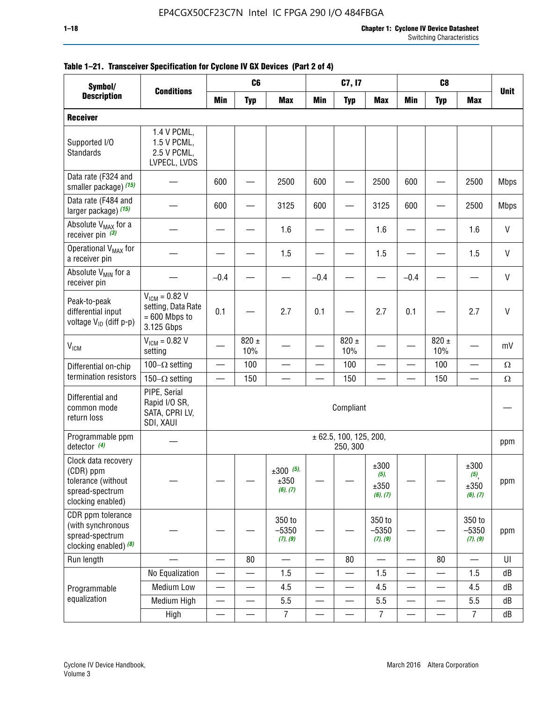| Symbol/                                                                                        |                                                                           | C <sub>8</sub><br>C <sub>6</sub><br>C7, I7<br><b>Conditions</b> |                          |                                 |                          |                                    |                                     |                          |                  |                                                |              |
|------------------------------------------------------------------------------------------------|---------------------------------------------------------------------------|-----------------------------------------------------------------|--------------------------|---------------------------------|--------------------------|------------------------------------|-------------------------------------|--------------------------|------------------|------------------------------------------------|--------------|
| <b>Description</b>                                                                             |                                                                           | <b>Min</b>                                                      | <b>Typ</b>               | <b>Max</b>                      | <b>Min</b>               | <b>Typ</b>                         | <b>Max</b>                          | <b>Min</b>               | <b>Typ</b>       | <b>Max</b>                                     | <b>Unit</b>  |
| <b>Receiver</b>                                                                                |                                                                           |                                                                 |                          |                                 |                          |                                    |                                     |                          |                  |                                                |              |
| Supported I/O<br>Standards                                                                     | 1.4 V PCML,<br>1.5 V PCML,<br>2.5 V PCML,<br>LVPECL, LVDS                 |                                                                 |                          |                                 |                          |                                    |                                     |                          |                  |                                                |              |
| Data rate (F324 and<br>smaller package) (15)                                                   |                                                                           | 600                                                             |                          | 2500                            | 600                      |                                    | 2500                                | 600                      |                  | 2500                                           | <b>Mbps</b>  |
| Data rate (F484 and<br>larger package) (15)                                                    |                                                                           | 600                                                             |                          | 3125                            | 600                      |                                    | 3125                                | 600                      |                  | 2500                                           | <b>Mbps</b>  |
| Absolute V <sub>MAX</sub> for a<br>receiver pin $(3)$                                          |                                                                           |                                                                 |                          | 1.6                             |                          |                                    | 1.6                                 |                          |                  | 1.6                                            | $\mathsf{V}$ |
| Operational V <sub>MAX</sub> for<br>a receiver pin                                             |                                                                           |                                                                 |                          | 1.5                             |                          |                                    | 1.5                                 |                          |                  | 1.5                                            | V            |
| Absolute V <sub>MIN</sub> for a<br>receiver pin                                                |                                                                           | $-0.4$                                                          |                          |                                 | $-0.4$                   |                                    |                                     | $-0.4$                   |                  |                                                | $\mathsf{V}$ |
| Peak-to-peak<br>differential input<br>voltage V <sub>ID</sub> (diff p-p)                       | $V_{ICM} = 0.82 V$<br>setting, Data Rate<br>$= 600$ Mbps to<br>3.125 Gbps | 0.1                                                             |                          | 2.7                             | 0.1                      |                                    | 2.7                                 | 0.1                      |                  | 2.7                                            | $\mathsf{V}$ |
| <b>V<sub>ICM</sub></b>                                                                         | $V_{IGM} = 0.82 V$<br>setting                                             |                                                                 | $820 \pm$<br>10%         |                                 |                          | 820 $\pm$<br>10%                   |                                     |                          | $820 \pm$<br>10% |                                                | mV           |
| Differential on-chip                                                                           | 100 $-\Omega$ setting                                                     |                                                                 | 100                      |                                 |                          | 100                                |                                     |                          | 100              | $\overline{\phantom{0}}$                       | $\Omega$     |
| termination resistors                                                                          | 150 $-\Omega$ setting                                                     |                                                                 | 150                      |                                 |                          | 150                                |                                     |                          | 150              |                                                | $\Omega$     |
| Differential and<br>common mode<br>return loss                                                 | PIPE, Serial<br>Rapid I/O SR,<br>SATA, CPRI LV,<br>SDI, XAUI              |                                                                 |                          |                                 |                          | Compliant                          |                                     |                          |                  |                                                |              |
| Programmable ppm<br>detector $(4)$                                                             |                                                                           |                                                                 |                          |                                 |                          | ± 62.5, 100, 125, 200,<br>250, 300 |                                     |                          |                  |                                                | ppm          |
| Clock data recovery<br>(CDR) ppm<br>tolerance (without<br>spread-spectrum<br>clocking enabled) |                                                                           |                                                                 |                          | $±300$ (5),<br>±350<br>(6), (7) |                          |                                    | ±300<br>$(5)$ ,<br>±350<br>(6), (7) |                          |                  | ±300<br>$(5)$ <sub>,</sub><br>±350<br>(6), (7) | ppm          |
| CDR ppm tolerance<br>(with synchronous<br>spread-spectrum<br>clocking enabled) $(8)$           |                                                                           |                                                                 |                          | 350 to<br>$-5350$<br>(7), (9)   |                          |                                    | 350 to<br>$-5350$<br>(7), (9)       |                          |                  | 350 to<br>$-5350$<br>(7), (9)                  | ppm          |
| Run length                                                                                     |                                                                           |                                                                 | 80                       |                                 |                          | 80                                 |                                     |                          | 80               |                                                | UI           |
|                                                                                                | No Equalization                                                           |                                                                 |                          | 1.5                             |                          |                                    | 1.5                                 | $\overline{\phantom{0}}$ |                  | 1.5                                            | ${\sf dB}$   |
| Programmable                                                                                   | <b>Medium Low</b>                                                         |                                                                 | —                        | 4.5                             |                          | $\overline{\phantom{0}}$           | 4.5                                 |                          | $\qquad \qquad$  | 4.5                                            | dB           |
| equalization                                                                                   | Medium High                                                               | $\qquad \qquad$                                                 | $\overline{\phantom{0}}$ | $5.5\,$                         |                          |                                    | 5.5                                 | —                        | —                | 5.5                                            | dB           |
|                                                                                                | High                                                                      | —                                                               | —                        | $\overline{7}$                  | $\overline{\phantom{0}}$ |                                    | $\overline{7}$                      | —                        |                  | $\overline{7}$                                 | dB           |

#### **Table 1–21. Transceiver Specification for Cyclone IV GX Devices (Part 2 of 4)**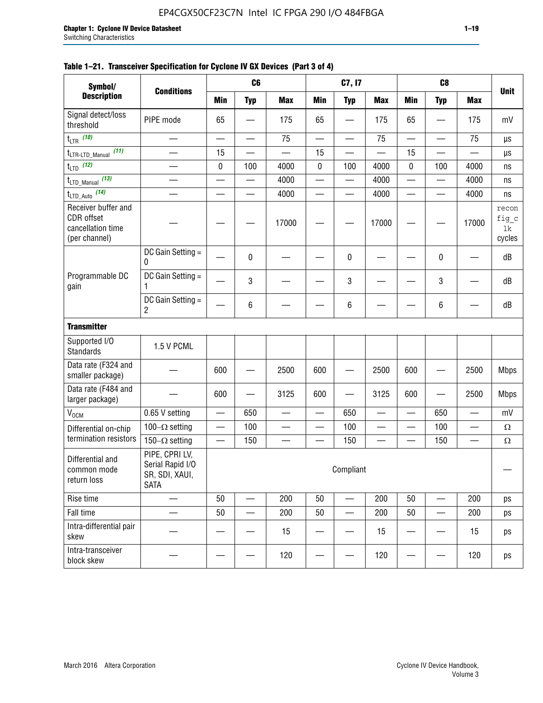| Symbol/                                                                 |                                                                     |                          | C <sub>6</sub> |            |     | C7, I7                   |                          |     | C <sub>8</sub>           |                          |                                   |
|-------------------------------------------------------------------------|---------------------------------------------------------------------|--------------------------|----------------|------------|-----|--------------------------|--------------------------|-----|--------------------------|--------------------------|-----------------------------------|
| <b>Description</b>                                                      | <b>Conditions</b>                                                   | Min                      | <b>Typ</b>     | <b>Max</b> | Min | <b>Typ</b>               | <b>Max</b>               | Min | <b>Typ</b>               | <b>Max</b>               | <b>Unit</b>                       |
| Signal detect/loss<br>threshold                                         | PIPE mode                                                           | 65                       |                | 175        | 65  |                          | 175                      | 65  |                          | 175                      | mV                                |
| $t_{LTR}$ (10)                                                          |                                                                     |                          |                | 75         |     |                          | 75                       |     |                          | 75                       | μs                                |
| (11)<br>$t_{\text{LTR-LTD\_Manual}}$                                    |                                                                     | 15                       |                |            | 15  |                          | $\overline{\phantom{0}}$ | 15  | —                        |                          | μs                                |
| $t_{LTD}$ (12)                                                          |                                                                     | $\pmb{0}$                | 100            | 4000       | 0   | 100                      | 4000                     | 0   | 100                      | 4000                     | ns                                |
| $t_{\text{LTD\_Manual}}$ (13)                                           |                                                                     |                          |                | 4000       |     | —                        | 4000                     |     |                          | 4000                     | ns                                |
| $t_{\text{LTD\_Auto}}$ (14)                                             |                                                                     |                          |                | 4000       | —   | —                        | 4000                     |     |                          | 4000                     | ns                                |
| Receiver buffer and<br>CDR offset<br>cancellation time<br>(per channel) |                                                                     |                          |                | 17000      |     |                          | 17000                    |     |                          | 17000                    | recon<br>$fig\_c$<br>1k<br>cycles |
|                                                                         | DC Gain Setting =<br>0                                              |                          | 0              |            |     | 0                        |                          |     | 0                        |                          | dB                                |
| Programmable DC<br>gain                                                 | DC Gain Setting $=$<br>1                                            |                          | 3              |            |     | 3                        |                          |     | 3                        |                          | dB                                |
|                                                                         | DC Gain Setting =<br>2                                              |                          | 6              |            |     | 6                        |                          |     | 6                        |                          | dB                                |
| <b>Transmitter</b>                                                      |                                                                     |                          |                |            |     |                          |                          |     |                          |                          |                                   |
| Supported I/O<br>Standards                                              | 1.5 V PCML                                                          |                          |                |            |     |                          |                          |     |                          |                          |                                   |
| Data rate (F324 and<br>smaller package)                                 |                                                                     | 600                      |                | 2500       | 600 |                          | 2500                     | 600 |                          | 2500                     | <b>Mbps</b>                       |
| Data rate (F484 and<br>larger package)                                  |                                                                     | 600                      |                | 3125       | 600 |                          | 3125                     | 600 | $\qquad \qquad -$        | 2500                     | <b>Mbps</b>                       |
| $\rm V_{\rm OCM}$                                                       | 0.65 V setting                                                      | —                        | 650            |            | —   | 650                      |                          |     | 650                      |                          | mV                                |
| Differential on-chip                                                    | 100 $-\Omega$ setting                                               |                          | 100            |            |     | 100                      |                          |     | 100                      |                          | Ω                                 |
| termination resistors                                                   | 150 $-\Omega$ setting                                               | $\overline{\phantom{0}}$ | 150            |            |     | 150                      |                          |     | 150                      | $\overline{\phantom{0}}$ | Ω                                 |
| Differential and<br>common mode<br>return loss                          | PIPE, CPRI LV,<br>Serial Rapid I/O<br>SR, SDI, XAUI,<br><b>SATA</b> |                          |                |            |     | Compliant                |                          |     |                          |                          |                                   |
| Rise time                                                               |                                                                     | 50                       | —              | 200        | 50  | $\overline{\phantom{0}}$ | 200                      | 50  | $\overline{\phantom{0}}$ | 200                      | ps                                |
| Fall time                                                               |                                                                     | 50                       |                | 200        | 50  | $\overline{\phantom{0}}$ | 200                      | 50  |                          | 200                      | ps                                |
| Intra-differential pair<br>skew                                         |                                                                     |                          |                | 15         |     |                          | 15                       |     |                          | 15                       | ps                                |

block skew  $\begin{vmatrix} - & - & - \ - & - & - \end{vmatrix}$  -  $\begin{vmatrix} - & - & 120 \ - & - & - \end{vmatrix}$  -  $\begin{vmatrix} - & - & 120 \ - & - & - \end{vmatrix}$  - 120  $\begin{vmatrix} - & - & - \ - & - & - \end{vmatrix}$  - 120  $\begin{vmatrix} 0 & - & - \ - & - & - \end{vmatrix}$ 

#### **Table 1–21. Transceiver Specification for Cyclone IV GX Devices (Part 3 of 4)**

Intra-transceiver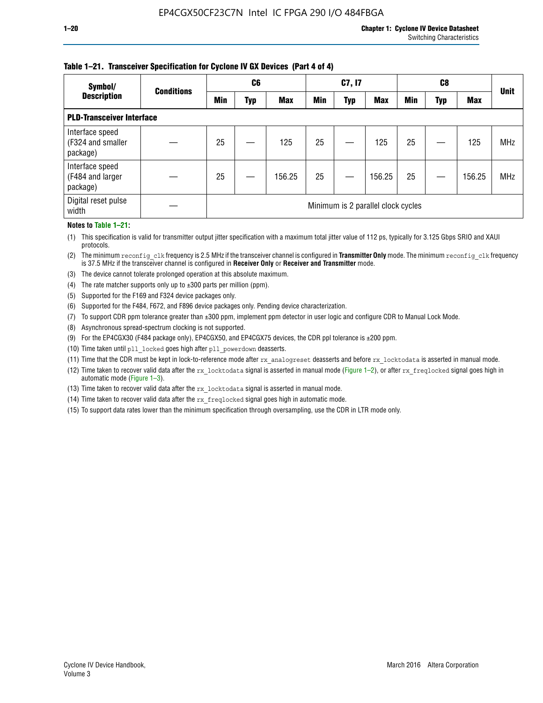## **Table 1–21. Transceiver Specification for Cyclone IV GX Devices (Part 4 of 4)**

| Symbol/                                          | <b>Conditions</b> | C6                                 |     |            | C7, I7 |            |            | C8  |     |            | <b>Unit</b> |
|--------------------------------------------------|-------------------|------------------------------------|-----|------------|--------|------------|------------|-----|-----|------------|-------------|
| <b>Description</b>                               |                   | Min                                | Typ | <b>Max</b> | Min    | <b>Typ</b> | <b>Max</b> | Min | Typ | <b>Max</b> |             |
| <b>PLD-Transceiver Interface</b>                 |                   |                                    |     |            |        |            |            |     |     |            |             |
| Interface speed<br>(F324 and smaller<br>package) |                   | 25                                 |     | 125        | 25     |            | 125        | 25  |     | 125        | <b>MHz</b>  |
| Interface speed<br>(F484 and larger<br>package)  |                   | 25                                 |     | 156.25     | 25     |            | 156.25     | 25  |     | 156.25     | <b>MHz</b>  |
| Digital reset pulse<br>width                     |                   | Minimum is 2 parallel clock cycles |     |            |        |            |            |     |     |            |             |

#### **Notes to Table 1–21:**

(1) This specification is valid for transmitter output jitter specification with a maximum total jitter value of 112 ps, typically for 3.125 Gbps SRIO and XAUI protocols.

(2) The minimum reconfig\_clk frequency is 2.5 MHz if the transceiver channel is configured in **Transmitter Only** mode. The minimum reconfig\_clk frequency is 37.5 MHz if the transceiver channel is configured in **Receiver Only** or **Receiver and Transmitter** mode.

(3) The device cannot tolerate prolonged operation at this absolute maximum.

- (4) The rate matcher supports only up to  $\pm 300$  parts per million (ppm).
- (5) Supported for the F169 and F324 device packages only.
- (6) Supported for the F484, F672, and F896 device packages only. Pending device characterization.
- (7) To support CDR ppm tolerance greater than ±300 ppm, implement ppm detector in user logic and configure CDR to Manual Lock Mode.
- (8) Asynchronous spread-spectrum clocking is not supported.
- (9) For the EP4CGX30 (F484 package only), EP4CGX50, and EP4CGX75 devices, the CDR ppl tolerance is ±200 ppm.
- (10) Time taken until pll\_locked goes high after pll\_powerdown deasserts.
- (11) Time that the CDR must be kept in lock-to-reference mode after rx analogreset deasserts and before rx locktodata is asserted in manual mode.

(12) Time taken to recover valid data after the rx locktodata signal is asserted in manual mode (Figure 1–2), or after rx freqlocked signal goes high in automatic mode (Figure 1–3).

(13) Time taken to recover valid data after the rx locktodata signal is asserted in manual mode.

- (14) Time taken to recover valid data after the rx freqlocked signal goes high in automatic mode.
- (15) To support data rates lower than the minimum specification through oversampling, use the CDR in LTR mode only.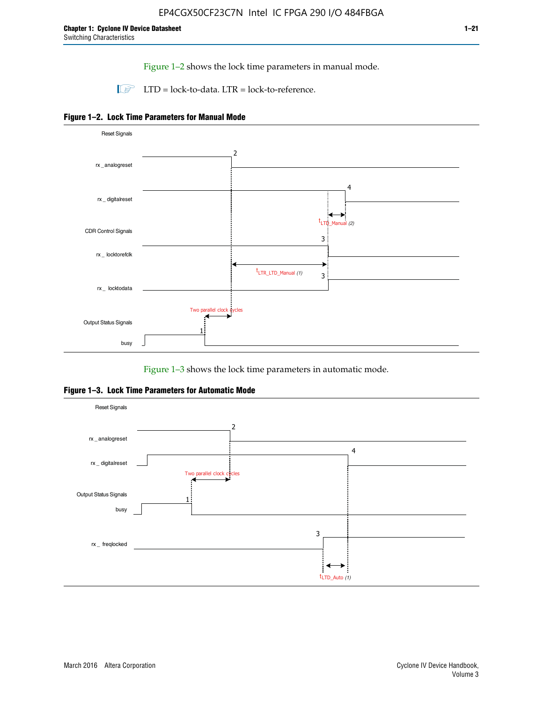Figure 1–2 shows the lock time parameters in manual mode.

 $\Box$  LTD = lock-to-data. LTR = lock-to-reference.





Figure 1–3 shows the lock time parameters in automatic mode.

**Figure 1–3. Lock Time Parameters for Automatic Mode**

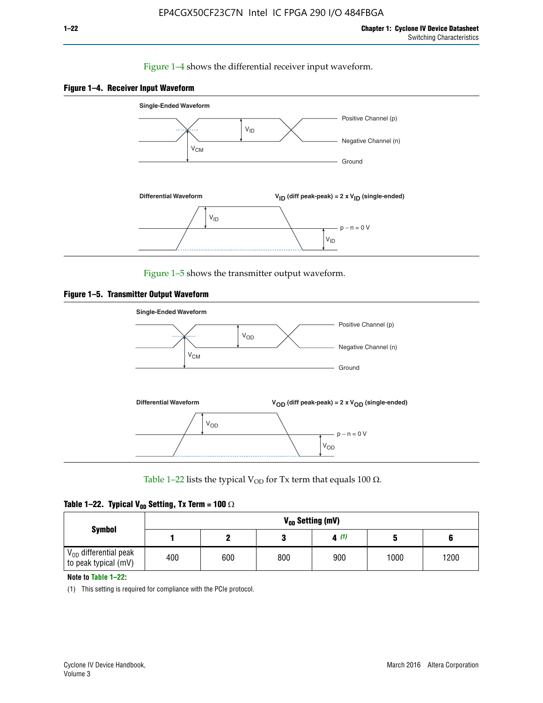#### Figure 1–4 shows the differential receiver input waveform.





Figure 1–5 shows the transmitter output waveform.





Table 1–22 lists the typical V<sub>OD</sub> for Tx term that equals 100  $\Omega$ .

| Table 1–22. Typical V <sub>0D</sub> Setting, Tx Term = 100 $\Omega$ |  |  |  |  |  |  |  |
|---------------------------------------------------------------------|--|--|--|--|--|--|--|
|---------------------------------------------------------------------|--|--|--|--|--|--|--|

|                                                        |     |     |     | V <sub>on</sub> Setting (mV) |      |      |
|--------------------------------------------------------|-----|-----|-----|------------------------------|------|------|
| <b>Symbol</b>                                          |     |     |     | 4(1)                         |      |      |
| $\rm V_{OD}$ differential peak<br>to peak typical (mV) | 400 | 600 | 800 | 900                          | 1000 | 1200 |

**Note to Table 1–22:**

(1) This setting is required for compliance with the PCIe protocol.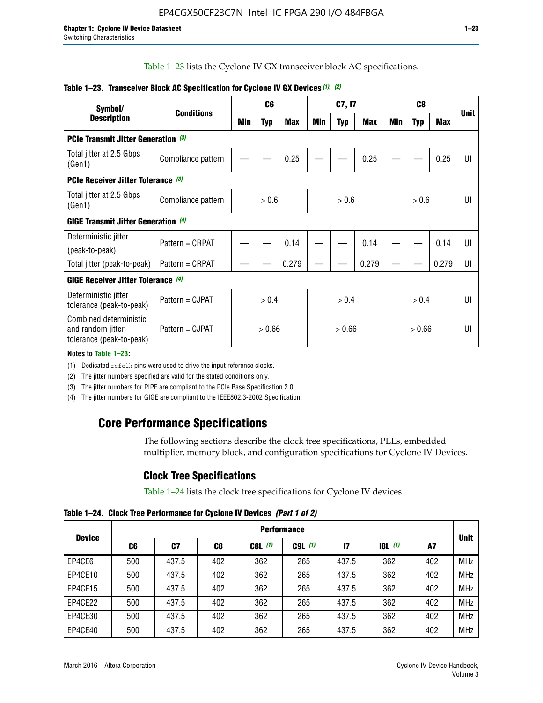Table 1–23 lists the Cyclone IV GX transceiver block AC specifications.

| Symbol/                                                                 | <b>Conditions</b>  | C <sub>6</sub> |            | C7, I7     |       |            | C <sub>8</sub> |        |            |       |             |
|-------------------------------------------------------------------------|--------------------|----------------|------------|------------|-------|------------|----------------|--------|------------|-------|-------------|
| <b>Description</b>                                                      |                    | Min            | <b>Typ</b> | <b>Max</b> | Min   | <b>Typ</b> | Max            | Min    | <b>Typ</b> | Max   | <b>Unit</b> |
| PCIe Transmit Jitter Generation (3)                                     |                    |                |            |            |       |            |                |        |            |       |             |
| Total jitter at 2.5 Gbps<br>(Gen1)                                      | Compliance pattern |                |            | 0.25       |       |            | 0.25           |        |            | 0.25  | UI          |
| PCIe Receiver Jitter Tolerance (3)                                      |                    |                |            |            |       |            |                |        |            |       |             |
| Total jitter at 2.5 Gbps<br>(Gen1)                                      | Compliance pattern | > 0.6          |            | > 0.6      |       | > 0.6      |                | UI     |            |       |             |
| <b>GIGE Transmit Jitter Generation (4)</b>                              |                    |                |            |            |       |            |                |        |            |       |             |
| Deterministic jitter                                                    | Pattern = CRPAT    |                |            | 0.14       |       |            | 0.14           |        |            | 0.14  | UI          |
| (peak-to-peak)                                                          |                    |                |            |            |       |            |                |        |            |       |             |
| Total jitter (peak-to-peak)                                             | Pattern = CRPAT    |                |            | 0.279      |       |            | 0.279          |        |            | 0.279 | UI          |
| <b>GIGE Receiver Jitter Tolerance (4)</b>                               |                    |                |            |            |       |            |                |        |            |       |             |
| Deterministic jitter<br>tolerance (peak-to-peak)                        | Pattern = CJPAT    | > 0.4          |            |            | > 0.4 |            | > 0.4          |        | U          |       |             |
| Combined deterministic<br>and random jitter<br>tolerance (peak-to-peak) | Pattern = CJPAT    |                |            | > 0.66     |       | > 0.66     |                | > 0.66 |            | UI    |             |

#### **Table 1–23. Transceiver Block AC Specification for Cyclone IV GX Devices** *(1)***,** *(2)*

**Notes to Table 1–23:**

(1) Dedicated refclk pins were used to drive the input reference clocks.

(2) The jitter numbers specified are valid for the stated conditions only.

(3) The jitter numbers for PIPE are compliant to the PCIe Base Specification 2.0.

(4) The jitter numbers for GIGE are compliant to the IEEE802.3-2002 Specification.

## **Core Performance Specifications**

The following sections describe the clock tree specifications, PLLs, embedded multiplier, memory block, and configuration specifications for Cyclone IV Devices.

### **Clock Tree Specifications**

Table 1–24 lists the clock tree specifications for Cyclone IV devices.

**Table 1–24. Clock Tree Performance for Cyclone IV Devices** *(Part 1 of 2)*

|               | <b>Performance</b> |       |     |           |             |               |                  |     |             |
|---------------|--------------------|-------|-----|-----------|-------------|---------------|------------------|-----|-------------|
| <b>Device</b> | C6                 | C7    | C8  | $C8L$ (1) | $C9L$ $(1)$ | $\mathsf{I}7$ | <b>18L</b> $(1)$ | A7  | <b>Unit</b> |
| EP4CE6        | 500                | 437.5 | 402 | 362       | 265         | 437.5         | 362              | 402 | <b>MHz</b>  |
| EP4CE10       | 500                | 437.5 | 402 | 362       | 265         | 437.5         | 362              | 402 | <b>MHz</b>  |
| EP4CE15       | 500                | 437.5 | 402 | 362       | 265         | 437.5         | 362              | 402 | <b>MHz</b>  |
| EP4CE22       | 500                | 437.5 | 402 | 362       | 265         | 437.5         | 362              | 402 | <b>MHz</b>  |
| EP4CE30       | 500                | 437.5 | 402 | 362       | 265         | 437.5         | 362              | 402 | <b>MHz</b>  |
| EP4CE40       | 500                | 437.5 | 402 | 362       | 265         | 437.5         | 362              | 402 | <b>MHz</b>  |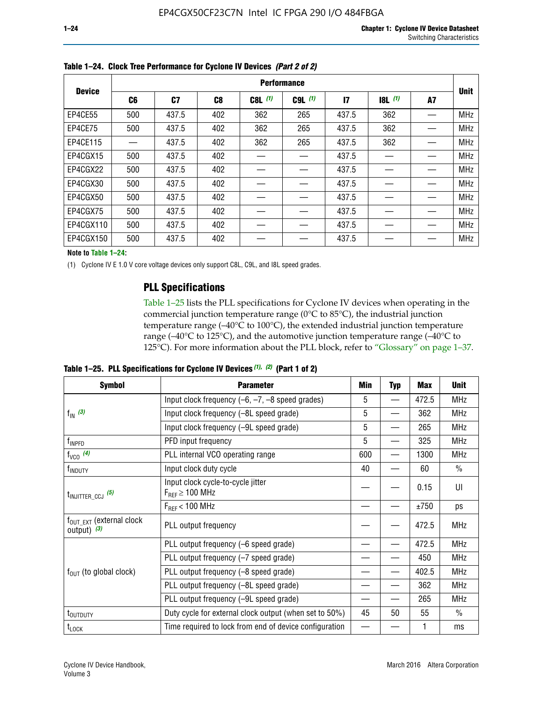|               | <b>Performance</b> |       |     |           |             |              |           |    |             |  |
|---------------|--------------------|-------|-----|-----------|-------------|--------------|-----------|----|-------------|--|
| <b>Device</b> | C6                 | C7    | C8  | $C8L$ (1) | $C9L$ $(1)$ | $\mathbf{I}$ | $18L$ (1) | A7 | <b>Unit</b> |  |
| EP4CE55       | 500                | 437.5 | 402 | 362       | 265         | 437.5        | 362       |    | <b>MHz</b>  |  |
| EP4CE75       | 500                | 437.5 | 402 | 362       | 265         | 437.5        | 362       |    | <b>MHz</b>  |  |
| EP4CE115      |                    | 437.5 | 402 | 362       | 265         | 437.5        | 362       |    | <b>MHz</b>  |  |
| EP4CGX15      | 500                | 437.5 | 402 |           |             | 437.5        |           |    | <b>MHz</b>  |  |
| EP4CGX22      | 500                | 437.5 | 402 |           |             | 437.5        |           |    | <b>MHz</b>  |  |
| EP4CGX30      | 500                | 437.5 | 402 |           |             | 437.5        |           |    | <b>MHz</b>  |  |
| EP4CGX50      | 500                | 437.5 | 402 |           |             | 437.5        |           |    | <b>MHz</b>  |  |
| EP4CGX75      | 500                | 437.5 | 402 |           |             | 437.5        |           |    | <b>MHz</b>  |  |
| EP4CGX110     | 500                | 437.5 | 402 |           |             | 437.5        |           |    | <b>MHz</b>  |  |
| EP4CGX150     | 500                | 437.5 | 402 |           |             | 437.5        |           |    | <b>MHz</b>  |  |

**Table 1–24. Clock Tree Performance for Cyclone IV Devices** *(Part 2 of 2)*

**Note to Table 1–24:**

(1) Cyclone IV E 1.0 V core voltage devices only support C8L, C9L, and I8L speed grades.

## **PLL Specifications**

Table 1–25 lists the PLL specifications for Cyclone IV devices when operating in the commercial junction temperature range (0°C to 85°C), the industrial junction temperature range (–40°C to 100°C), the extended industrial junction temperature range (–40°C to 125°C), and the automotive junction temperature range (–40°C to 125°C). For more information about the PLL block, refer to "Glossary" on page 1–37.

|  |  | Table 1–25. PLL Specifications for Cyclone IV Devices $(1)$ , $(2)$ (Part 1 of 2) |  |
|--|--|-----------------------------------------------------------------------------------|--|
|--|--|-----------------------------------------------------------------------------------|--|

| <b>Symbol</b>                                                               | <b>Parameter</b>                                            | Min | <b>Typ</b>               | <b>Max</b> | <b>Unit</b>   |
|-----------------------------------------------------------------------------|-------------------------------------------------------------|-----|--------------------------|------------|---------------|
|                                                                             | Input clock frequency $(-6, -7, -8)$ speed grades)          | 5   | $\qquad \qquad$          | 472.5      | <b>MHz</b>    |
| $f_{\text{IN}}(3)$                                                          | Input clock frequency (-8L speed grade)                     | 5   |                          | 362        | <b>MHz</b>    |
|                                                                             | Input clock frequency (-9L speed grade)                     | 5   |                          | 265        | <b>MHz</b>    |
| f <sub>INPFD</sub>                                                          | PFD input frequency                                         | 5   | $\overline{\phantom{0}}$ | 325        | <b>MHz</b>    |
| $f_{VCO}$ (4)                                                               | PLL internal VCO operating range                            | 600 |                          | 1300       | <b>MHz</b>    |
| f <sub>INDUTY</sub>                                                         | Input clock duty cycle                                      | 40  |                          | 60         | $\frac{0}{0}$ |
|                                                                             | Input clock cycle-to-cycle jitter<br>$F_{REF} \geq 100$ MHz |     |                          | 0.15       | UI            |
|                                                                             | $F_{RFF}$ < 100 MHz                                         |     |                          | ±750       | ps            |
| $f_{\text{OUT\_EXT}}$ (external clock<br>output) $(3)$                      | PLL output frequency                                        |     |                          | 472.5      | <b>MHz</b>    |
|                                                                             | PLL output frequency (-6 speed grade)                       |     |                          | 472.5      | <b>MHz</b>    |
|                                                                             | PLL output frequency (-7 speed grade)                       |     |                          | 450        | <b>MHz</b>    |
| $f_{OUT}$ (to global clock)                                                 | PLL output frequency (-8 speed grade)                       |     |                          | 402.5      | <b>MHz</b>    |
|                                                                             | PLL output frequency (-8L speed grade)                      |     |                          | 362        | <b>MHz</b>    |
| $t_{\text{INJITTER\_CCJ}}$ (5)<br>t <sub>outduty</sub><br>$t_{\text{LOCK}}$ | PLL output frequency (-9L speed grade)                      |     |                          | 265        | <b>MHz</b>    |
|                                                                             | Duty cycle for external clock output (when set to 50%)      | 45  | 50                       | 55         | $\frac{0}{0}$ |
|                                                                             | Time required to lock from end of device configuration      |     |                          |            | ms            |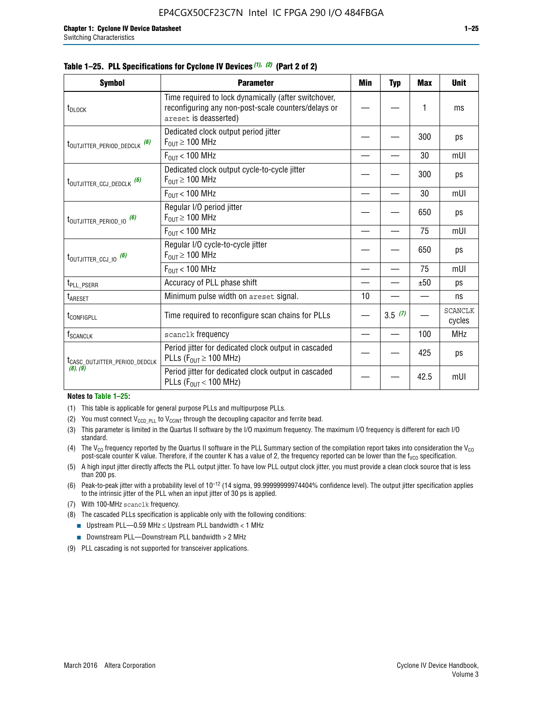|  |  | Table 1–25. PLL Specifications for Cyclone IV Devices (1), (2) (Part 2 of 2) |  |
|--|--|------------------------------------------------------------------------------|--|
|--|--|------------------------------------------------------------------------------|--|

| <b>Symbol</b>                                | <b>Parameter</b>                                                                                                                     | Min | <b>Typ</b> | <b>Max</b> | <b>Unit</b>              |
|----------------------------------------------|--------------------------------------------------------------------------------------------------------------------------------------|-----|------------|------------|--------------------------|
| t <sub>DLOCK</sub>                           | Time required to lock dynamically (after switchover,<br>reconfiguring any non-post-scale counters/delays or<br>areset is deasserted) |     |            | 1          | ms                       |
| t <sub>outjitter_period_dedclk</sub> (6)     | Dedicated clock output period jitter<br>$F_{OIII} \geq 100$ MHz                                                                      |     |            | 300        | ps                       |
|                                              | $F_{OIII}$ < 100 MHz                                                                                                                 |     |            | 30         | mUI                      |
| t <sub>outjitter_ccj_dedclk</sub> (6)        | Dedicated clock output cycle-to-cycle jitter<br>$F_{\text{OUT}} \geq 100 \text{ MHz}$                                                |     |            | 300        | ps                       |
|                                              | $F_{\text{OUT}}$ < 100 MHz                                                                                                           |     |            | 30         | mUI                      |
| $t_{\text{OUTJITTER}_P \text{ERIOD}_10}$ (6) | Regular I/O period jitter<br>$F_{\text{OUT}} \geq 100 \text{ MHz}$                                                                   |     |            | 650        | ps                       |
|                                              | $F_{\text{OUT}}$ < 100 MHz                                                                                                           |     |            | 75         | mUI                      |
| t <sub>outjitter_ccj_io</sub> (6)            | Regular I/O cycle-to-cycle jitter<br>$F_{OUT} \geq 100$ MHz                                                                          |     |            | 650        | ps                       |
|                                              | $F_{OIII}$ < 100 MHz                                                                                                                 |     |            | 75         | mUI                      |
| t <sub>PLL_PSERR</sub>                       | Accuracy of PLL phase shift                                                                                                          |     |            | ±50        | ps                       |
| t <sub>ARESET</sub>                          | Minimum pulse width on areset signal.                                                                                                | 10  |            |            | ns                       |
| <b><i>LCONFIGPLL</i></b>                     | Time required to reconfigure scan chains for PLLs                                                                                    |     | 3.5(7)     |            | <b>SCANCLK</b><br>cycles |
| $f_{\text{SCANCLK}}$                         | scanclk frequency                                                                                                                    |     |            | 100        | <b>MHz</b>               |
| t <sub>CASC_OUTJITTER_PERIOD_DEDCLK</sub>    | Period jitter for dedicated clock output in cascaded<br>PLLs ( $F_{OUT} \ge 100$ MHz)                                                |     |            | 425        | ps                       |
| (8), (9)                                     | Period jitter for dedicated clock output in cascaded<br>PLLs ( $F_{OUT}$ < 100 MHz)                                                  |     |            | 42.5       | mUI                      |

#### **Notes to Table 1–25:**

- (1) This table is applicable for general purpose PLLs and multipurpose PLLs.
- (2) You must connect  $V_{CCD-PLL}$  to  $V_{CCINT}$  through the decoupling capacitor and ferrite bead.
- (3) This parameter is limited in the Quartus II software by the I/O maximum frequency. The maximum I/O frequency is different for each I/O standard.
- (4) The  $V_{CO}$  frequency reported by the Quartus II software in the PLL Summary section of the compilation report takes into consideration the  $V_{CO}$ post-scale counter K value. Therefore, if the counter K has a value of 2, the frequency reported can be lower than the f<sub>VCO</sub> specification.
- (5) A high input jitter directly affects the PLL output jitter. To have low PLL output clock jitter, you must provide a clean clock source that is less than 200 ps.
- (6) Peak-to-peak jitter with a probability level of 10–12 (14 sigma, 99.99999999974404% confidence level). The output jitter specification applies to the intrinsic jitter of the PLL when an input jitter of 30 ps is applied.
- (7) With 100-MHz scanclk frequency.
- (8) The cascaded PLLs specification is applicable only with the following conditions:
	- **■** Upstream PLL—0.59 MHz  $\leq$  Upstream PLL bandwidth  $<$  1 MHz
	- Downstream PLL—Downstream PLL bandwidth > 2 MHz
- (9) PLL cascading is not supported for transceiver applications.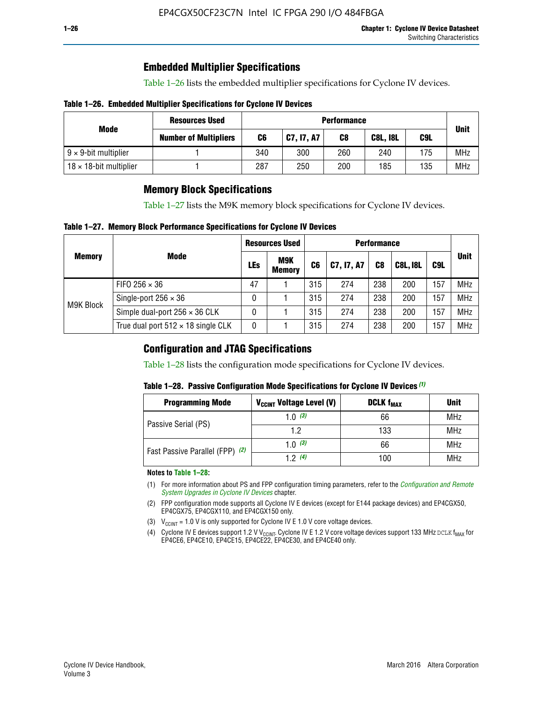## **Embedded Multiplier Specifications**

Table 1–26 lists the embedded multiplier specifications for Cyclone IV devices.

#### **Table 1–26. Embedded Multiplier Specifications for Cyclone IV Devices**

|                                | <b>Resources Used</b>        | <b>Performance</b> |            |     |                 |     |             |
|--------------------------------|------------------------------|--------------------|------------|-----|-----------------|-----|-------------|
| Mode                           | <b>Number of Multipliers</b> | C6                 | C7, I7, A7 | C8  | <b>C8L, I8L</b> | C9L | <b>Unit</b> |
| $9 \times 9$ -bit multiplier   |                              | 340                | 300        | 260 | 240             | 175 | <b>MHz</b>  |
| $18 \times 18$ -bit multiplier |                              | 287                | 250        | 200 | 185             | 135 | <b>MHz</b>  |

## **Memory Block Specifications**

Table 1–27 lists the M9K memory block specifications for Cyclone IV devices.

#### **Table 1–27. Memory Block Performance Specifications for Cyclone IV Devices**

|               |                                           | <b>Resources Used</b> |                      | <b>Performance</b> |            |                |                 |     |             |
|---------------|-------------------------------------------|-----------------------|----------------------|--------------------|------------|----------------|-----------------|-----|-------------|
| <b>Memory</b> | <b>Mode</b>                               | <b>LEs</b>            | M9K<br><b>Memory</b> | C <sub>6</sub>     | C7, I7, A7 | C <sub>8</sub> | <b>C8L, I8L</b> | C9L | <b>Unit</b> |
| M9K Block     | FIFO 256 $\times$ 36                      | 47                    |                      | 315                | 274        | 238            | 200             | 157 | <b>MHz</b>  |
|               | Single-port $256 \times 36$               | 0                     |                      | 315                | 274        | 238            | 200             | 157 | <b>MHz</b>  |
|               | Simple dual-port $256 \times 36$ CLK      | 0                     |                      | 315                | 274        | 238            | 200             | 157 | <b>MHz</b>  |
|               | True dual port $512 \times 18$ single CLK | 0                     |                      | 315                | 274        | 238            | 200             | 157 | <b>MHz</b>  |

### **Configuration and JTAG Specifications**

Table 1–28 lists the configuration mode specifications for Cyclone IV devices.

#### **Table 1–28. Passive Configuration Mode Specifications for Cyclone IV Devices** *(1)*

| <b>Programming Mode</b>         | V <sub>CCINT</sub> Voltage Level (V) | <b>DCLK f<sub>MAX</sub></b> | <b>Unit</b> |
|---------------------------------|--------------------------------------|-----------------------------|-------------|
| Passive Serial (PS)             | 1.0 $(3)$                            | 66                          | MHz         |
|                                 | 1.2                                  | 133<br>66<br>100            | MHz         |
| Fast Passive Parallel (FPP) (2) | 1.0 $(3)$                            |                             | MHz         |
|                                 | 12(4)                                |                             | <b>MHz</b>  |

#### **Notes to Table 1–28:**

- (1) For more information about PS and FPP configuration timing parameters, refer to the *[Configuration and Remote](http://www.altera.com/literature/hb/cyclone-iv/cyiv-51008.pdf)  [System Upgrades in Cyclone IV Devices](http://www.altera.com/literature/hb/cyclone-iv/cyiv-51008.pdf)* chapter.
- (2) FPP configuration mode supports all Cyclone IV E devices (except for E144 package devices) and EP4CGX50, EP4CGX75, EP4CGX110, and EP4CGX150 only.
- (3)  $V_{CCMT}$  = 1.0 V is only supported for Cyclone IV E 1.0 V core voltage devices.
- (4) Cyclone IV E devices support 1.2 V V<sub>CCINT</sub>. Cyclone IV E 1.2 V core voltage devices support 133 MHz DCLK f<sub>MAX</sub> for EP4CE6, EP4CE10, EP4CE15, EP4CE22, EP4CE30, and EP4CE40 only.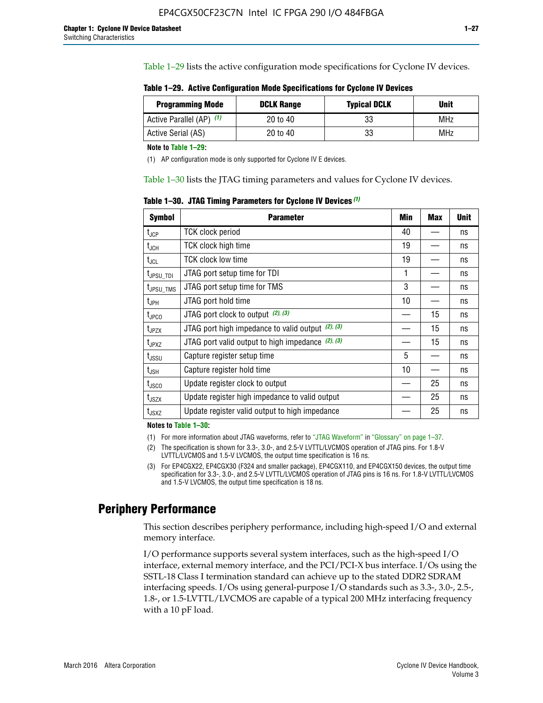Table 1–29 lists the active configuration mode specifications for Cyclone IV devices.

**Table 1–29. Active Configuration Mode Specifications for Cyclone IV Devices**

| <b>Programming Mode</b>  | <b>DCLK Range</b> | <b>Typical DCLK</b> | Unit |
|--------------------------|-------------------|---------------------|------|
| Active Parallel (AP) (1) | 20 to 40          | 33                  | MHz  |
| Active Serial (AS)       | 20 to 40          | 33                  | MHz  |

**Note to Table 1–29:**

(1) AP configuration mode is only supported for Cyclone IV E devices.

Table 1–30 lists the JTAG timing parameters and values for Cyclone IV devices.

**Table 1–30. JTAG Timing Parameters for Cyclone IV Devices** *(1)*

| <b>Symbol</b>         | <b>Parameter</b>                                       | Min | <b>Max</b> | <b>Unit</b> |
|-----------------------|--------------------------------------------------------|-----|------------|-------------|
| $t_{JCP}$             | <b>TCK clock period</b>                                | 40  |            | ns          |
| $t_{\rm JCH}$         | TCK clock high time                                    | 19  |            | ns          |
| $t_{JCL}$             | TCK clock low time                                     | 19  |            | ns          |
| $t_{JPSU\_TDI}$       | JTAG port setup time for TDI                           | 1   |            | ns          |
| t <sub>JPSU_TMS</sub> | JTAG port setup time for TMS                           | 3   |            | ns          |
| t <sub>JPH</sub>      | JTAG port hold time                                    | 10  |            | ns          |
| t <sub>JPCO</sub>     | JTAG port clock to output $(2)$ , $(3)$                |     | 15         | ns          |
| t <sub>JPZX</sub>     | JTAG port high impedance to valid output $(2)$ , $(3)$ |     | 15         | ns          |
| t <sub>JPXZ</sub>     | JTAG port valid output to high impedance $(2)$ , $(3)$ |     | 15         | ns          |
| $t_{\rm JSSU}$        | Capture register setup time                            | 5   |            | ns          |
| $t_{\mathsf{JSH}}$    | Capture register hold time                             | 10  |            | ns          |
| $t_{\rm JSCO}$        | Update register clock to output                        |     | 25         | ns          |
| $t_{\text{JSZX}}$     | Update register high impedance to valid output         |     | 25         | ns          |
| t <sub>JSXZ</sub>     | Update register valid output to high impedance         |     | 25         | ns          |

**Notes to Table 1–30:**

(1) For more information about JTAG waveforms, refer to "JTAG Waveform" in "Glossary" on page 1–37.

(2) The specification is shown for 3.3-, 3.0-, and 2.5-V LVTTL/LVCMOS operation of JTAG pins. For 1.8-V LVTTL/LVCMOS and 1.5-V LVCMOS, the output time specification is 16 ns.

(3) For EP4CGX22, EP4CGX30 (F324 and smaller package), EP4CGX110, and EP4CGX150 devices, the output time specification for 3.3-, 3.0-, and 2.5-V LVTTL/LVCMOS operation of JTAG pins is 16 ns. For 1.8-V LVTTL/LVCMOS and 1.5-V LVCMOS, the output time specification is 18 ns.

## **Periphery Performance**

This section describes periphery performance, including high-speed I/O and external memory interface.

I/O performance supports several system interfaces, such as the high-speed I/O interface, external memory interface, and the PCI/PCI-X bus interface. I/Os using the SSTL-18 Class I termination standard can achieve up to the stated DDR2 SDRAM interfacing speeds. I/Os using general-purpose I/O standards such as 3.3-, 3.0-, 2.5-, 1.8-, or 1.5-LVTTL/LVCMOS are capable of a typical 200 MHz interfacing frequency with a 10 pF load.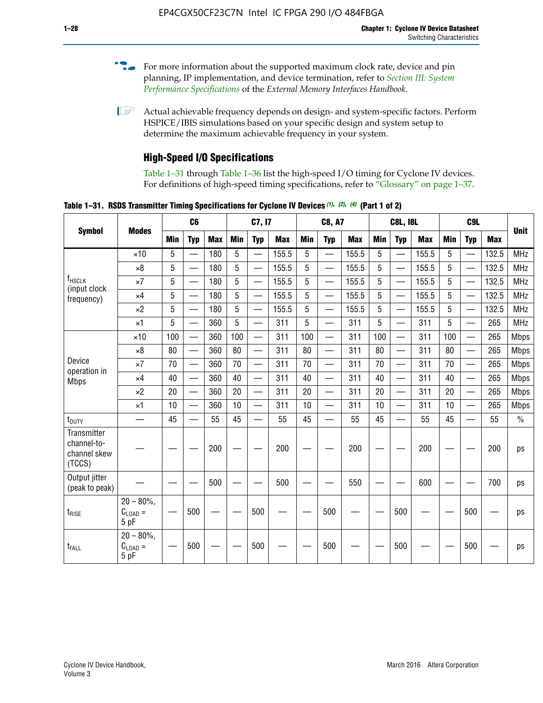- For more information about the supported maximum clock rate, device and pin planning, IP implementation, and device termination, refer to *[Section III: System](http://www.altera.com/literature/hb/external-memory/emi_intro_specs.pdf)  [Performance Specifications](http://www.altera.com/literature/hb/external-memory/emi_intro_specs.pdf)* of the *External Memory Interfaces Handbook*.
- **1 Actual achievable frequency depends on design- and system-specific factors. Perform** HSPICE/IBIS simulations based on your specific design and system setup to determine the maximum achievable frequency in your system.

## **High-Speed I/O Specifications**

Table 1–31 through Table 1–36 list the high-speed I/O timing for Cyclone IV devices. For definitions of high-speed timing specifications, refer to "Glossary" on page 1–37.

**Table 1–31. RSDS Transmitter Timing Specifications for Cyclone IV Devices** *(1)***,** *(2)***,** *(4)* **(Part 1 of 2)**

|                                                      |                                                    |     | C <sub>6</sub>           |            |            | C7, I7                   |            |            | <b>C8, A7</b>            |            |            | <b>C8L, I8L</b>          |            |            | C <sub>9</sub> L         |            |               |
|------------------------------------------------------|----------------------------------------------------|-----|--------------------------|------------|------------|--------------------------|------------|------------|--------------------------|------------|------------|--------------------------|------------|------------|--------------------------|------------|---------------|
| <b>Symbol</b>                                        | <b>Modes</b>                                       | Min | <b>Typ</b>               | <b>Max</b> | <b>Min</b> | <b>Typ</b>               | <b>Max</b> | <b>Min</b> | <b>Typ</b>               | <b>Max</b> | <b>Min</b> | <b>Typ</b>               | <b>Max</b> | <b>Min</b> | <b>Typ</b>               | <b>Max</b> | <b>Unit</b>   |
|                                                      | $\times$ 10                                        | 5   |                          | 180        | 5          |                          | 155.5      | 5          | $\overline{\phantom{0}}$ | 155.5      | 5          |                          | 155.5      | 5          |                          | 132.5      | <b>MHz</b>    |
|                                                      | $\times 8$                                         | 5   | $\overline{\phantom{0}}$ | 180        | 5          | —                        | 155.5      | 5          | $\overline{\phantom{0}}$ | 155.5      | 5          | $\overline{\phantom{0}}$ | 155.5      | 5          | $\overline{\phantom{0}}$ | 132.5      | <b>MHz</b>    |
| <b>f</b> <sub>HSCLK</sub><br>(input clock            | $\times 7$                                         | 5   | $\overline{\phantom{0}}$ | 180        | 5          | —                        | 155.5      | 5          |                          | 155.5      | 5          | —                        | 155.5      | 5          | <u>—</u>                 | 132.5      | <b>MHz</b>    |
| frequency)                                           | $\times$ 4                                         | 5   | $\equiv$                 | 180        | 5          | $\overline{\phantom{0}}$ | 155.5      | 5          |                          | 155.5      | 5          | $\equiv$                 | 155.5      | 5          |                          | 132.5      | <b>MHz</b>    |
|                                                      | $\times 2$                                         | 5   |                          | 180        | 5          | $\overline{\phantom{0}}$ | 155.5      | 5          | $\overline{\phantom{0}}$ | 155.5      | 5          | $\overline{\phantom{0}}$ | 155.5      | 5          | $\overline{\phantom{0}}$ | 132.5      | <b>MHz</b>    |
|                                                      | $\times$ 1                                         | 5   | $\overline{\phantom{0}}$ | 360        | 5          |                          | 311        | 5          | $\overline{\phantom{0}}$ | 311        | 5          | $\overline{\phantom{0}}$ | 311        | 5          |                          | 265        | <b>MHz</b>    |
|                                                      | $\times$ 10                                        | 100 | $\overline{\phantom{0}}$ | 360        | 100        |                          | 311        | 100        | $\overline{\phantom{0}}$ | 311        | 100        | $\overline{\phantom{0}}$ | 311        | 100        | $\overline{\phantom{0}}$ | 265        | <b>Mbps</b>   |
|                                                      | $\times 8$                                         | 80  |                          | 360        | 80         |                          | 311        | 80         | $\overline{\phantom{0}}$ | 311        | 80         | $\overline{\phantom{0}}$ | 311        | 80         | $\overline{\phantom{0}}$ | 265        | <b>Mbps</b>   |
| Device<br>operation in                               | $\times 7$                                         | 70  |                          | 360        | 70         |                          | 311        | 70         | $\overline{\phantom{0}}$ | 311        | 70         | $\overline{\phantom{0}}$ | 311        | 70         | $\overline{\phantom{0}}$ | 265        | <b>Mbps</b>   |
| <b>Mbps</b>                                          | $\times$ 4                                         | 40  |                          | 360        | 40         |                          | 311        | 40         | $\overline{\phantom{0}}$ | 311        | 40         |                          | 311        | 40         | $\overline{\phantom{0}}$ | 265        | <b>Mbps</b>   |
|                                                      | $\times 2$                                         | 20  |                          | 360        | 20         | $\equiv$                 | 311        | 20         | $\overline{\phantom{0}}$ | 311        | 20         |                          | 311        | 20         | $\overline{\phantom{0}}$ | 265        | <b>Mbps</b>   |
|                                                      | $\times$ 1                                         | 10  |                          | 360        | 10         |                          | 311        | 10         | $\overline{\phantom{0}}$ | 311        | 10         | $\overline{\phantom{0}}$ | 311        | 10         |                          | 265        | <b>Mbps</b>   |
| t <sub>DUTY</sub>                                    | —                                                  | 45  |                          | 55         | 45         |                          | 55         | 45         | $\overline{\phantom{0}}$ | 55         | 45         |                          | 55         | 45         |                          | 55         | $\frac{0}{0}$ |
| Transmitter<br>channel-to-<br>channel skew<br>(TCCS) |                                                    |     |                          | 200        |            |                          | 200        |            |                          | 200        |            |                          | 200        |            |                          | 200        | ps            |
| Output jitter<br>(peak to peak)                      |                                                    |     |                          | 500        |            |                          | 500        |            |                          | 550        |            |                          | 600        |            |                          | 700        | ps            |
| $t_{RISE}$                                           | $20 - 80\%$<br>$C_{LOAD} =$<br>5 pF                |     | 500                      |            |            | 500                      |            |            | 500                      |            |            | 500                      |            |            | 500                      |            | ps            |
| t <sub>FALL</sub>                                    | $20 - 80\%$<br>$\mathrm{C}_{\text{LOAD}}=$<br>5 pF |     | 500                      |            |            | 500                      |            |            | 500                      |            |            | 500                      |            |            | 500                      |            | ps            |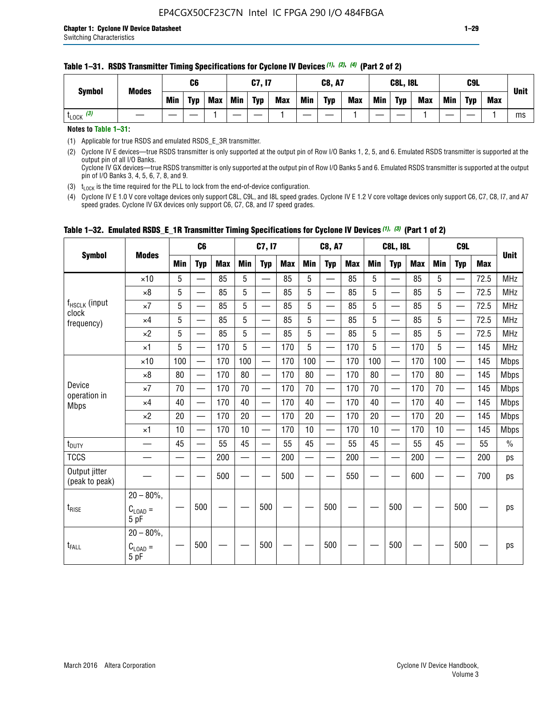| <b>Symbol</b> | <b>Modes</b> |     | C <sub>6</sub> |            |     | C7, I7     |            |            | <b>C8, A7</b> |            |            | <b>C8L, I8L</b> |            |     | C9L        |            | <b>Unit</b> |
|---------------|--------------|-----|----------------|------------|-----|------------|------------|------------|---------------|------------|------------|-----------------|------------|-----|------------|------------|-------------|
|               |              | Min | <b>Typ</b>     | <b>Max</b> | Min | <b>Typ</b> | <b>Max</b> | <b>Min</b> | <b>Typ</b>    | <b>Max</b> | <b>Min</b> | <b>Typ</b>      | <b>Max</b> | Min | <b>Typ</b> | <b>Max</b> |             |
| $LOCK$ $(3)$  |              |     |                |            |     |            |            |            |               |            |            |                 |            |     |            |            | ms          |

#### **Table 1–31. RSDS Transmitter Timing Specifications for Cyclone IV Devices** *(1)***,** *(2)***,** *(4)* **(Part 2 of 2)**

**Notes to Table 1–31:**

(1) Applicable for true RSDS and emulated RSDS\_E\_3R transmitter.

(2) Cyclone IV E devices—true RSDS transmitter is only supported at the output pin of Row I/O Banks 1, 2, 5, and 6. Emulated RSDS transmitter is supported at the output pin of all I/O Banks. Cyclone IV GX devices—true RSDS transmitter is only supported at the output pin of Row I/O Banks 5 and 6. Emulated RSDS transmitter is supported at the output

pin of I/O Banks 3, 4, 5, 6, 7, 8, and 9. (3)  $t_{\text{LOCK}}$  is the time required for the PLL to lock from the end-of-device configuration.

(4) Cyclone IV E 1.0 V core voltage devices only support C8L, C9L, and I8L speed grades. Cyclone IV E 1.2 V core voltage devices only support C6, C7, C8, I7, and A7 speed grades. Cyclone IV GX devices only support C6, C7, C8, and I7 speed grades.

|                                 |                                     |     | C <sub>6</sub>           |     |            | C7, I7                   |            |                          | <b>C8, A7</b>            |            |            | <b>C8L, I8L</b>          |            |            | C <sub>9</sub> L         |            | <b>Unit</b>   |
|---------------------------------|-------------------------------------|-----|--------------------------|-----|------------|--------------------------|------------|--------------------------|--------------------------|------------|------------|--------------------------|------------|------------|--------------------------|------------|---------------|
| <b>Symbol</b>                   | <b>Modes</b>                        | Min | <b>Typ</b>               | Max | <b>Min</b> | <b>Typ</b>               | <b>Max</b> | <b>Min</b>               | <b>Typ</b>               | <b>Max</b> | <b>Min</b> | <b>Typ</b>               | <b>Max</b> | <b>Min</b> | <b>Typ</b>               | <b>Max</b> |               |
|                                 | $\times$ 10                         | 5   | $\overline{\phantom{0}}$ | 85  | 5          | $\overline{\phantom{0}}$ | 85         | 5                        | —                        | 85         | 5          |                          | 85         | 5          |                          | 72.5       | <b>MHz</b>    |
|                                 | $\times 8$                          | 5   | $\qquad \qquad$          | 85  | 5          | e e                      | 85         | 5                        | $\overline{\phantom{0}}$ | 85         | 5          | $\overline{\phantom{0}}$ | 85         | 5          | —                        | 72.5       | <b>MHz</b>    |
| f <sub>HSCLK</sub> (input       | $\times 7$                          | 5   | —                        | 85  | 5          | $\overline{\phantom{a}}$ | 85         | 5                        | $\overline{\phantom{0}}$ | 85         | 5          | —                        | 85         | 5          |                          | 72.5       | <b>MHz</b>    |
| clock<br>frequency)             | $\times$ 4                          | 5   | $\equiv$                 | 85  | 5          | $\overline{\phantom{0}}$ | 85         | 5                        | $\equiv$                 | 85         | 5          | $\equiv$                 | 85         | 5          |                          | 72.5       | <b>MHz</b>    |
|                                 | $\times 2$                          | 5   | —                        | 85  | 5          | $\overline{\phantom{a}}$ | 85         | 5                        | $\overline{\phantom{0}}$ | 85         | 5          |                          | 85         | 5          | $\overline{\phantom{0}}$ | 72.5       | <b>MHz</b>    |
|                                 | $\times$ 1                          | 5   | $\overline{\phantom{0}}$ | 170 | 5          |                          | 170        | 5                        | $\overline{\phantom{0}}$ | 170        | 5          | $\overline{\phantom{0}}$ | 170        | 5          |                          | 145        | <b>MHz</b>    |
|                                 | $\times$ 10                         | 100 |                          | 170 | 100        | $\equiv$                 | 170        | 100                      | $\qquad \qquad$          | 170        | 100        |                          | 170        | 100        | $\qquad \qquad$          | 145        | <b>Mbps</b>   |
|                                 | $\times 8$                          | 80  | $\overline{\phantom{0}}$ | 170 | 80         | $\overline{\phantom{0}}$ | 170        | 80                       | $\overline{\phantom{0}}$ | 170        | 80         | $\overline{\phantom{0}}$ | 170        | 80         |                          | 145        | <b>Mbps</b>   |
| Device                          | $\times 7$                          | 70  | $\overline{\phantom{0}}$ | 170 | 70         | —                        | 170        | 70                       |                          | 170        | 70         | $\overline{\phantom{0}}$ | 170        | 70         |                          | 145        | <b>Mbps</b>   |
| operation in<br><b>Mbps</b>     | $\times 4$                          | 40  |                          | 170 | 40         | $\overline{\phantom{0}}$ | 170        | 40                       | $\overline{\phantom{0}}$ | 170        | 40         | $\overline{\phantom{0}}$ | 170        | 40         | $\overline{\phantom{0}}$ | 145        | <b>Mbps</b>   |
|                                 | $\times 2$                          | 20  | $\overline{\phantom{0}}$ | 170 | 20         |                          | 170        | 20                       |                          | 170        | 20         |                          | 170        | 20         |                          | 145        | <b>Mbps</b>   |
|                                 | $\times$ 1                          | 10  |                          | 170 | 10         | $\overline{\phantom{0}}$ | 170        | 10                       | $\overline{\phantom{0}}$ | 170        | 10         | $\overline{\phantom{0}}$ | 170        | 10         |                          | 145        | <b>Mbps</b>   |
| t <sub>DUTY</sub>               |                                     | 45  |                          | 55  | 45         |                          | 55         | 45                       |                          | 55         | 45         | $\overline{\phantom{0}}$ | 55         | 45         |                          | 55         | $\frac{0}{0}$ |
| <b>TCCS</b>                     |                                     |     |                          | 200 |            |                          | 200        | $\overline{\phantom{0}}$ |                          | 200        |            | $\overline{\phantom{0}}$ | 200        |            |                          | 200        | ps            |
| Output jitter<br>(peak to peak) |                                     |     |                          | 500 |            |                          | 500        |                          |                          | 550        |            |                          | 600        |            |                          | 700        | ps            |
| $t_{\sf RISE}$                  | $20 - 80\%$<br>$C_{LOAD} =$<br>5 pF |     | 500                      |     |            | 500                      |            |                          | 500                      |            |            | 500                      |            |            | 500                      |            | ps            |
| t <sub>FALL</sub>               | $20 - 80\%$<br>$C_{LOAD} =$<br>5 pF |     | 500                      |     |            | 500                      |            |                          | 500                      |            |            | 500                      |            |            | 500                      |            | ps            |

#### **Table 1–32. Emulated RSDS\_E\_1R Transmitter Timing Specifications for Cyclone IV Devices** *(1), (3)* **(Part 1 of 2)**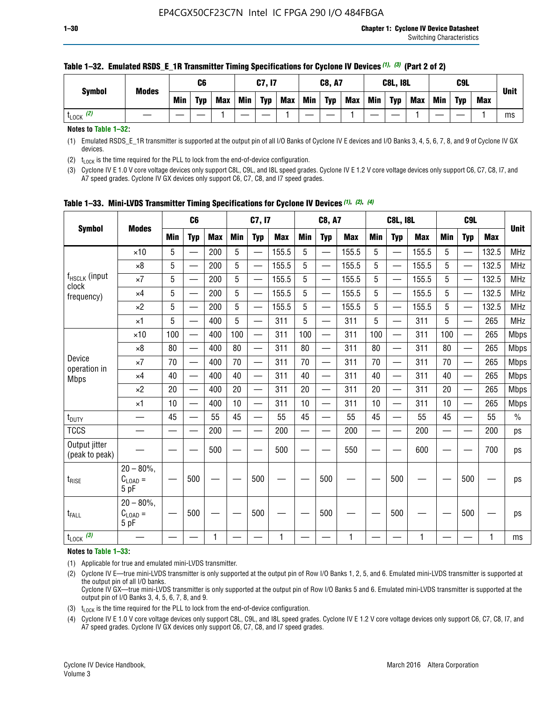| <b>Symbol</b> | <b>Modes</b> |     | C6         |            |     | C7, I7     |            |     | <b>C8, A7</b> |            |            | <b>C8L, I8L</b> |            |     | C <sub>9</sub> L |            | <b>Unit</b> |
|---------------|--------------|-----|------------|------------|-----|------------|------------|-----|---------------|------------|------------|-----------------|------------|-----|------------------|------------|-------------|
|               |              | Min | <b>Typ</b> | <b>Max</b> | Min | <b>Typ</b> | <b>Max</b> | Min | <b>Typ</b>    | <b>Max</b> | <b>Min</b> | <b>Typ</b>      | <b>Max</b> | Min | <b>Tvp</b>       | <b>Max</b> |             |
| (2)<br>LOCK   |              |     |            |            |     |            |            |     |               |            |            |                 |            |     |                  |            | ms          |

#### **Table 1–32. Emulated RSDS\_E\_1R Transmitter Timing Specifications for Cyclone IV Devices** *(1), (3)* **(Part 2 of 2)**

**Notes to Table 1–32:**

(1) Emulated RSDS\_E\_1R transmitter is supported at the output pin of all I/O Banks of Cyclone IV E devices and I/O Banks 3, 4, 5, 6, 7, 8, and 9 of Cyclone IV GX devices.

(2)  $t_{\text{LOCK}}$  is the time required for the PLL to lock from the end-of-device configuration.

(3) Cyclone IV E 1.0 V core voltage devices only support C8L, C9L, and I8L speed grades. Cyclone IV E 1.2 V core voltage devices only support C6, C7, C8, I7, and A7 speed grades. Cyclone IV GX devices only support C6, C7, C8, and I7 speed grades.

|                                    |                                            |            | C <sub>6</sub>                |            |                          | C7, I7                   |            |            | <b>C8, A7</b>            |              |                          | <b>C8L, I8L</b>          |            |            | C <sub>9</sub> L         |            |               |
|------------------------------------|--------------------------------------------|------------|-------------------------------|------------|--------------------------|--------------------------|------------|------------|--------------------------|--------------|--------------------------|--------------------------|------------|------------|--------------------------|------------|---------------|
| <b>Symbol</b>                      | <b>Modes</b>                               | <b>Min</b> | <b>Typ</b>                    | <b>Max</b> | <b>Min</b>               | <b>Typ</b>               | <b>Max</b> | <b>Min</b> | <b>Typ</b>               | <b>Max</b>   | <b>Min</b>               | <b>Typ</b>               | <b>Max</b> | <b>Min</b> | <b>Typ</b>               | <b>Max</b> | <b>Unit</b>   |
|                                    | $\times$ 10                                | 5          |                               | 200        | 5                        |                          | 155.5      | 5          | $\overline{\phantom{0}}$ | 155.5        | 5                        |                          | 155.5      | 5          |                          | 132.5      | <b>MHz</b>    |
|                                    | $\times 8$                                 | 5          |                               | 200        | 5                        | —                        | 155.5      | 5          | —                        | 155.5        | 5                        |                          | 155.5      | 5          |                          | 132.5      | <b>MHz</b>    |
| f <sub>HSCLK</sub> (input<br>clock | $\times 7$                                 | 5          | $\overline{\phantom{0}}$      | 200        | 5                        | —<br>——                  | 155.5      | 5          | —                        | 155.5        | 5                        | —                        | 155.5      | 5          |                          | 132.5      | <b>MHz</b>    |
| frequency)                         | $\times$ 4                                 | 5          |                               | 200        | 5                        | —<br>——                  | 155.5      | 5          | $\qquad \qquad$          | 155.5        | 5                        |                          | 155.5      | 5          | —                        | 132.5      | MHz           |
|                                    | $\times 2$                                 | 5          | $\overline{\phantom{0}}$      | 200        | 5                        | —                        | 155.5      | 5          | $\overline{\phantom{0}}$ | 155.5        | 5                        | $\overline{\phantom{0}}$ | 155.5      | 5          | $\overline{\phantom{0}}$ | 132.5      | <b>MHz</b>    |
|                                    | $\times$ 1                                 | 5          | $\overline{\phantom{0}}$      | 400        | 5                        | $\overline{\phantom{0}}$ | 311        | 5          | $\overline{\phantom{0}}$ | 311          | 5                        |                          | 311        | 5          | —                        | 265        | MHz           |
|                                    | $\times$ 10                                | 100        | $\overline{\phantom{0}}$      | 400        | 100                      | $\overline{\phantom{0}}$ | 311        | 100        | $\overline{\phantom{0}}$ | 311          | 100                      | $\overline{\phantom{0}}$ | 311        | 100        |                          | 265        | <b>Mbps</b>   |
|                                    | $\times 8$                                 | 80         | $\overline{\phantom{0}}$      | 400        | 80                       | $\overline{\phantom{0}}$ | 311        | 80         | $\overline{\phantom{0}}$ | 311          | 80                       | $\overline{\phantom{0}}$ | 311        | 80         |                          | 265        | <b>Mbps</b>   |
| Device                             | $\times 7$                                 | 70         | $\overline{\phantom{0}}$      | 400        | 70                       | $\equiv$                 | 311        | 70         |                          | 311          | 70                       | —                        | 311        | 70         |                          | 265        | <b>Mbps</b>   |
| operation in<br><b>Mbps</b>        | $\times$ 4                                 | 40         |                               | 400        | 40                       |                          | 311        | 40         | $\overline{\phantom{0}}$ | 311          | 40                       |                          | 311        | 40         |                          | 265        | <b>Mbps</b>   |
|                                    | $\times 2$                                 | 20         | $\overbrace{\phantom{aaaaa}}$ | 400        | 20                       | —                        | 311        | 20         | $\overline{\phantom{0}}$ | 311          | 20                       | —                        | 311        | 20         |                          | 265        | <b>Mbps</b>   |
|                                    | ×1                                         | 10         |                               | 400        | 10                       | —                        | 311        | 10         | —                        | 311          | 10                       | $\overline{\phantom{0}}$ | 311        | 10         |                          | 265        | <b>Mbps</b>   |
| t <sub>DUTY</sub>                  | __                                         | 45         |                               | 55         | 45                       | $\overline{\phantom{0}}$ | 55         | 45         | $\qquad \qquad$          | 55           | 45                       | $\overline{\phantom{0}}$ | 55         | 45         |                          | 55         | $\frac{0}{0}$ |
| <b>TCCS</b>                        |                                            |            |                               | 200        | $\overline{\phantom{0}}$ |                          | 200        |            | e e                      | 200          | $\overline{\phantom{0}}$ |                          | 200        |            |                          | 200        | ps            |
| Output jitter<br>(peak to peak)    |                                            |            |                               | 500        |                          |                          | 500        |            |                          | 550          |                          |                          | 600        |            |                          | 700        | ps            |
| $t_{\text{RISE}}$                  | $20 - 80\%$ ,<br>$C_{LOAD} =$<br>5 pF      |            | 500                           |            |                          | 500                      |            |            | 500                      |              |                          | 500                      |            |            | 500                      |            | ps            |
| t <sub>FALL</sub>                  | $20 - 80\%$<br>$C_{\text{LOAD}} =$<br>5 pF |            | 500                           |            |                          | 500                      |            |            | 500                      |              |                          | 500                      |            |            | 500                      |            | ps            |
| $t_{\text{LOCK}}$ (3)              |                                            |            |                               | 1          |                          |                          | 1          |            |                          | $\mathbf{1}$ |                          |                          | 1          |            |                          | 1          | ms            |

**Table 1–33. Mini-LVDS Transmitter Timing Specifications for Cyclone IV Devices** *(1)***,** *(2)***,** *(4)*

**Notes to Table 1–33:**

(1) Applicable for true and emulated mini-LVDS transmitter.

(2) Cyclone IV E—true mini-LVDS transmitter is only supported at the output pin of Row I/O Banks 1, 2, 5, and 6. Emulated mini-LVDS transmitter is supported at the output pin of all I/O banks.

Cyclone IV GX—true mini-LVDS transmitter is only supported at the output pin of Row I/O Banks 5 and 6. Emulated mini-LVDS transmitter is supported at the output pin of I/O Banks 3, 4, 5, 6, 7, 8, and 9.

(3)  $t_{\text{LOCK}}$  is the time required for the PLL to lock from the end-of-device configuration.

(4) Cyclone IV E 1.0 V core voltage devices only support C8L, C9L, and I8L speed grades. Cyclone IV E 1.2 V core voltage devices only support C6, C7, C8, I7, and A7 speed grades. Cyclone IV GX devices only support C6, C7, C8, and I7 speed grades.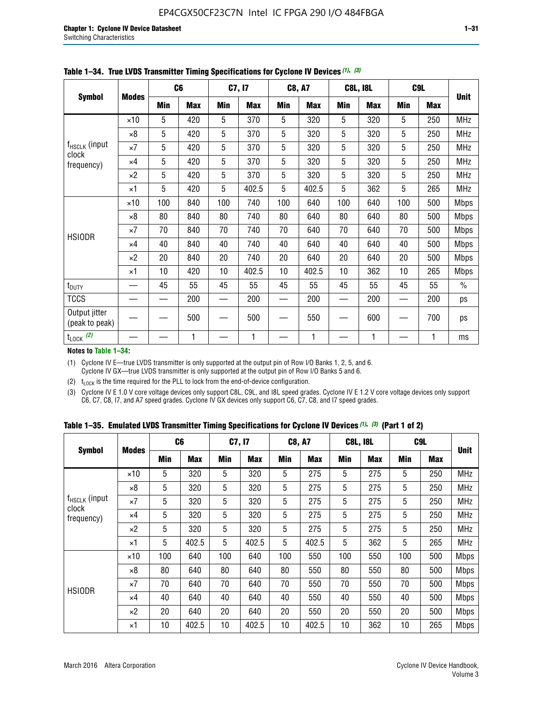|                                 |              |     | C <sub>6</sub> |     | C7, I7     |            | C8, A7     |            | <b>C8L, I8L</b> |            | C <sub>9</sub> L |               |
|---------------------------------|--------------|-----|----------------|-----|------------|------------|------------|------------|-----------------|------------|------------------|---------------|
| <b>Symbol</b>                   | <b>Modes</b> | Min | <b>Max</b>     | Min | <b>Max</b> | <b>Min</b> | <b>Max</b> | <b>Min</b> | <b>Max</b>      | <b>Min</b> | <b>Max</b>       | <b>Unit</b>   |
|                                 | $\times$ 10  | 5   | 420            | 5   | 370        | 5          | 320        | 5          | 320             | 5          | 250              | <b>MHz</b>    |
|                                 | $\times 8$   | 5   | 420            | 5   | 370        | 5          | 320        | 5          | 320             | 5          | 250              | <b>MHz</b>    |
| f <sub>HSCLK</sub> (input       | $\times 7$   | 5   | 420            | 5   | 370        | 5          | 320        | 5          | 320             | 5          | 250              | <b>MHz</b>    |
| clock<br>frequency)             | $\times$ 4   | 5   | 420            | 5   | 370        | 5          | 320        | 5          | 320             | 5          | 250              | <b>MHz</b>    |
|                                 | $\times 2$   | 5   | 420            | 5   | 370        | 5          | 320        | 5          | 320             | 5          | 250              | MHz           |
|                                 | $\times$ 1   | 5   | 420            | 5   | 402.5      | 5          | 402.5      | 5          | 362             | 5          | 265              | <b>MHz</b>    |
|                                 | $\times$ 10  | 100 | 840            | 100 | 740        | 100        | 640        | 100        | 640             | 100        | 500              | <b>Mbps</b>   |
|                                 | $\times 8$   | 80  | 840            | 80  | 740        | 80         | 640        | 80         | 640             | 80         | 500              | Mbps          |
| <b>HSIODR</b>                   | $\times 7$   | 70  | 840            | 70  | 740        | 70         | 640        | 70         | 640             | 70         | 500              | <b>Mbps</b>   |
|                                 | $\times$ 4   | 40  | 840            | 40  | 740        | 40         | 640        | 40         | 640             | 40         | 500              | <b>Mbps</b>   |
|                                 | $\times 2$   | 20  | 840            | 20  | 740        | 20         | 640        | 20         | 640             | 20         | 500              | <b>Mbps</b>   |
|                                 | $\times$ 1   | 10  | 420            | 10  | 402.5      | 10         | 402.5      | 10         | 362             | 10         | 265              | <b>Mbps</b>   |
| t <sub>DUTY</sub>               |              | 45  | 55             | 45  | 55         | 45         | 55         | 45         | 55              | 45         | 55               | $\frac{0}{0}$ |
| <b>TCCS</b>                     |              |     | 200            |     | 200        | —          | 200        |            | 200             |            | 200              | ps            |
| Output jitter<br>(peak to peak) |              |     | 500            |     | 500        |            | 550        |            | 600             |            | 700              | ps            |
| $t_{\text{LOCK}}$ (2)           |              |     | 1              |     | 1          |            | 1          |            | 1               |            | 1                | ms            |

**Table 1–34. True LVDS Transmitter Timing Specifications for Cyclone IV Devices** *(1)***,** *(3)*

**Notes to Table 1–34:**

(1) Cyclone IV E—true LVDS transmitter is only supported at the output pin of Row I/O Banks 1, 2, 5, and 6. Cyclone IV GX—true LVDS transmitter is only supported at the output pin of Row I/O Banks 5 and 6.

(2)  $t_{\text{LOCK}}$  is the time required for the PLL to lock from the end-of-device configuration.

(3) Cyclone IV E 1.0 V core voltage devices only support C8L, C9L, and I8L speed grades. Cyclone IV E 1.2 V core voltage devices only support C6, C7, C8, I7, and A7 speed grades. Cyclone IV GX devices only support C6, C7, C8, and I7 speed grades.

|  |  |  |  |  |  | Table 1–35. Emulated LVDS Transmitter Timing Specifications for Cyclone IV Devices <sup>(1),</sup> <sup>(3)</sup> (Part 1 of 2) |  |  |
|--|--|--|--|--|--|---------------------------------------------------------------------------------------------------------------------------------|--|--|
|--|--|--|--|--|--|---------------------------------------------------------------------------------------------------------------------------------|--|--|

|                             |              | C <sub>6</sub> |            | C7, I7     |            | <b>C8, A7</b> |            | <b>C8L, I8L</b> |            |            | C <sub>9</sub> L |             |
|-----------------------------|--------------|----------------|------------|------------|------------|---------------|------------|-----------------|------------|------------|------------------|-------------|
| <b>Symbol</b>               | <b>Modes</b> | Min            | <b>Max</b> | <b>Min</b> | <b>Max</b> | <b>Min</b>    | <b>Max</b> | <b>Min</b>      | <b>Max</b> | <b>Min</b> | <b>Max</b>       | <b>Unit</b> |
|                             | $\times$ 10  | 5              | 320        | 5          | 320        | 5             | 275        | 5               | 275        | 5          | 250              | <b>MHz</b>  |
|                             | $\times 8$   | 5              | 320        | 5          | 320        | 5             | 275        | 5               | 275        | 5          | 250              | <b>MHz</b>  |
| $f_{HSCLK}$ (input<br>clock | $\times 7$   | 5              | 320        | 5          | 320        | 5             | 275        | 5               | 275        | 5          | 250              | <b>MHz</b>  |
| frequency)                  | $\times$ 4   | 5              | 320        | 5          | 320        | 5             | 275        | 5               | 275        | 5          | 250              | <b>MHz</b>  |
|                             | $\times 2$   | 5              | 320        | 5          | 320        | 5             | 275        | 5               | 275        | 5          | 250              | <b>MHz</b>  |
|                             | $\times$ 1   | 5              | 402.5      | 5          | 402.5      | 5             | 402.5      | 5               | 362        | 5          | 265              | <b>MHz</b>  |
|                             | $\times$ 10  | 100            | 640        | 100        | 640        | 100           | 550        | 100             | 550        | 100        | 500              | <b>Mbps</b> |
|                             | $\times 8$   | 80             | 640        | 80         | 640        | 80            | 550        | 80              | 550        | 80         | 500              | <b>Mbps</b> |
| <b>HSIODR</b>               | $\times 7$   | 70             | 640        | 70         | 640        | 70            | 550        | 70              | 550        | 70         | 500              | <b>Mbps</b> |
|                             | $\times$ 4   | 40             | 640        | 40         | 640        | 40            | 550        | 40              | 550        | 40         | 500              | <b>Mbps</b> |
|                             | $\times 2$   | 20             | 640        | 20         | 640        | 20            | 550        | 20              | 550        | 20         | 500              | <b>Mbps</b> |
|                             | $\times$ 1   | 10             | 402.5      | 10         | 402.5      | 10            | 402.5      | 10              | 362        | 10         | 265              | <b>Mbps</b> |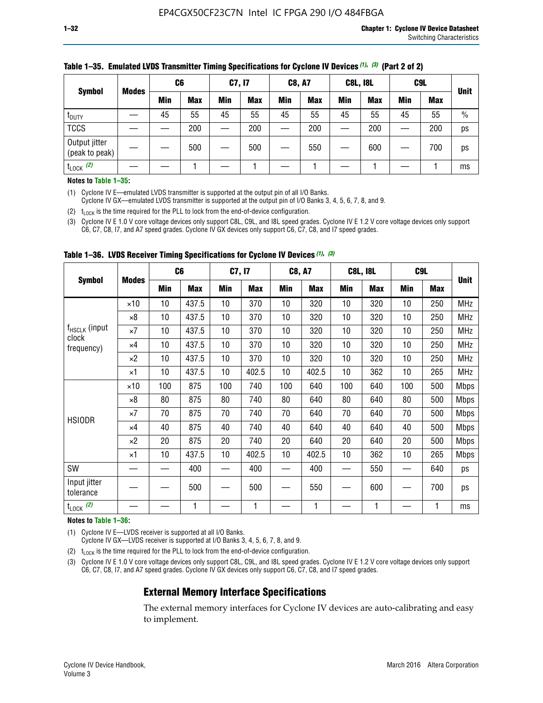|                                 |              | C <sub>6</sub> |            | C7, I7     |            | <b>C8, A7</b> |            | <b>C8L, I8L</b> |            |     | C <sub>9</sub> L |               |
|---------------------------------|--------------|----------------|------------|------------|------------|---------------|------------|-----------------|------------|-----|------------------|---------------|
| <b>Symbol</b>                   | <b>Modes</b> | Min            | <b>Max</b> | <b>Min</b> | <b>Max</b> | <b>Min</b>    | <b>Max</b> | Min             | <b>Max</b> | Min | <b>Max</b>       | <b>Unit</b>   |
| t <sub>DUTY</sub>               |              | 45             | 55         | 45         | 55         | 45            | 55         | 45              | 55         | 45  | 55               | $\frac{0}{0}$ |
| <b>TCCS</b>                     |              |                | 200        |            | 200        |               | 200        |                 | 200        | –   | 200              | ps            |
| Output jitter<br>(peak to peak) |              |                | 500        |            | 500        |               | 550        |                 | 600        | __  | 700              | ps            |
| $t_{\text{LOCK}}$ (2)           |              |                |            |            |            |               |            |                 |            |     |                  | ms            |

#### **Table 1–35. Emulated LVDS Transmitter Timing Specifications for Cyclone IV Devices** *(1)***,** *(3)* **(Part 2 of 2)**

#### **Notes to Table 1–35:**

(1) Cyclone IV E—emulated LVDS transmitter is supported at the output pin of all I/O Banks.

Cyclone IV GX—emulated LVDS transmitter is supported at the output pin of I/O Banks 3, 4, 5, 6, 7, 8, and 9.

(2)  $t_{\text{LOCK}}$  is the time required for the PLL to lock from the end-of-device configuration.

(3) Cyclone IV E 1.0 V core voltage devices only support C8L, C9L, and I8L speed grades. Cyclone IV E 1.2 V core voltage devices only support C6, C7, C8, I7, and A7 speed grades. Cyclone IV GX devices only support C6, C7, C8, and I7 speed grades.

|                                    |              |     | C <sub>6</sub> | C7, I7          |            | <b>C8, A7</b> |            |     | <b>C8L, I8L</b> | C <sub>9</sub> L |            |             |
|------------------------------------|--------------|-----|----------------|-----------------|------------|---------------|------------|-----|-----------------|------------------|------------|-------------|
| <b>Symbol</b>                      | <b>Modes</b> | Min | <b>Max</b>     | <b>Min</b>      | <b>Max</b> | Min           | <b>Max</b> | Min | <b>Max</b>      | Min              | <b>Max</b> | <b>Unit</b> |
|                                    | $\times$ 10  | 10  | 437.5          | 10 <sup>°</sup> | 370        | 10            | 320        | 10  | 320             | 10               | 250        | <b>MHz</b>  |
|                                    | $\times 8$   | 10  | 437.5          | 10              | 370        | 10            | 320        | 10  | 320             | 10               | 250        | <b>MHz</b>  |
| f <sub>HSCLK</sub> (input<br>clock | $\times 7$   | 10  | 437.5          | 10              | 370        | 10            | 320        | 10  | 320             | 10               | 250        | <b>MHz</b>  |
| frequency)                         | $\times 4$   | 10  | 437.5          | 10              | 370        | 10            | 320        | 10  | 320             | 10               | 250        | <b>MHz</b>  |
|                                    | $\times 2$   | 10  | 437.5          | 10              | 370        | 10            | 320        | 10  | 320             | 10               | 250        | <b>MHz</b>  |
|                                    | ×1           | 10  | 437.5          | 10 <sup>1</sup> | 402.5      | 10            | 402.5      | 10  | 362             | 10               | 265        | <b>MHz</b>  |
|                                    | $\times$ 10  | 100 | 875            | 100             | 740        | 100           | 640        | 100 | 640             | 100              | 500        | <b>Mbps</b> |
|                                    | $\times 8$   | 80  | 875            | 80              | 740        | 80            | 640        | 80  | 640             | 80               | 500        | <b>Mbps</b> |
| <b>HSIODR</b>                      | $\times 7$   | 70  | 875            | 70              | 740        | 70            | 640        | 70  | 640             | 70               | 500        | <b>Mbps</b> |
|                                    | $\times 4$   | 40  | 875            | 40              | 740        | 40            | 640        | 40  | 640             | 40               | 500        | <b>Mbps</b> |
|                                    | $\times 2$   | 20  | 875            | 20              | 740        | 20            | 640        | 20  | 640             | 20               | 500        | <b>Mbps</b> |
|                                    | ×1           | 10  | 437.5          | 10              | 402.5      | 10            | 402.5      | 10  | 362             | 10               | 265        | <b>Mbps</b> |
| SW                                 |              |     | 400            |                 | 400        |               | 400        |     | 550             |                  | 640        | ps          |
| Input jitter<br>tolerance          |              |     | 500            |                 | 500        |               | 550        |     | 600             |                  | 700        | ps          |
| $t_{\text{LOCK}}$ (2)              |              |     | 1              |                 | 1          |               | 1          |     | 1               |                  | 1          | ms          |

**Table 1–36. LVDS Receiver Timing Specifications for Cyclone IV Devices** *(1)***,** *(3)*

#### **Notes to Table 1–36:**

(1) Cyclone IV E—LVDS receiver is supported at all I/O Banks.

Cyclone IV GX—LVDS receiver is supported at I/O Banks 3, 4, 5, 6, 7, 8, and 9.

(2)  $t_{\text{LOCK}}$  is the time required for the PLL to lock from the end-of-device configuration.

(3) Cyclone IV E 1.0 V core voltage devices only support C8L, C9L, and I8L speed grades. Cyclone IV E 1.2 V core voltage devices only support C6, C7, C8, I7, and A7 speed grades. Cyclone IV GX devices only support C6, C7, C8, and I7 speed grades.

#### **External Memory Interface Specifications**

The external memory interfaces for Cyclone IV devices are auto-calibrating and easy to implement.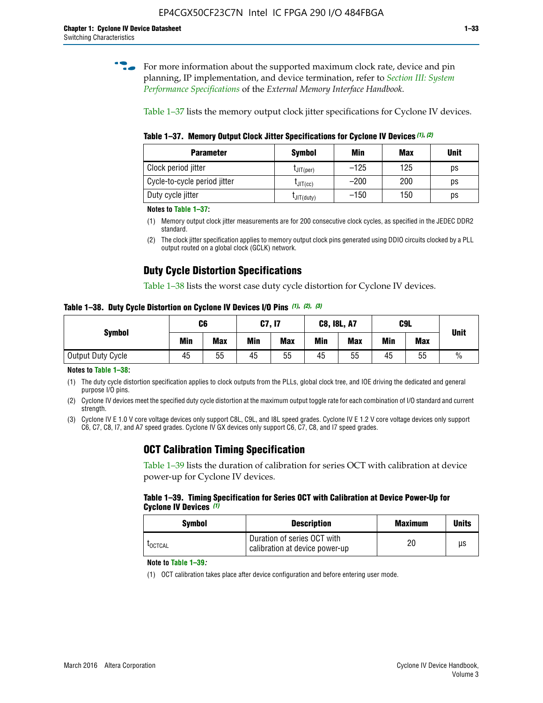**for more information about the supported maximum clock rate, device and pin** planning, IP implementation, and device termination, refer to *[Section III: System](http://www.altera.com/literature/hb/external-memory/emi_intro_specs.pdf)  [Performance Specifications](http://www.altera.com/literature/hb/external-memory/emi_intro_specs.pdf)* of the *External Memory Interface Handbook*.

Table 1–37 lists the memory output clock jitter specifications for Cyclone IV devices.

**Table 1–37. Memory Output Clock Jitter Specifications for Cyclone IV Devices** *(1)***,** *(2)*

| <b>Parameter</b>             | <b>Symbol</b>  | Min    | Max | <b>Unit</b> |
|------------------------------|----------------|--------|-----|-------------|
| Clock period jitter          | $L$ JIT(per)   | $-125$ | 125 | ps          |
| Cycle-to-cycle period jitter | $L$ JIT $(cc)$ | $-200$ | 200 | ps          |
| Duty cycle jitter            | LJIT(duty)     | $-150$ | 150 | ps          |

**Notes to Table 1–37:**

- (1) Memory output clock jitter measurements are for 200 consecutive clock cycles, as specified in the JEDEC DDR2 standard.
- (2) The clock jitter specification applies to memory output clock pins generated using DDIO circuits clocked by a PLL output routed on a global clock (GCLK) network.

## **Duty Cycle Distortion Specifications**

Table 1–38 lists the worst case duty cycle distortion for Cyclone IV devices.

**Table 1–38. Duty Cycle Distortion on Cyclone IV Devices I/O Pins** *(1)***,** *(2), (3)*

| <b>Symbol</b>     | C <sub>6</sub> |            | C7, I7     |            | <b>C8, I8L, A7</b> |            |            | C9L        | <b>Unit</b>   |
|-------------------|----------------|------------|------------|------------|--------------------|------------|------------|------------|---------------|
|                   | Min            | <b>Max</b> | <b>Min</b> | <b>Max</b> | Min                | <b>Max</b> | <b>Min</b> | <b>Max</b> |               |
| Output Duty Cycle | 45             | 55         | 45         | 55         | 45                 | 55         | 45         | 55         | $\frac{0}{0}$ |

**Notes to Table 1–38:**

(1) The duty cycle distortion specification applies to clock outputs from the PLLs, global clock tree, and IOE driving the dedicated and general purpose I/O pins.

(2) Cyclone IV devices meet the specified duty cycle distortion at the maximum output toggle rate for each combination of I/O standard and current strength.

(3) Cyclone IV E 1.0 V core voltage devices only support C8L, C9L, and I8L speed grades. Cyclone IV E 1.2 V core voltage devices only support C6, C7, C8, I7, and A7 speed grades. Cyclone IV GX devices only support C6, C7, C8, and I7 speed grades.

### **OCT Calibration Timing Specification**

Table 1–39 lists the duration of calibration for series OCT with calibration at device power-up for Cyclone IV devices.

#### **Table 1–39. Timing Specification for Series OCT with Calibration at Device Power-Up for Cyclone IV Devices** *(1)*

| Symbol  | <b>Description</b>                                            | <b>Maximum</b> | <b>Units</b> |
|---------|---------------------------------------------------------------|----------------|--------------|
| LOCTCAL | Duration of series OCT with<br>calibration at device power-up | 20             | μs           |

#### **Note to Table 1–39***:*

(1) OCT calibration takes place after device configuration and before entering user mode.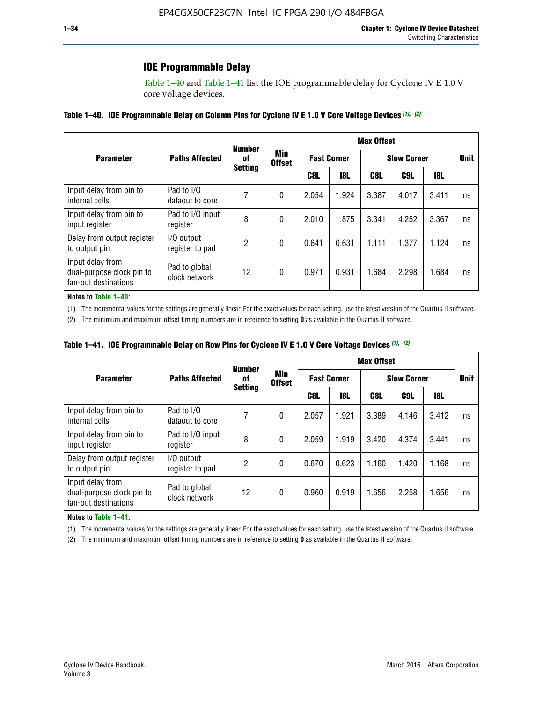## **IOE Programmable Delay**

Table 1–40 and Table 1–41 list the IOE programmable delay for Cyclone IV E 1.0 V core voltage devices.

#### **Table 1–40. IOE Programmable Delay on Column Pins for Cyclone IV E 1.0 V Core Voltage Devices** *(1)***,** *(2)*

|                                                                       |                                | <b>Number</b><br>0f<br><b>Setting</b> | Min<br><b>Offset</b> | <b>Max Offset</b>  |            |                    |       |       |             |  |
|-----------------------------------------------------------------------|--------------------------------|---------------------------------------|----------------------|--------------------|------------|--------------------|-------|-------|-------------|--|
| <b>Parameter</b>                                                      | <b>Paths Affected</b>          |                                       |                      | <b>Fast Corner</b> |            | <b>Slow Corner</b> |       |       | <b>Unit</b> |  |
|                                                                       |                                |                                       |                      | C8L                | <b>18L</b> | C8L                | C9L   | 18L   |             |  |
| Input delay from pin to<br>internal cells                             | Pad to I/O<br>dataout to core  |                                       | 0                    | 2.054              | 1.924      | 3.387              | 4.017 | 3.411 | ns          |  |
| Input delay from pin to<br>input register                             | Pad to I/O input<br>register   | 8                                     | 0                    | 2.010              | 1.875      | 3.341              | 4.252 | 3.367 | ns          |  |
| Delay from output register<br>to output pin                           | I/O output<br>register to pad  | 2                                     | 0                    | 0.641              | 0.631      | 1.111              | 1.377 | 1.124 | ns          |  |
| Input delay from<br>dual-purpose clock pin to<br>fan-out destinations | Pad to global<br>clock network | 12                                    | 0                    | 0.971              | 0.931      | 1.684              | 2.298 | 1.684 | ns          |  |

#### **Notes to Table 1–40:**

(1) The incremental values for the settings are generally linear. For the exact values for each setting, use the latest version of the Quartus II software.

(2) The minimum and maximum offset timing numbers are in reference to setting **0** as available in the Quartus II software.

| Table 1–41. IOE Programmable Delay on Row Pins for Cyclone IV E 1.0 V Core Voltage Devices (1), (2) |  |  |
|-----------------------------------------------------------------------------------------------------|--|--|
|-----------------------------------------------------------------------------------------------------|--|--|

|                                                                       |                                | <b>Number</b>  |                      | <b>Max Offset</b> |                    |                    |             |       |    |
|-----------------------------------------------------------------------|--------------------------------|----------------|----------------------|-------------------|--------------------|--------------------|-------------|-------|----|
| <b>Parameter</b>                                                      | <b>Paths Affected</b>          | 0f             | Min<br><b>Offset</b> |                   | <b>Fast Corner</b> | <b>Slow Corner</b> | <b>Unit</b> |       |    |
|                                                                       |                                | <b>Setting</b> |                      | C8L               | <b>18L</b>         | C8L                | C9L         | 18L   |    |
| Input delay from pin to<br>internal cells                             | Pad to I/O<br>dataout to core  |                | 0                    | 2.057             | 1.921              | 3.389              | 4.146       | 3.412 | ns |
| Input delay from pin to<br>input register                             | Pad to I/O input<br>register   | 8              | 0                    | 2.059             | 1.919              | 3.420              | 4.374       | 3.441 | ns |
| Delay from output register<br>to output pin                           | I/O output<br>register to pad  | 2              | 0                    | 0.670             | 0.623              | 1.160              | 1.420       | 1.168 | ns |
| Input delay from<br>dual-purpose clock pin to<br>fan-out destinations | Pad to global<br>clock network | 12             | 0                    | 0.960             | 0.919              | 1.656              | 2.258       | 1.656 | ns |

#### **Notes to Table 1–41:**

(1) The incremental values for the settings are generally linear. For the exact values for each setting, use the latest version of the Quartus II software.

(2) The minimum and maximum offset timing numbers are in reference to setting **0** as available in the Quartus II software.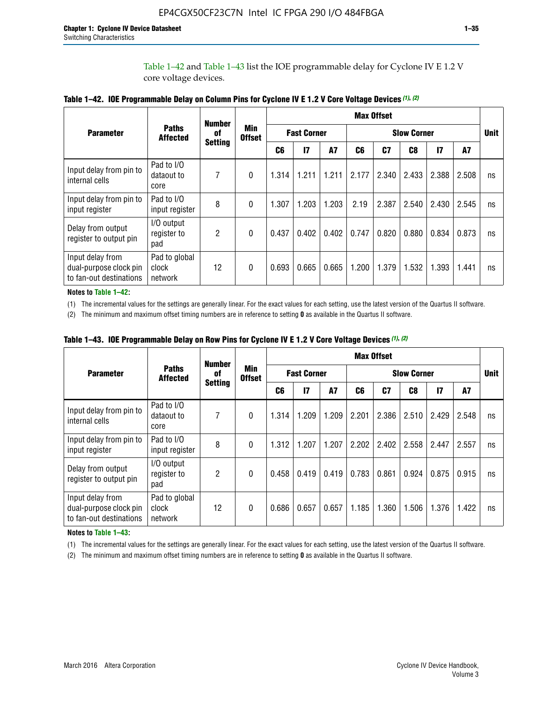Table 1–42 and Table 1–43 list the IOE programmable delay for Cyclone IV E 1.2 V core voltage devices.

|                                                                       |                                   | <b>Number</b><br>of<br><b>Setting</b> | <b>Min</b><br><b>Offset</b> | <b>Max Offset</b> |                    |           |                    |       |       |               |       |             |
|-----------------------------------------------------------------------|-----------------------------------|---------------------------------------|-----------------------------|-------------------|--------------------|-----------|--------------------|-------|-------|---------------|-------|-------------|
| <b>Parameter</b>                                                      | <b>Paths</b><br><b>Affected</b>   |                                       |                             |                   | <b>Fast Corner</b> |           | <b>Slow Corner</b> |       |       |               |       | <b>Unit</b> |
|                                                                       |                                   |                                       |                             | C <sub>6</sub>    | $\mathbf{I}$       | <b>A7</b> | C6                 | C7    | C8    | $\mathsf{I}7$ | A7    |             |
| Input delay from pin to<br>internal cells                             | Pad to I/O<br>dataout to<br>core  | 7                                     | 0                           | 1.314             | 1.211              | 1.211     | 2.177              | 2.340 | 2.433 | 2.388         | 2.508 | ns          |
| Input delay from pin to<br>input register                             | Pad to I/O<br>input register      | 8                                     | $\Omega$                    | 1.307             | 1.203              | 1.203     | 2.19               | 2.387 | 2.540 | 2.430         | 2.545 | ns          |
| Delay from output<br>register to output pin                           | I/O output<br>register to<br>pad  | 2                                     | 0                           | 0.437             | 0.402              | 0.402     | 0.747              | 0.820 | 0.880 | 0.834         | 0.873 | ns          |
| Input delay from<br>dual-purpose clock pin<br>to fan-out destinations | Pad to global<br>clock<br>network | 12                                    | 0                           | 0.693             | 0.665              | 0.665     | 1.200              | 1.379 | 1.532 | 1.393         | 1.441 | ns          |

**Table 1–42. IOE Programmable Delay on Column Pins for Cyclone IV E 1.2 V Core Voltage Devices** *(1)***,** *(2)*

**Notes to Table 1–42:**

(1) The incremental values for the settings are generally linear. For the exact values for each setting, use the latest version of the Quartus II software.

(2) The minimum and maximum offset timing numbers are in reference to setting **0** as available in the Quartus II software.

|                                                                       |                                   | <b>Number</b><br>0f<br><b>Setting</b> | Min<br><b>Offset</b> | <b>Max Offset</b> |                    |       |                    |                |       |              |       |             |
|-----------------------------------------------------------------------|-----------------------------------|---------------------------------------|----------------------|-------------------|--------------------|-------|--------------------|----------------|-------|--------------|-------|-------------|
| <b>Parameter</b>                                                      | <b>Paths</b><br><b>Affected</b>   |                                       |                      |                   | <b>Fast Corner</b> |       | <b>Slow Corner</b> |                |       |              |       | <b>Unit</b> |
|                                                                       |                                   |                                       |                      | C6                | 17                 | A7    | C6                 | C <sub>7</sub> | C8    | $\mathbf{I}$ | A7    |             |
| Input delay from pin to<br>internal cells                             | Pad to I/O<br>dataout to<br>core  | 7                                     | 0                    | 1.314             | 1.209              | 1.209 | 2.201              | 2.386          | 2.510 | 2.429        | 2.548 | ns          |
| Input delay from pin to<br>input register                             | Pad to I/O<br>input register      | 8                                     | $\theta$             | 1.312             | 1.207              | 1.207 | 2.202              | 2.402          | 2.558 | 2.447        | 2.557 | ns          |
| Delay from output<br>register to output pin                           | I/O output<br>register to<br>pad  | 2                                     | $\Omega$             | 0.458             | 0.419              | 0.419 | 0.783              | 0.861          | 0.924 | 0.875        | 0.915 | ns          |
| Input delay from<br>dual-purpose clock pin<br>to fan-out destinations | Pad to global<br>clock<br>network | 12                                    | 0                    | 0.686             | 0.657              | 0.657 | 1.185              | 1.360          | 1.506 | 1.376        | 1.422 | ns          |

**Table 1–43. IOE Programmable Delay on Row Pins for Cyclone IV E 1.2 V Core Voltage Devices** *(1)***,** *(2)*

#### **Notes to Table 1–43:**

(1) The incremental values for the settings are generally linear. For the exact values for each setting, use the latest version of the Quartus II software.

(2) The minimum and maximum offset timing numbers are in reference to setting **0** as available in the Quartus II software.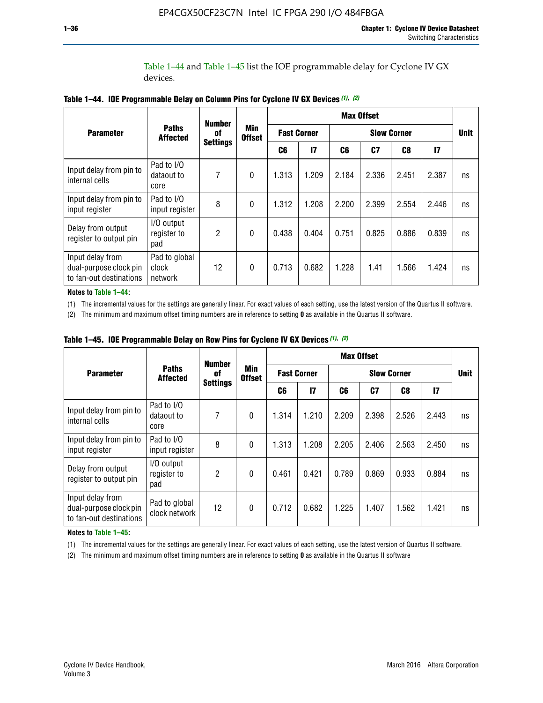Table 1–44 and Table 1–45 list the IOE programmable delay for Cyclone IV GX devices.

|                                                                       |                                   | <b>Number</b><br>0f | <b>Min</b><br><b>Offset</b> | <b>Max Offset</b>  |              |                    |                |                |               |             |
|-----------------------------------------------------------------------|-----------------------------------|---------------------|-----------------------------|--------------------|--------------|--------------------|----------------|----------------|---------------|-------------|
| <b>Parameter</b>                                                      | <b>Paths</b><br><b>Affected</b>   |                     |                             | <b>Fast Corner</b> |              | <b>Slow Corner</b> |                |                |               | <b>Unit</b> |
|                                                                       |                                   | <b>Settings</b>     |                             | C6                 | $\mathbf{I}$ | C6                 | C <sub>7</sub> | C <sub>8</sub> | $\mathsf{I}7$ |             |
| Input delay from pin to<br>internal cells                             | Pad to I/O<br>dataout to<br>core  | 7                   | $\boldsymbol{0}$            | 1.313              | 1.209        | 2.184              | 2.336          | 2.451          | 2.387         | ns          |
| Input delay from pin to<br>input register                             | Pad to I/O<br>input register      | 8                   | $\Omega$                    | 1.312              | 1.208        | 2.200              | 2.399          | 2.554          | 2.446         | ns          |
| Delay from output<br>register to output pin                           | I/O output<br>register to<br>pad  | 2                   | $\mathbf{0}$                | 0.438              | 0.404        | 0.751              | 0.825          | 0.886          | 0.839         | ns          |
| Input delay from<br>dual-purpose clock pin<br>to fan-out destinations | Pad to global<br>clock<br>network | 12                  | 0                           | 0.713              | 0.682        | 1.228              | 1.41           | 1.566          | 1.424         | ns          |

**Table 1–44. IOE Programmable Delay on Column Pins for Cyclone IV GX Devices** *(1)***,** *(2)*

**Notes to Table 1–44:**

(1) The incremental values for the settings are generally linear. For exact values of each setting, use the latest version of the Quartus II software.

(2) The minimum and maximum offset timing numbers are in reference to setting **0** as available in the Quartus II software.

|                                                                       |                                  | <b>Number</b>         |                             |       |                    |                    | <b>Max Offset</b> |       |               |             |
|-----------------------------------------------------------------------|----------------------------------|-----------------------|-----------------------------|-------|--------------------|--------------------|-------------------|-------|---------------|-------------|
| <b>Parameter</b>                                                      | <b>Paths</b><br><b>Affected</b>  | 0f<br><b>Settings</b> | <b>Min</b><br><b>Offset</b> |       | <b>Fast Corner</b> | <b>Slow Corner</b> |                   |       |               | <b>Unit</b> |
|                                                                       |                                  |                       |                             | C6    | 17                 | C6                 | C7                | C8    | $\mathsf{I}7$ |             |
| Input delay from pin to<br>internal cells                             | Pad to I/O<br>dataout to<br>core | 7                     | $\mathbf{0}$                | 1.314 | 1.210              | 2.209              | 2.398             | 2.526 | 2.443         | ns          |
| Input delay from pin to<br>input register                             | Pad to I/O<br>input register     | 8                     | $\mathbf{0}$                | 1.313 | 1.208              | 2.205              | 2.406             | 2.563 | 2.450         | ns          |
| Delay from output<br>register to output pin                           | I/O output<br>register to<br>pad | $\overline{2}$        | $\mathbf{0}$                | 0.461 | 0.421              | 0.789              | 0.869             | 0.933 | 0.884         | ns          |
| Input delay from<br>dual-purpose clock pin<br>to fan-out destinations | Pad to global<br>clock network   | 12                    | $\mathbf{0}$                | 0.712 | 0.682              | 1.225              | 1.407             | 1.562 | 1.421         | ns          |

**Table 1–45. IOE Programmable Delay on Row Pins for Cyclone IV GX Devices** *(1)***,** *(2)*

#### **Notes to Table 1–45:**

(1) The incremental values for the settings are generally linear. For exact values of each setting, use the latest version of Quartus II software.

(2) The minimum and maximum offset timing numbers are in reference to setting **0** as available in the Quartus II software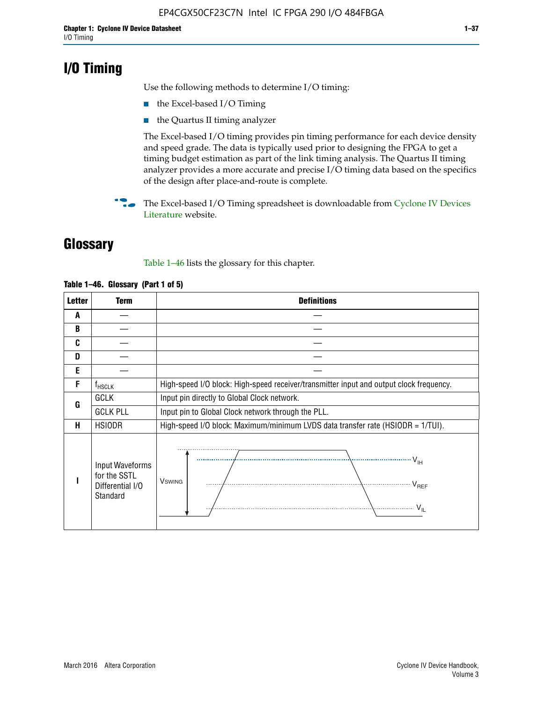## **I/O Timing**

Use the following methods to determine I/O timing:

- the Excel-based I/O Timing
- the Quartus II timing analyzer

The Excel-based I/O timing provides pin timing performance for each device density and speed grade. The data is typically used prior to designing the FPGA to get a timing budget estimation as part of the link timing analysis. The Quartus II timing analyzer provides a more accurate and precise I/O timing data based on the specifics of the design after place-and-route is complete.

**For The Excel-based I/O Timing spreadsheet is downloadable from Cyclone IV Devices** [Literature](http://www.altera.com/literature/lit-cyclone-iv.jsp) website.

## **Glossary**

Table 1–46 lists the glossary for this chapter.

| <b>Letter</b> | Term                                                            | <b>Definitions</b>                                                                                                                                                                                                                                                                                                                                                                                                                                                |  |  |  |  |  |  |  |
|---------------|-----------------------------------------------------------------|-------------------------------------------------------------------------------------------------------------------------------------------------------------------------------------------------------------------------------------------------------------------------------------------------------------------------------------------------------------------------------------------------------------------------------------------------------------------|--|--|--|--|--|--|--|
| A             |                                                                 |                                                                                                                                                                                                                                                                                                                                                                                                                                                                   |  |  |  |  |  |  |  |
| B             |                                                                 |                                                                                                                                                                                                                                                                                                                                                                                                                                                                   |  |  |  |  |  |  |  |
| C             |                                                                 |                                                                                                                                                                                                                                                                                                                                                                                                                                                                   |  |  |  |  |  |  |  |
| D             |                                                                 |                                                                                                                                                                                                                                                                                                                                                                                                                                                                   |  |  |  |  |  |  |  |
| E             |                                                                 |                                                                                                                                                                                                                                                                                                                                                                                                                                                                   |  |  |  |  |  |  |  |
| F             | $f_{HSCLK}$                                                     | High-speed I/O block: High-speed receiver/transmitter input and output clock frequency.                                                                                                                                                                                                                                                                                                                                                                           |  |  |  |  |  |  |  |
| G             | <b>GCLK</b>                                                     | Input pin directly to Global Clock network.                                                                                                                                                                                                                                                                                                                                                                                                                       |  |  |  |  |  |  |  |
|               | <b>GCLK PLL</b>                                                 | Input pin to Global Clock network through the PLL.                                                                                                                                                                                                                                                                                                                                                                                                                |  |  |  |  |  |  |  |
| н             | <b>HSIODR</b>                                                   | High-speed I/O block: Maximum/minimum LVDS data transfer rate (HSIODR = 1/TUI).                                                                                                                                                                                                                                                                                                                                                                                   |  |  |  |  |  |  |  |
|               | Input Waveforms<br>for the SSTL<br>Differential I/O<br>Standard | $\frac{1}{1 + \frac{1}{1 + \frac{1}{1 + \frac{1}{1 + \frac{1}{1 + \frac{1}{1 + \frac{1}{1 + \frac{1}{1 + \frac{1}{1 + \frac{1}{1 + \frac{1}{1 + \frac{1}{1 + \frac{1}{1 + \frac{1}{1 + \frac{1}{1 + \frac{1}{1 + \frac{1}{1 + \frac{1}{1 + \frac{1}{1 + \frac{1}{1 + \frac{1}{1 + \frac{1}{1 + \frac{1}{1 + \frac{1}{1 + \frac{1}{1 + \frac{1}{1 + \frac{1}{1 + \frac{1}{1 + \frac{1}{1 + \frac{1}{1 + \frac{1}{1 + \frac{$<br><b>V</b> swing<br>V <sub>REF</sub> |  |  |  |  |  |  |  |

#### **Table 1–46. Glossary (Part 1 of 5)**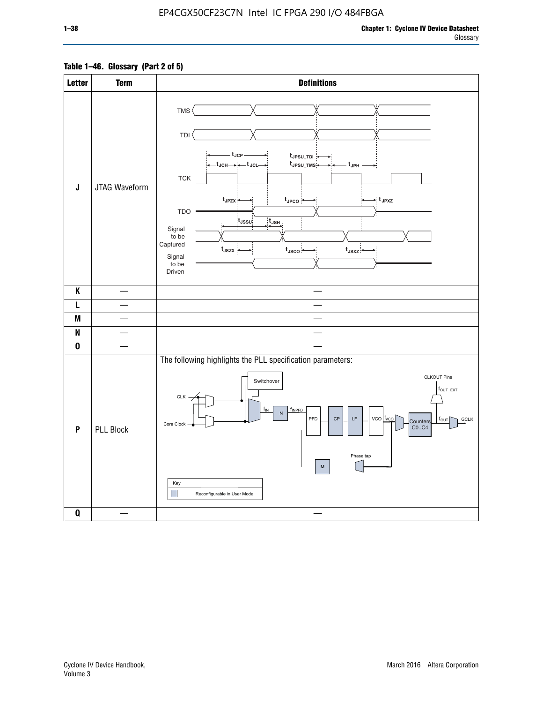### **Table 1–46. Glossary (Part 2 of 5)**

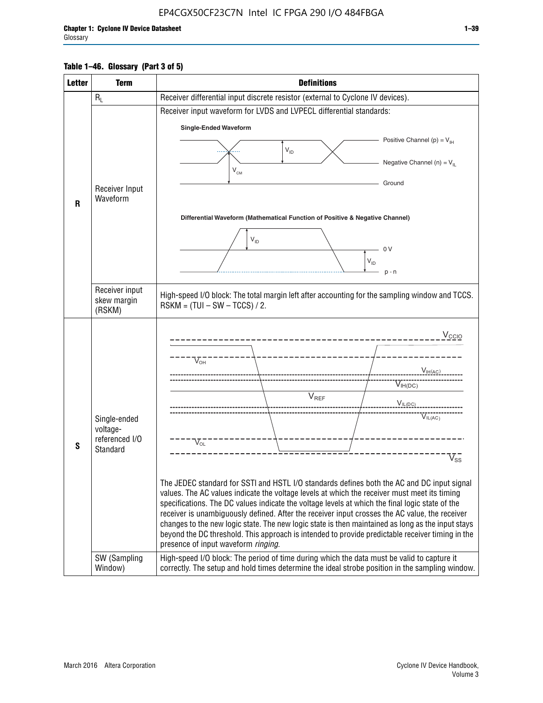#### **Table 1–46. Glossary (Part 3 of 5)**

| <b>Letter</b> | <b>Term</b>                   | <b>Definitions</b>                                                                                                                                                                                    |  |  |  |  |  |  |  |  |
|---------------|-------------------------------|-------------------------------------------------------------------------------------------------------------------------------------------------------------------------------------------------------|--|--|--|--|--|--|--|--|
|               | $R_L$                         | Receiver differential input discrete resistor (external to Cyclone IV devices).                                                                                                                       |  |  |  |  |  |  |  |  |
|               |                               | Receiver input waveform for LVDS and LVPECL differential standards:                                                                                                                                   |  |  |  |  |  |  |  |  |
|               |                               | <b>Single-Ended Waveform</b>                                                                                                                                                                          |  |  |  |  |  |  |  |  |
|               |                               | Positive Channel (p) = $V_{\text{H}}$                                                                                                                                                                 |  |  |  |  |  |  |  |  |
|               |                               | $V_{ID}$                                                                                                                                                                                              |  |  |  |  |  |  |  |  |
|               |                               | Negative Channel (n) = $V_{\parallel}$<br>$V_{CM}$                                                                                                                                                    |  |  |  |  |  |  |  |  |
|               |                               | Ground                                                                                                                                                                                                |  |  |  |  |  |  |  |  |
|               | Receiver Input<br>Waveform    |                                                                                                                                                                                                       |  |  |  |  |  |  |  |  |
| R             |                               |                                                                                                                                                                                                       |  |  |  |  |  |  |  |  |
|               |                               | Differential Waveform (Mathematical Function of Positive & Negative Channel)                                                                                                                          |  |  |  |  |  |  |  |  |
|               |                               | $V_{ID}$                                                                                                                                                                                              |  |  |  |  |  |  |  |  |
|               |                               | 0V                                                                                                                                                                                                    |  |  |  |  |  |  |  |  |
|               |                               | $\mathsf{V}_{\mathsf{ID}}$                                                                                                                                                                            |  |  |  |  |  |  |  |  |
|               |                               | $p - n$                                                                                                                                                                                               |  |  |  |  |  |  |  |  |
|               | Receiver input<br>skew margin | High-speed I/O block: The total margin left after accounting for the sampling window and TCCS.<br>$RSKM = (TUI - SW - TCCS) / 2.$                                                                     |  |  |  |  |  |  |  |  |
|               | (RSKM)                        |                                                                                                                                                                                                       |  |  |  |  |  |  |  |  |
|               |                               | $V_{CCIO}$                                                                                                                                                                                            |  |  |  |  |  |  |  |  |
|               |                               |                                                                                                                                                                                                       |  |  |  |  |  |  |  |  |
|               |                               | $V_{\text{OH}}$                                                                                                                                                                                       |  |  |  |  |  |  |  |  |
|               |                               | V <sub>IH(AC)</sub>                                                                                                                                                                                   |  |  |  |  |  |  |  |  |
|               |                               | $V_{IH(DC)}$                                                                                                                                                                                          |  |  |  |  |  |  |  |  |
|               |                               | $V_{REF}$<br>$V_{IL(DC)}$                                                                                                                                                                             |  |  |  |  |  |  |  |  |
|               | Single-ended                  | VIL(AC)                                                                                                                                                                                               |  |  |  |  |  |  |  |  |
|               | voltage-                      |                                                                                                                                                                                                       |  |  |  |  |  |  |  |  |
| S             | referenced I/O<br>Standard    | $V_{OL}$                                                                                                                                                                                              |  |  |  |  |  |  |  |  |
|               |                               | $\overline{\mathsf{V}}_\mathsf{SS}^-$                                                                                                                                                                 |  |  |  |  |  |  |  |  |
|               |                               |                                                                                                                                                                                                       |  |  |  |  |  |  |  |  |
|               |                               | The JEDEC standard for SSTI and HSTL I/O standards defines both the AC and DC input signal<br>values. The AC values indicate the voltage levels at which the receiver must meet its timing            |  |  |  |  |  |  |  |  |
|               |                               | specifications. The DC values indicate the voltage levels at which the final logic state of the                                                                                                       |  |  |  |  |  |  |  |  |
|               |                               | receiver is unambiguously defined. After the receiver input crosses the AC value, the receiver                                                                                                        |  |  |  |  |  |  |  |  |
|               |                               | changes to the new logic state. The new logic state is then maintained as long as the input stays<br>beyond the DC threshold. This approach is intended to provide predictable receiver timing in the |  |  |  |  |  |  |  |  |
|               |                               | presence of input waveform ringing.                                                                                                                                                                   |  |  |  |  |  |  |  |  |
|               | SW (Sampling<br>Window)       | High-speed I/O block: The period of time during which the data must be valid to capture it<br>correctly. The setup and hold times determine the ideal strobe position in the sampling window.         |  |  |  |  |  |  |  |  |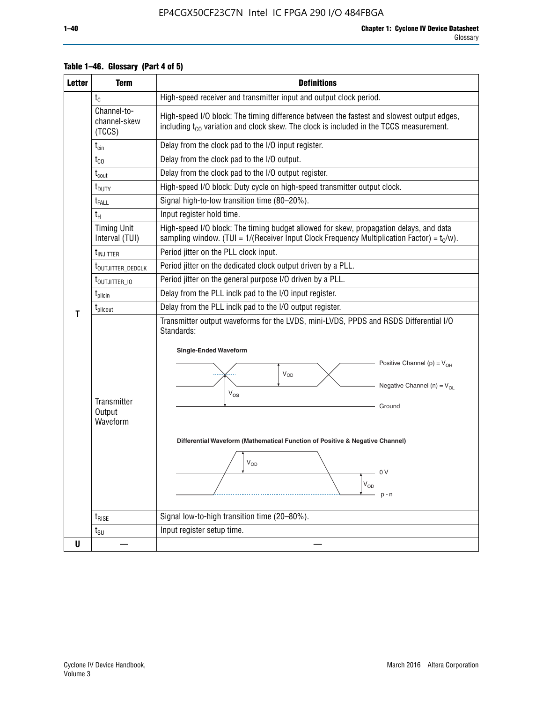| <b>Letter</b> | <b>Term</b>                                               | <b>Definitions</b>                                                                                                                                                                                                                                                                                                                                                                      |
|---------------|-----------------------------------------------------------|-----------------------------------------------------------------------------------------------------------------------------------------------------------------------------------------------------------------------------------------------------------------------------------------------------------------------------------------------------------------------------------------|
|               | $t_{\rm C}$                                               | High-speed receiver and transmitter input and output clock period.                                                                                                                                                                                                                                                                                                                      |
|               | Channel-to-<br>channel-skew<br>(TCCS)                     | High-speed I/O block: The timing difference between the fastest and slowest output edges,<br>including t <sub>co</sub> variation and clock skew. The clock is included in the TCCS measurement.                                                                                                                                                                                         |
|               | $t_{\text{cin}}$                                          | Delay from the clock pad to the I/O input register.                                                                                                                                                                                                                                                                                                                                     |
|               | $t_{CO}$                                                  | Delay from the clock pad to the I/O output.                                                                                                                                                                                                                                                                                                                                             |
|               | $t_{\mathsf{cout}}$                                       | Delay from the clock pad to the I/O output register.                                                                                                                                                                                                                                                                                                                                    |
|               | t <sub>DUTY</sub>                                         | High-speed I/O block: Duty cycle on high-speed transmitter output clock.                                                                                                                                                                                                                                                                                                                |
|               | t <sub>FALL</sub>                                         | Signal high-to-low transition time (80-20%).                                                                                                                                                                                                                                                                                                                                            |
|               | $t_H$                                                     | Input register hold time.                                                                                                                                                                                                                                                                                                                                                               |
|               | <b>Timing Unit</b><br>Interval (TUI)                      | High-speed I/O block: The timing budget allowed for skew, propagation delays, and data<br>sampling window. (TUI = $1/($ Receiver Input Clock Frequency Multiplication Factor) = $t_c/w$ ).                                                                                                                                                                                              |
|               | <b>t</b> <sub>INJITTER</sub>                              | Period jitter on the PLL clock input.                                                                                                                                                                                                                                                                                                                                                   |
|               | t <sub>outjitter_dedclk</sub>                             | Period jitter on the dedicated clock output driven by a PLL.                                                                                                                                                                                                                                                                                                                            |
|               | Period jitter on the general purpose I/O driven by a PLL. |                                                                                                                                                                                                                                                                                                                                                                                         |
|               | $t_{\text{pllcin}}$                                       | Delay from the PLL inclk pad to the I/O input register.                                                                                                                                                                                                                                                                                                                                 |
| т             | $t_{\text{pll} \text{cout}}$                              | Delay from the PLL inclk pad to the I/O output register.                                                                                                                                                                                                                                                                                                                                |
|               | Transmitter<br>Output<br>Waveform                         | Transmitter output waveforms for the LVDS, mini-LVDS, PPDS and RSDS Differential I/O<br>Standards:<br><b>Single-Ended Waveform</b><br>Positive Channel (p) = $V_{OH}$<br><b>V<sub>OD</sub></b><br>Negative Channel (n) = $V_{OL}$<br>$V_{OS}$<br>Ground<br>Differential Waveform (Mathematical Function of Positive & Negative Channel)<br>$\rm V_{OD}$<br>- 0 V<br>$V_{OD}$<br>$p - n$ |
|               | $t_{\text{RISE}}$                                         | Signal low-to-high transition time (20-80%).                                                                                                                                                                                                                                                                                                                                            |
|               | $t_{\text{SU}}$                                           | Input register setup time.                                                                                                                                                                                                                                                                                                                                                              |
| U             |                                                           |                                                                                                                                                                                                                                                                                                                                                                                         |

#### **Table 1–46. Glossary (Part 4 of 5)**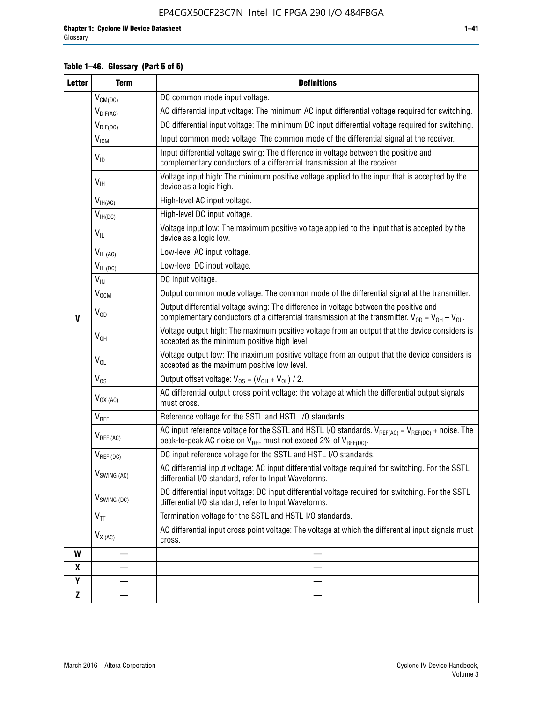#### **Table 1–46. Glossary (Part 5 of 5)**

| <b>Letter</b> | <b>Term</b>             | <b>Definitions</b>                                                                                                                                                                                |
|---------------|-------------------------|---------------------------------------------------------------------------------------------------------------------------------------------------------------------------------------------------|
|               | $V_{CM(DC)}$            | DC common mode input voltage.                                                                                                                                                                     |
|               | $V_{DIF(AC)}$           | AC differential input voltage: The minimum AC input differential voltage required for switching.                                                                                                  |
|               | $V_{DIF(DC)}$           | DC differential input voltage: The minimum DC input differential voltage required for switching.                                                                                                  |
|               | V <sub>ICM</sub>        | Input common mode voltage: The common mode of the differential signal at the receiver.                                                                                                            |
|               | $V_{ID}$                | Input differential voltage swing: The difference in voltage between the positive and<br>complementary conductors of a differential transmission at the receiver.                                  |
|               | $V_{\text{IH}}$         | Voltage input high: The minimum positive voltage applied to the input that is accepted by the<br>device as a logic high.                                                                          |
|               | $V_{IH(AC)}$            | High-level AC input voltage.                                                                                                                                                                      |
|               | $V_{IH(DC)}$            | High-level DC input voltage.                                                                                                                                                                      |
|               | $V_{IL}$                | Voltage input low: The maximum positive voltage applied to the input that is accepted by the<br>device as a logic low.                                                                            |
|               | $V_{IL(AC)}$            | Low-level AC input voltage.                                                                                                                                                                       |
|               | $V_{IL(DC)}$            | Low-level DC input voltage.                                                                                                                                                                       |
|               | $V_{\text{IN}}$         | DC input voltage.                                                                                                                                                                                 |
|               | $V_{OCM}$               | Output common mode voltage: The common mode of the differential signal at the transmitter.                                                                                                        |
| $\mathbf{V}$  | $V_{OD}$                | Output differential voltage swing: The difference in voltage between the positive and<br>complementary conductors of a differential transmission at the transmitter. $V_{OD} = V_{OH} - V_{OL}$ . |
|               | $V_{OH}$                | Voltage output high: The maximum positive voltage from an output that the device considers is<br>accepted as the minimum positive high level.                                                     |
|               | $V_{OL}$                | Voltage output low: The maximum positive voltage from an output that the device considers is<br>accepted as the maximum positive low level.                                                       |
|               | $V_{OS}$                | Output offset voltage: $V_{OS} = (V_{OH} + V_{OL}) / 2$ .                                                                                                                                         |
|               | $V_{OX (AC)}$           | AC differential output cross point voltage: the voltage at which the differential output signals<br>must cross.                                                                                   |
|               | V <sub>REF</sub>        | Reference voltage for the SSTL and HSTL I/O standards.                                                                                                                                            |
|               | $V_{REF\,(AC)}$         | AC input reference voltage for the SSTL and HSTL I/O standards. $V_{REF(AC)} = V_{REF(DC)} +$ noise. The<br>peak-to-peak AC noise on $V_{REF}$ must not exceed 2% of $V_{REF(DC)}$ .              |
|               | $V_{REF(DC)}$           | DC input reference voltage for the SSTL and HSTL I/O standards.                                                                                                                                   |
|               | $V_{\text{SWING (AC)}}$ | AC differential input voltage: AC input differential voltage required for switching. For the SSTL<br>differential I/O standard, refer to Input Waveforms.                                         |
|               | $V_{SWING (DC)}$        | DC differential input voltage: DC input differential voltage required for switching. For the SSTL<br>differential I/O standard, refer to Input Waveforms.                                         |
|               | $V_{TT}$                | Termination voltage for the SSTL and HSTL I/O standards.                                                                                                                                          |
|               | $V_{X(AC)}$             | AC differential input cross point voltage: The voltage at which the differential input signals must<br>cross.                                                                                     |
| W             |                         |                                                                                                                                                                                                   |
| X             |                         |                                                                                                                                                                                                   |
| Υ             |                         |                                                                                                                                                                                                   |
| Z             |                         |                                                                                                                                                                                                   |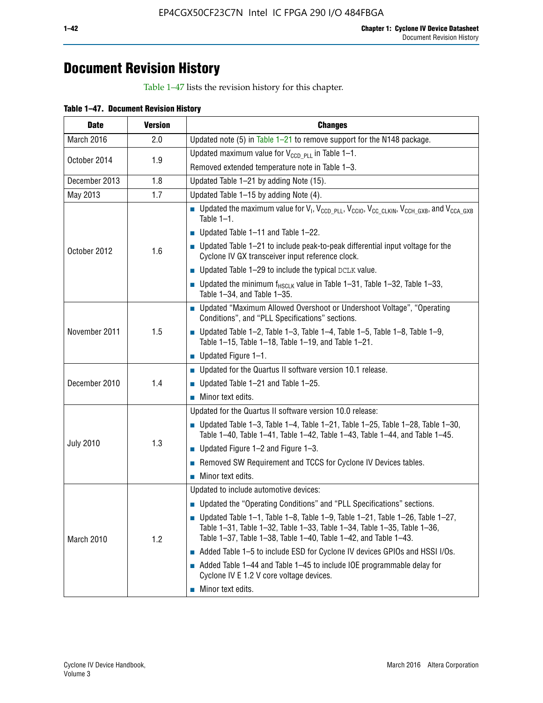## **Document Revision History**

Table 1–47 lists the revision history for this chapter.

| <b>Date</b>      | <b>Version</b> | <b>Changes</b>                                                                                                                                                                                                                            |
|------------------|----------------|-------------------------------------------------------------------------------------------------------------------------------------------------------------------------------------------------------------------------------------------|
| March 2016       | 2.0            | Updated note (5) in Table $1-21$ to remove support for the N148 package.                                                                                                                                                                  |
| October 2014     | 1.9            | Updated maximum value for $V_{CCD, PL}$ in Table 1-1.                                                                                                                                                                                     |
|                  |                | Removed extended temperature note in Table 1-3.                                                                                                                                                                                           |
| December 2013    | 1.8            | Updated Table 1-21 by adding Note (15).                                                                                                                                                                                                   |
| May 2013         | 1.7            | Updated Table 1-15 by adding Note (4).                                                                                                                                                                                                    |
| October 2012     | 1.6            | Dpdated the maximum value for $V_1$ , $V_{CCD\_PLL}$ , $V_{CC10}$ , $V_{CC\_CLKIN}$ , $V_{CCH\_GXB}$ , and $V_{CCA\_GXB}$<br>Table $1-1$ .                                                                                                |
|                  |                | $\blacksquare$ Updated Table 1-11 and Table 1-22.                                                                                                                                                                                         |
|                  |                | $\blacksquare$ Updated Table 1-21 to include peak-to-peak differential input voltage for the<br>Cyclone IV GX transceiver input reference clock.                                                                                          |
|                  |                | $\blacksquare$ Updated Table 1-29 to include the typical DCLK value.                                                                                                                                                                      |
|                  |                | <b>Updated the minimum f<sub>HSCLK</sub></b> value in Table 1-31, Table 1-32, Table 1-33,<br>Table 1-34, and Table 1-35.                                                                                                                  |
| November 2011    | 1.5            | • Updated "Maximum Allowed Overshoot or Undershoot Voltage", "Operating<br>Conditions", and "PLL Specifications" sections.                                                                                                                |
|                  |                | Updated Table 1-2, Table 1-3, Table 1-4, Table 1-5, Table 1-8, Table 1-9,<br>Table 1-15, Table 1-18, Table 1-19, and Table 1-21.                                                                                                          |
|                  |                | ■ Updated Figure $1-1$ .                                                                                                                                                                                                                  |
| December 2010    | 1.4            | • Updated for the Quartus II software version 10.1 release.                                                                                                                                                                               |
|                  |                | $\blacksquare$ Updated Table 1-21 and Table 1-25.                                                                                                                                                                                         |
|                  |                | $\blacksquare$ Minor text edits.                                                                                                                                                                                                          |
|                  | 1.3            | Updated for the Quartus II software version 10.0 release:                                                                                                                                                                                 |
| <b>July 2010</b> |                | Updated Table 1-3, Table 1-4, Table 1-21, Table 1-25, Table 1-28, Table 1-30,<br>Table 1-40, Table 1-41, Table 1-42, Table 1-43, Table 1-44, and Table 1-45.                                                                              |
|                  |                | ■ Updated Figure $1-2$ and Figure $1-3$ .                                                                                                                                                                                                 |
|                  |                | Removed SW Requirement and TCCS for Cyclone IV Devices tables.                                                                                                                                                                            |
|                  |                | $\blacksquare$ Minor text edits.                                                                                                                                                                                                          |
|                  | 1.2            | Updated to include automotive devices:                                                                                                                                                                                                    |
| March 2010       |                | • Updated the "Operating Conditions" and "PLL Specifications" sections.                                                                                                                                                                   |
|                  |                | $\blacksquare$ Updated Table 1-1, Table 1-8, Table 1-9, Table 1-21, Table 1-26, Table 1-27,<br>Table 1-31, Table 1-32, Table 1-33, Table 1-34, Table 1-35, Table 1-36,<br>Table 1-37, Table 1-38, Table 1-40, Table 1-42, and Table 1-43. |
|                  |                | Added Table 1-5 to include ESD for Cyclone IV devices GPIOs and HSSI I/Os.                                                                                                                                                                |
|                  |                | Added Table 1-44 and Table 1-45 to include IOE programmable delay for<br>Cyclone IV E 1.2 V core voltage devices.                                                                                                                         |
|                  |                | Minor text edits.                                                                                                                                                                                                                         |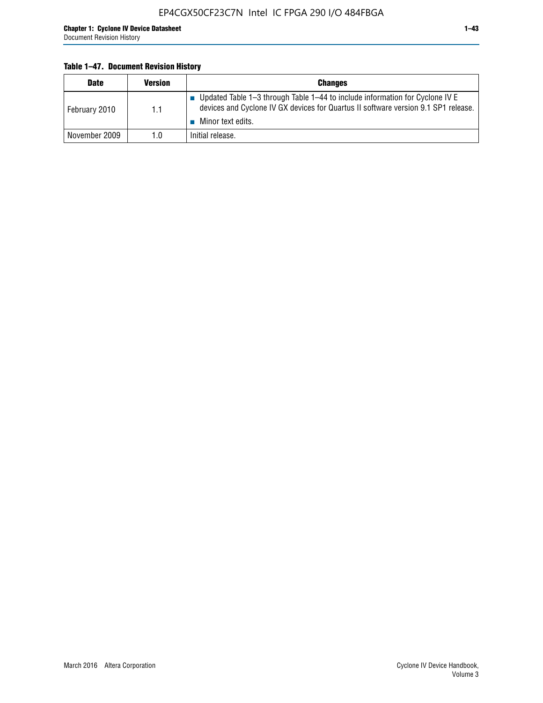#### **Table 1–47. Document Revision History**

| <b>Date</b>   | <b>Version</b> | <b>Changes</b>                                                                                                                                                                          |
|---------------|----------------|-----------------------------------------------------------------------------------------------------------------------------------------------------------------------------------------|
| February 2010 | 1.1            | Updated Table 1-3 through Table 1-44 to include information for Cyclone IV E<br>devices and Cyclone IV GX devices for Quartus II software version 9.1 SP1 release.<br>Minor text edits. |
| November 2009 | 1.0            | Initial release.                                                                                                                                                                        |